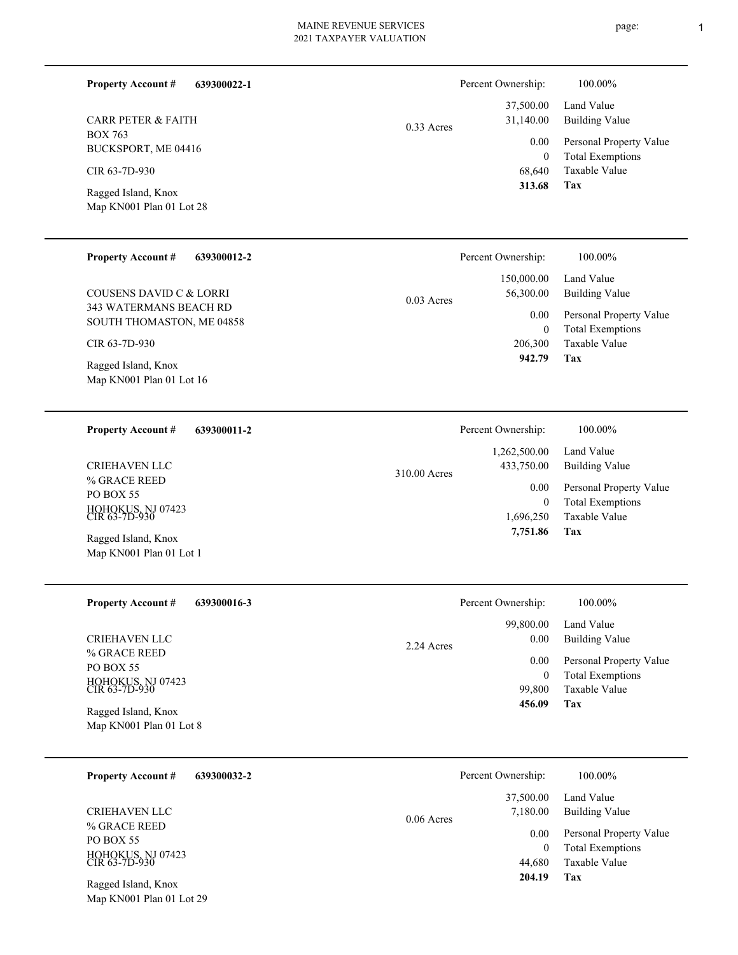**639300022-1 Tax** Taxable Value Total Exemptions Personal Property Value Building Value Land Value BOX 763 BUCKSPORT, ME 04416 **Property Account #** Map KN001 Plan 01 Lot 28 Ragged Island, Knox CIR 63-7D-930 CARR PETER & FAITH 68,640 0  **313.68** 37,500.00 31,140.00 0.00 0.33 Acres Percent Ownership:  $100.00\%$ **639300012-2 Tax** Taxable Value Total Exemptions Personal Property Value Building Value Land Value 343 WATERMANS BEACH RD SOUTH THOMASTON, ME 04858 **Property Account #** Map KN001 Plan 01 Lot 16 Ragged Island, Knox CIR 63-7D-930 COUSENS DAVID C & LORRI 206,300 0  **942.79** 150,000.00 56,300.00 0.00 0.03 Acres Percent Ownership:  $100.00\%$ **639300011-2 Tax** Taxable Value Total Exemptions Personal Property Value Building Value Land Value % GRACE REED PO BOX 55 HOHOKUS, NJ 07423 CIR 63-7D-930 **Property Account #** Map KN001 Plan 01 Lot 1 Ragged Island, Knox CRIEHAVEN LLC 1,696,250 0  **7,751.86** 1,262,500.00 433,750.00 0.00 310.00 Acres Percent Ownership:  $100.00\%$ **639300016-3 Tax** Taxable Value Total Exemptions Personal Property Value Building Value Land Value % GRACE REED PO BOX 55 HOHOKUS, NJ 07423 CIR 63-7D-930 **Property Account #** Map KN001 Plan 01 Lot 8 Ragged Island, Knox CRIEHAVEN LLC 99,800 0  **456.09** 99,800.00 0.00 0.00 2.24 Acres Percent Ownership:  $100.00\%$ **639300032-2** Land Value **Property Account #** 37,500.00 Percent Ownership:  $100.00\%$ 

% GRACE REED PO BOX 55 HOHOKUS, NJ 07423 CIR 63-7D-930 CRIEHAVEN LLC

Map KN001 Plan 01 Lot 29 Ragged Island, Knox

|              | Percent Ownership:            | 100.00%                                                                           |
|--------------|-------------------------------|-----------------------------------------------------------------------------------|
| $0.06$ Acres | 37,500.00<br>7,180.00         | Land Value<br>Building Value                                                      |
|              | 0.00<br>0<br>44,680<br>204.19 | Personal Property Value<br><b>Total Exemptions</b><br><b>Taxable Value</b><br>Tax |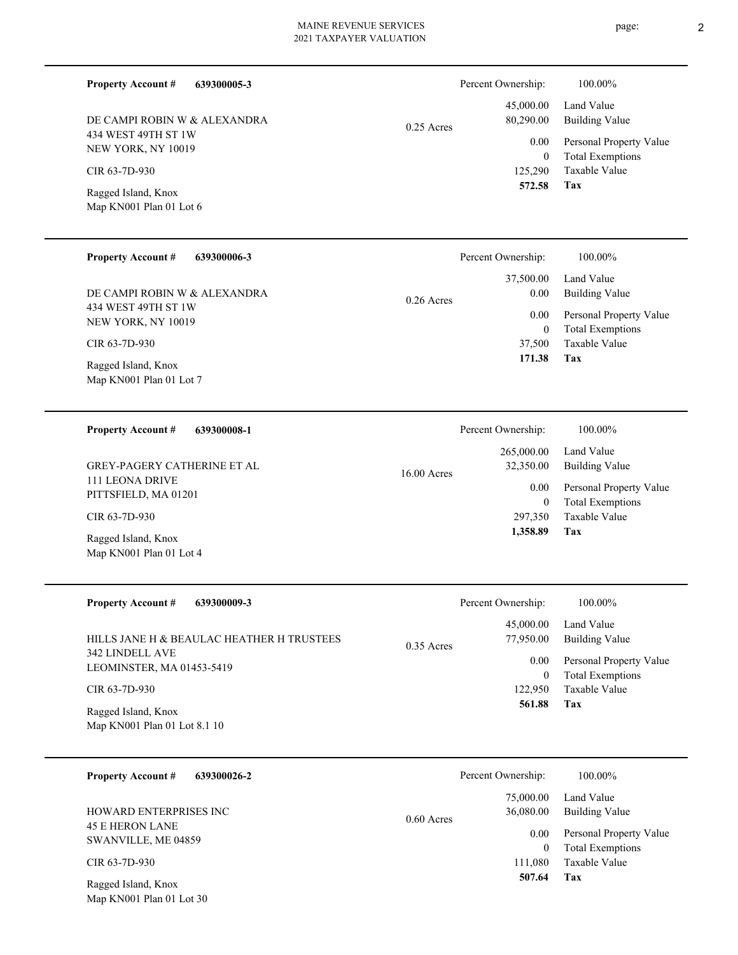| <b>Property Account #</b> | 639300005-3 |
|---------------------------|-------------|

434 WEST 49TH ST 1W NEW YORK, NY 10019 DE CAMPI ROBIN W & ALEXANDRA

CIR 63-7D-930

Map KN001 Plan 01 Lot 6 Ragged Island, Knox

#### **639300006-3 Property Account #**

434 WEST 49TH ST 1W NEW YORK, NY 10019 DE CAMPI ROBIN W & ALEXANDRA

CIR 63-7D-930

Map KN001 Plan 01 Lot 7 Ragged Island, Knox

# **639300008-1** 111 LEONA DRIVE PITTSFIELD, MA 01201 **Property Account #** GREY-PAGERY CATHERINE ET AL

CIR 63-7D-930

Map KN001 Plan 01 Lot 4 Ragged Island, Knox

| <b>Property Account #</b><br>639300009-3            | Percent Ownership:        | 100.00%                 |
|-----------------------------------------------------|---------------------------|-------------------------|
|                                                     | 45,000.00                 | Land Value              |
| HILLS JANE H & BEAULAC HEATHER H TRUSTEES           | 77,950.00<br>$0.35$ Acres | <b>Building Value</b>   |
| 342 LINDELL AVE<br>LEOMINSTER, MA 01453-5419        | 0.00                      | Personal Property Value |
|                                                     | 0                         | <b>Total Exemptions</b> |
| CIR 63-7D-930                                       | 122,950                   | Taxable Value           |
| Ragged Island, Knox<br>Map KN001 Plan 01 Lot 8.1 10 | 561.88                    | Tax                     |

| 639300026-2<br><b>Property Account #</b>      | Percent Ownership:                     | 100.00%                                            |
|-----------------------------------------------|----------------------------------------|----------------------------------------------------|
| HOWARD ENTERPRISES INC                        | 75,000.00<br>36,080.00<br>$0.60$ Acres | Land Value<br><b>Building Value</b>                |
| <b>45 E HERON LANE</b><br>SWANVILLE, ME 04859 | 0.00<br>$\boldsymbol{0}$               | Personal Property Value<br><b>Total Exemptions</b> |
| CIR 63-7D-930                                 | 111.080                                | Taxable Value                                      |
| Ragged Island, Knox                           | 507.64                                 | Tax                                                |

Map KN001 Plan 01 Lot 30

|              | Percent Ownership: | 100.00%                 |
|--------------|--------------------|-------------------------|
| $0.25$ Acres | 45,000.00          | Land Value              |
|              | 80,290.00          | Building Value          |
|              | 0.00               | Personal Property Value |
|              | 0                  | <b>Total Exemptions</b> |
|              | 125,290            | Taxable Value           |
|              | 572.58             | Tax                     |

|              | Percent Ownership: | 100.00%                 |
|--------------|--------------------|-------------------------|
| $0.26$ Acres |                    | 37,500.00 Land Value    |
|              | 0.00               | Building Value          |
|              | 0.00               | Personal Property Value |
|              | $\theta$           | <b>Total Exemptions</b> |
|              | 37,500             | Taxable Value           |
|              | 171.38             | Tax                     |

|               | Percent Ownership: | 100.00%                 |
|---------------|--------------------|-------------------------|
| $16.00$ Acres | 265,000.00         | Land Value              |
|               | 32,350.00          | Building Value          |
|               | 0.00               | Personal Property Value |
|               | 0                  | <b>Total Exemptions</b> |
|               | 297,350            | Taxable Value           |
|               | 1,358.89           | Tax                     |
|               |                    |                         |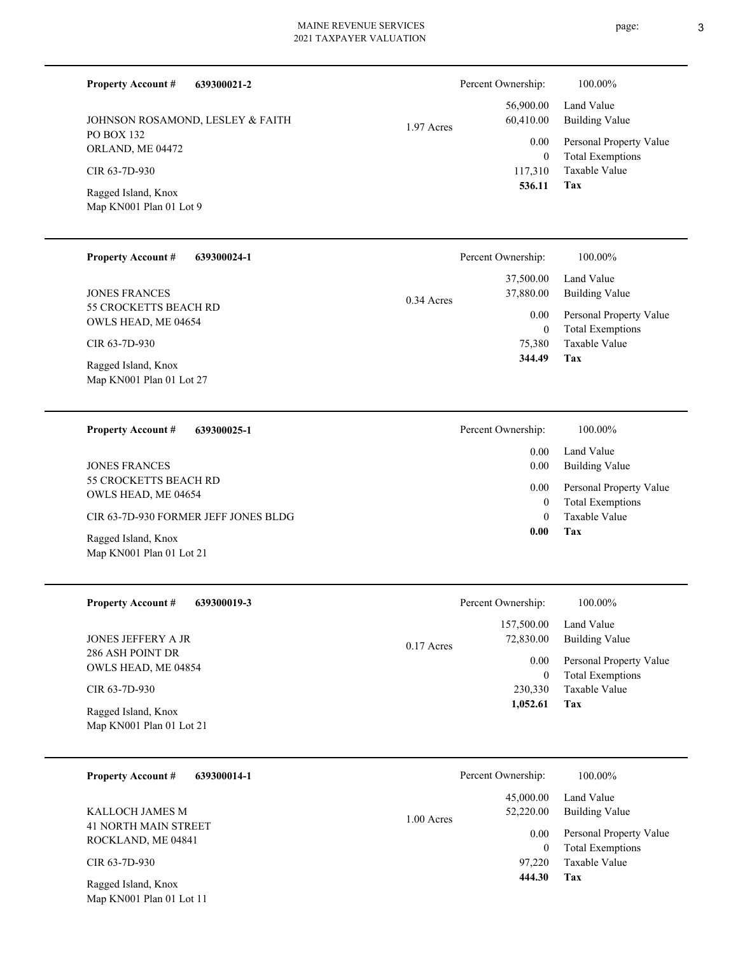| <b>Property Account #</b><br>639300021-2             | Percent Ownership:                    | 100.00%                                            |
|------------------------------------------------------|---------------------------------------|----------------------------------------------------|
| JOHNSON ROSAMOND, LESLEY & FAITH                     | 56,900.00<br>60,410.00<br>1.97 Acres  | Land Value<br><b>Building Value</b>                |
| <b>PO BOX 132</b><br>ORLAND, ME 04472                | 0.00<br>$\overline{0}$                | Personal Property Value<br><b>Total Exemptions</b> |
| CIR 63-7D-930                                        | 117,310<br>536.11                     | <b>Taxable Value</b><br>Tax                        |
| Ragged Island, Knox<br>Map KN001 Plan 01 Lot 9       |                                       |                                                    |
| <b>Property Account #</b><br>639300024-1             | Percent Ownership:                    | 100.00%                                            |
| <b>JONES FRANCES</b>                                 | 37,500.00<br>37,880.00<br>0.34 Acres  | Land Value<br><b>Building Value</b>                |
| 55 CROCKETTS BEACH RD<br>OWLS HEAD, ME 04654         | 0.00<br>$\overline{0}$                | Personal Property Value<br><b>Total Exemptions</b> |
| CIR 63-7D-930                                        | 75,380                                | Taxable Value                                      |
| Ragged Island, Knox<br>Map KN001 Plan 01 Lot 27      | 344.49                                | Tax                                                |
| <b>Property Account #</b><br>639300025-1             | Percent Ownership:                    | 100.00%                                            |
|                                                      | 0.00                                  | Land Value                                         |
| <b>JONES FRANCES</b><br><b>55 CROCKETTS BEACH RD</b> | 0.00<br>0.00                          | <b>Building Value</b><br>Personal Property Value   |
| OWLS HEAD, ME 04654                                  | $\overline{0}$                        | <b>Total Exemptions</b>                            |
| CIR 63-7D-930 FORMER JEFF JONES BLDG                 | $\theta$<br>0.00                      | Taxable Value<br>Tax                               |
| Ragged Island, Knox<br>Map KN001 Plan 01 Lot 21      |                                       |                                                    |
| <b>Property Account #</b><br>639300019-3             | Percent Ownership:                    | 100.00%                                            |
| JONES JEFFERY A JR                                   | 157,500.00<br>72,830.00<br>0.17 Acres | Land Value<br><b>Building Value</b>                |
| 286 ASH POINT DR<br>OWLS HEAD, ME 04854              | 0.00                                  | Personal Property Value                            |
| CIR 63-7D-930                                        | $\boldsymbol{0}$<br>230,330           | <b>Total Exemptions</b><br>Taxable Value           |

Map KN001 Plan 01 Lot 21 Ragged Island, Knox

| <b>Property Account #</b><br>639300014-1          | Percent Ownership:                   | 100.00%                                            |
|---------------------------------------------------|--------------------------------------|----------------------------------------------------|
| KALLOCH JAMES M                                   | 45,000.00<br>52,220.00<br>1.00 Acres | Land Value<br><b>Building Value</b>                |
| <b>41 NORTH MAIN STREET</b><br>ROCKLAND, ME 04841 | 0.00<br>$\overline{0}$               | Personal Property Value<br><b>Total Exemptions</b> |
| CIR 63-7D-930                                     | 97,220                               | Taxable Value                                      |
| Ragged Island, Knox<br>Map KN001 Plan 01 Lot 11   | 444.30                               | Tax                                                |

**Tax 1,052.61**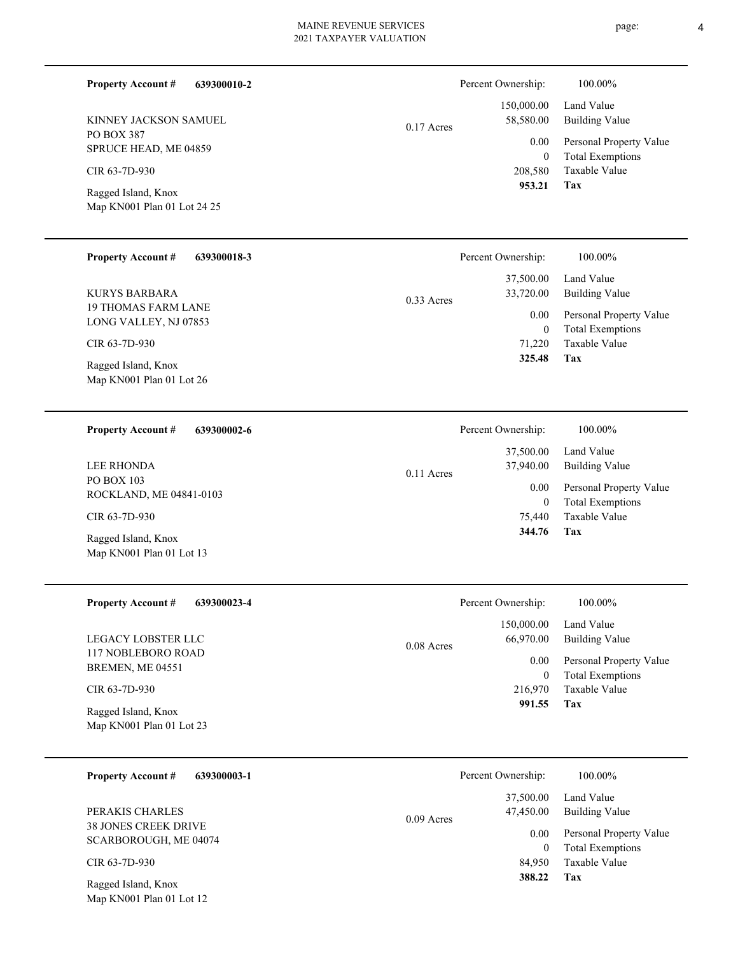0.17 Acres

CIR 63-7D-930

PO BOX 387

**Property Account #**

Map KN001 Plan 01 Lot 24 25 Ragged Island, Knox

SPRUCE HEAD, ME 04859

KINNEY JACKSON SAMUEL

| <b>Property Account #</b> | 639300018-3 |
|---------------------------|-------------|
|---------------------------|-------------|

**639300010-2**

19 THOMAS FARM LANE LONG VALLEY, NJ 07853 KURYS BARBARA

CIR 63-7D-930

Map KN001 Plan 01 Lot 26 Ragged Island, Knox

PO BOX 103 ROCKLAND, ME 04841-0103 LEE RHONDA

CIR 63-7D-930

Map KN001 Plan 01 Lot 13 Ragged Island, Knox

| <b>Property Account #</b> | 639300023-4 |
|---------------------------|-------------|
|---------------------------|-------------|

117 NOBLEBORO ROAD BREMEN, ME 04551 LEGACY LOBSTER LLC

CIR 63-7D-930

Map KN001 Plan 01 Lot 23 Ragged Island, Knox

|  | <b>Property Account #</b> | 639300003-1 |
|--|---------------------------|-------------|
|--|---------------------------|-------------|

38 JONES CREEK DRIVE SCARBOROUGH, ME 04074 PERAKIS CHARLES

CIR 63-7D-930

Map KN001 Plan 01 Lot 12 Ragged Island, Knox

|              | Percent Ownership: | 100.00%                 |
|--------------|--------------------|-------------------------|
|              |                    | 37,500.00 Land Value    |
| $0.33$ Acres | 33,720.00          | <b>Building Value</b>   |
|              | 0.00               | Personal Property Value |
|              | $\theta$           | <b>Total Exemptions</b> |
|              | 71.220             | Taxable Value           |
|              | 325.48             | Tax                     |

| Percent Ownership: | 100.00%                 |
|--------------------|-------------------------|
| 37,500.00          | Land Value              |
| 37,940.00          | <b>Building Value</b>   |
| 0.00               | Personal Property Value |
| 0                  | <b>Total Exemptions</b> |
| 75,440             | Taxable Value           |
| 344.76             | Tax                     |

0.11 Acres

|              | Percent Ownership: | 100.00%                 |
|--------------|--------------------|-------------------------|
|              | 150,000.00         | Land Value              |
| $0.08$ Acres | 66,970.00          | Building Value          |
|              | 0.00               | Personal Property Value |
|              | 0                  | <b>Total Exemptions</b> |
|              | 216,970            | Taxable Value           |
|              | 991.55             | Tax                     |
|              |                    |                         |

|              | Percent Ownership: | 100.00%                 |
|--------------|--------------------|-------------------------|
|              | 37,500.00          | Land Value              |
| $0.09$ Acres | 47,450.00          | Building Value          |
|              | 0.00               | Personal Property Value |
|              | $\Omega$           | <b>Total Exemptions</b> |
|              | 84,950             | Taxable Value           |
|              | 388.22             | Tax                     |
|              |                    |                         |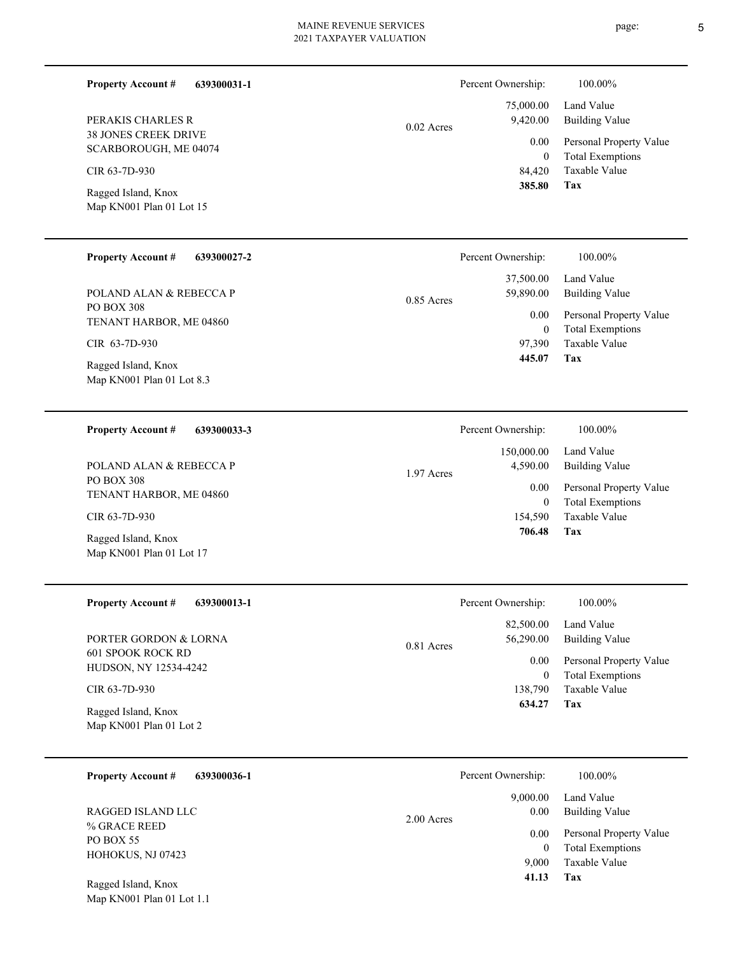**639300031-1**

38 JONES CREEK DRIVE SCARBOROUGH, ME 04074 PERAKIS CHARLES R

CIR 63-7D-930

**Property Account #**

Map KN001 Plan 01 Lot 15 Ragged Island, Knox

#### **639300027-2 Property Account #**

PO BOX 308 TENANT HARBOR, ME 04860 POLAND ALAN & REBECCA P

CIR 63-7D-930

Map KN001 Plan 01 Lot 8.3 Ragged Island, Knox

#### **639300033-3 Property Account #**

PO BOX 308 TENANT HARBOR, ME 04860 POLAND ALAN & REBECCA P

CIR 63-7D-930

Map KN001 Plan 01 Lot 17 Ragged Island, Knox

#### **639300013-1 Property Account #**

601 SPOOK ROCK RD HUDSON, NY 12534-4242 PORTER GORDON & LORNA

# CIR 63-7D-930

Map KN001 Plan 01 Lot 2 Ragged Island, Knox

#### **639300036-1 Property Account #**

% GRACE REED PO BOX 55 HOHOKUS, NJ 07423 RAGGED ISLAND LLC

Map KN001 Plan 01 Lot 1.1 Ragged Island, Knox

#### **Tax** Taxable Value Total Exemptions Personal Property Value Building Value Land Value 84,420 0  **385.80** 75,000.00 9,420.00 0.00 0.02 Acres Percent Ownership: 100.00%

|              | Percent Ownership: | 100.00%                 |
|--------------|--------------------|-------------------------|
|              | 37,500.00          | Land Value              |
| $0.85$ Acres | 59,890.00          | <b>Building Value</b>   |
|              | 0.00               | Personal Property Value |
|              | $\theta$           | <b>Total Exemptions</b> |
|              | 97,390             | Taxable Value           |
|              | 445.07             | Tax                     |

|            | Percent Ownership:     | 100.00%                      |
|------------|------------------------|------------------------------|
|            | 150,000.00<br>4,590.00 | Land Value<br>Building Value |
| 1.97 Acres | 0.00                   | Personal Property Value      |
|            | 0                      | <b>Total Exemptions</b>      |
|            | 154,590                | Taxable Value                |
|            | 706.48                 | Tax                          |

|              | Percent Ownership: | 100.00%                 |
|--------------|--------------------|-------------------------|
|              | 82,500.00          | Land Value              |
| $0.81$ Acres | 56,290.00          | <b>Building Value</b>   |
|              | 0.00               | Personal Property Value |
|              | 0                  | <b>Total Exemptions</b> |
|              | 138,790            | Taxable Value           |
|              | 634.27             | Tax                     |

|              | Percent Ownership: | 100.00%                 |
|--------------|--------------------|-------------------------|
|              | 9,000.00           | Land Value              |
| $2.00$ Acres | 0.00               | <b>Building Value</b>   |
|              | 0.00               | Personal Property Value |
|              | $\theta$           | <b>Total Exemptions</b> |
|              | 9,000              | Taxable Value           |
|              | 41.13              | Tax                     |
|              |                    |                         |

page: 5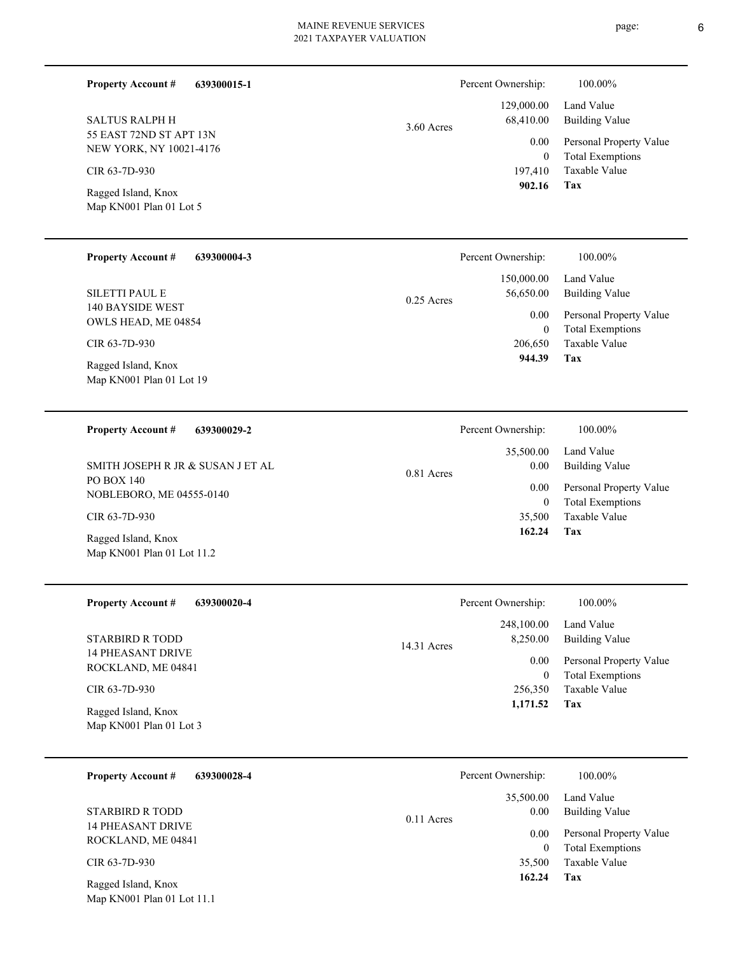**639300015-1 Property Account #**

55 EAST 72ND ST APT 13N NEW YORK, NY 10021-4176 SALTUS RALPH H

CIR 63-7D-930

Map KN001 Plan 01 Lot 5 Ragged Island, Knox

| <b>Property Account #</b> | 639300004-3 |
|---------------------------|-------------|
|---------------------------|-------------|

140 BAYSIDE WEST OWLS HEAD, ME 04854 SILETTI PAUL E

CIR 63-7D-930

Map KN001 Plan 01 Lot 19 Ragged Island, Knox

| <b>Property Account #</b> | 639300029-2 |
|---------------------------|-------------|
|---------------------------|-------------|

PO BOX 140 NOBLEBORO, ME 04555-0140 SMITH JOSEPH R JR & SUSAN J ET AL

CIR 63-7D-930

Map KN001 Plan 01 Lot 11.2 Ragged Island, Knox

| 639300020-4<br><b>Property Account #</b> |
|------------------------------------------|
|------------------------------------------|

14 PHEASANT DRIVE ROCKLAND, ME 04841 STARBIRD R TODD

CIR 63-7D-930

Map KN001 Plan 01 Lot 3 Ragged Island, Knox

|  | <b>Property Account #</b> | 639300028-4 |
|--|---------------------------|-------------|
|--|---------------------------|-------------|

14 PHEASANT DRIVE ROCKLAND, ME 04841 STARBIRD R TODD

CIR 63-7D-930

Map KN001 Plan 01 Lot 11.1 Ragged Island, Knox

|              | Percent Ownership: | 100.00%                 |
|--------------|--------------------|-------------------------|
|              | 150,000.00         | Land Value              |
| $0.25$ Acres | 56,650.00          | Building Value          |
|              | 0.00               | Personal Property Value |
|              | $\theta$           | <b>Total Exemptions</b> |
|              | 206,650            | Taxable Value           |
|              | 944.39             | Tax                     |

| Percent Ownership: | 100.00%                                            |
|--------------------|----------------------------------------------------|
| 35,500.00<br>0.00  | Land Value<br>Building Value                       |
| $0.00\,$<br>0      | Personal Property Value<br><b>Total Exemptions</b> |
| 35,500             | Taxable Value                                      |
| 162.24             | Tax                                                |

0.81 Acres

|               | Percent Ownership:    | 100.00%                 |
|---------------|-----------------------|-------------------------|
|               | 248,100.00 Land Value |                         |
| $14.31$ Acres | 8,250.00              | <b>Building Value</b>   |
|               | 0.00                  | Personal Property Value |
|               | 0                     | <b>Total Exemptions</b> |
|               | 256,350               | Taxable Value           |
|               | 1,171.52              | Tax                     |

|              | Percent Ownership: | 100.00%                 |
|--------------|--------------------|-------------------------|
| $0.11$ Acres | 35,500.00          | Land Value              |
|              | 0.00               | <b>Building Value</b>   |
|              | 0.00               | Personal Property Value |
|              | $\Omega$           | <b>Total Exemptions</b> |
|              | 35,500             | Taxable Value           |
|              | 162.24             | Tax                     |
|              |                    |                         |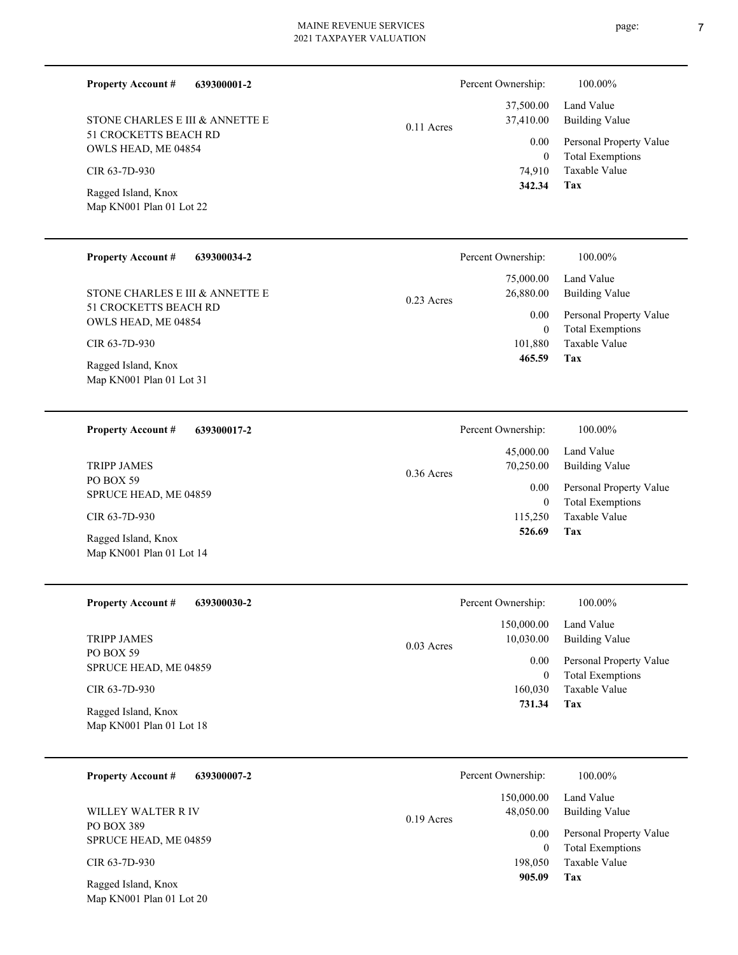| <b>Property Account #</b><br>639300001-2<br>STONE CHARLES E III & ANNETTE E<br>51 CROCKETTS BEACH RD<br>OWLS HEAD, ME 04854<br>CIR 63-7D-930<br>Ragged Island, Knox<br>Map KN001 Plan 01 Lot 22 | 100.00%<br>Percent Ownership:<br>37,500.00<br>Land Value<br>37,410.00<br><b>Building Value</b><br>$0.11$ Acres<br>Personal Property Value<br>0.00<br><b>Total Exemptions</b><br>$\overline{0}$<br>Taxable Value<br>74,910<br>342.34<br>Tax         |
|-------------------------------------------------------------------------------------------------------------------------------------------------------------------------------------------------|----------------------------------------------------------------------------------------------------------------------------------------------------------------------------------------------------------------------------------------------------|
| <b>Property Account #</b><br>639300034-2<br>STONE CHARLES E III & ANNETTE E<br>51 CROCKETTS BEACH RD<br>OWLS HEAD, ME 04854<br>CIR 63-7D-930<br>Ragged Island, Knox<br>Map KN001 Plan 01 Lot 31 | Percent Ownership:<br>100.00%<br>Land Value<br>75,000.00<br>26,880.00<br><b>Building Value</b><br>$0.23$ Acres<br>Personal Property Value<br>0.00<br><b>Total Exemptions</b><br>$\overline{0}$<br><b>Taxable Value</b><br>101.880<br>465.59<br>Tax |
| <b>Property Account #</b><br>639300017-2<br><b>TRIPP JAMES</b><br>PO BOX 59<br>SPRUCE HEAD, ME 04859<br>CIR 63-7D-930<br>Ragged Island, Knox<br>Map KN001 Plan 01 Lot 14                        | Percent Ownership:<br>100.00%<br>Land Value<br>45,000.00<br>70,250.00<br><b>Building Value</b><br>$0.36$ Acres<br>Personal Property Value<br>0.00<br><b>Total Exemptions</b><br>$\overline{0}$<br>Taxable Value<br>115,250<br>526.69<br>Tax        |
| <b>Property Account #</b><br>639300030-2<br><b>TRIPP JAMES</b><br>PO BOX 59<br>SPRUCE HEAD, ME 04859<br>CIR 63-7D-930<br>Ragged Island, Knox<br>Map KN001 Plan 01 Lot 18                        | Percent Ownership:<br>100.00%<br>150,000.00<br>Land Value<br>10,030.00<br><b>Building Value</b><br>0.03 Acres<br>0.00<br>Personal Property Value<br><b>Total Exemptions</b><br>$\mathbf{0}$<br>Taxable Value<br>160,030<br>731.34<br>Tax           |
| <b>Property Account #</b><br>639300007-2<br>WILLEY WALTER R IV                                                                                                                                  | Percent Ownership:<br>100.00%<br>Land Value<br>150,000.00<br><b>Building Value</b><br>48,050.00                                                                                                                                                    |

PO BOX 389 SPRUCE HEAD, ME 04859

CIR 63-7D-930

Map KN001 Plan 01 Lot 20 Ragged Island, Knox

**Tax**

 198,050  $\boldsymbol{0}$ 

0.19 Acres

0.00

 **905.09**

Taxable Value Total Exemptions Personal Property Value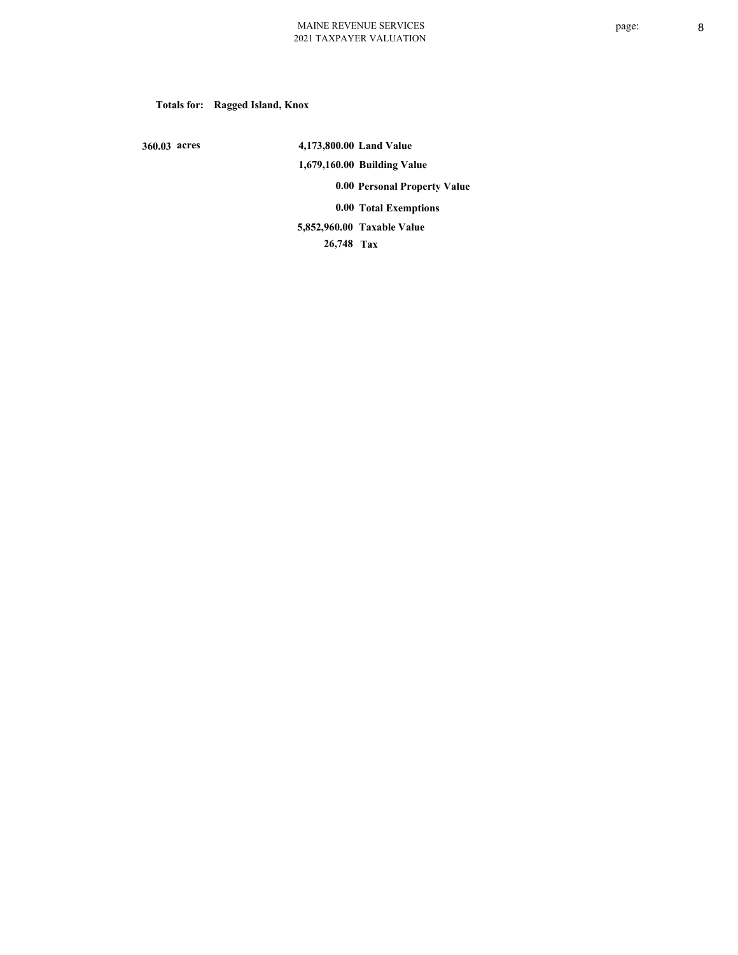**Totals for: Ragged Island, Knox**

 **360.03 acres**

 **4,173,800.00 Land Value 1,679,160.00 Building Value 0.00 Personal Property Value 0.00 Total Exemptions Taxable Value 5,852,960.00**

 **26,748 Tax**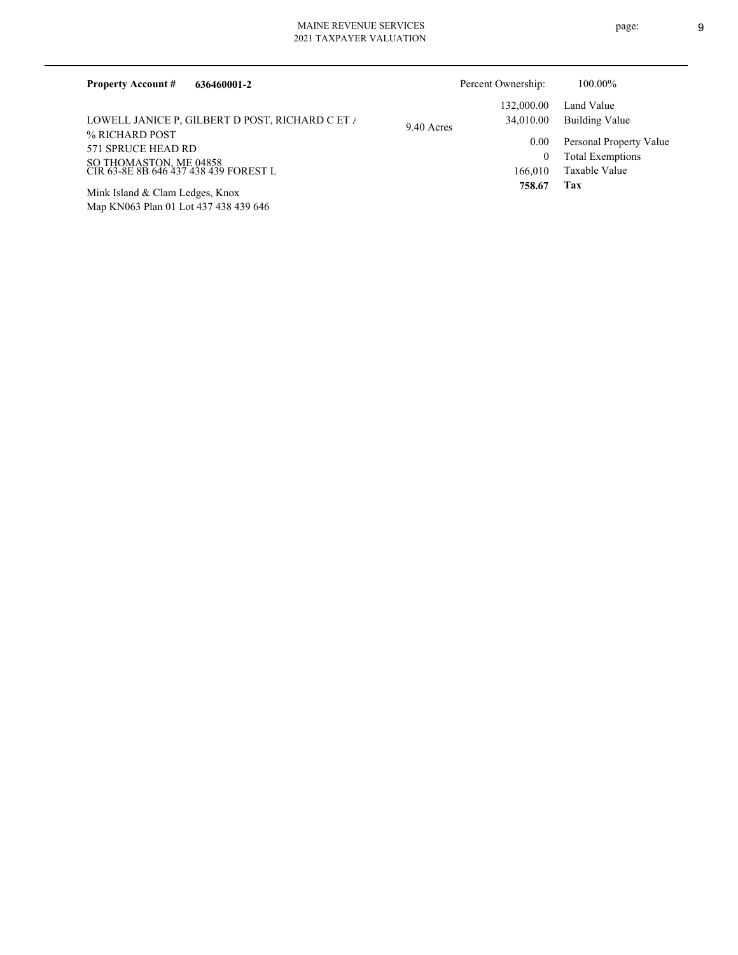| 636460001-2<br><b>Property Account #</b>                        |            | Percent Ownership: | 100.00%                 |
|-----------------------------------------------------------------|------------|--------------------|-------------------------|
|                                                                 |            | 132,000.00         | Land Value              |
| LOWELL JANICE P, GILBERT D POST, RICHARD C ET /                 | 9.40 Acres | 34,010.00          | Building Value          |
| % RICHARD POST                                                  |            | 0.00               | Personal Property Value |
| 571 SPRUCE HEAD RD                                              |            | 0                  | <b>Total Exemptions</b> |
| SO THOMASTON, ME 04858<br>CIR 63-8E 8B 646 437 438 439 FOREST L |            | 166,010            | Taxable Value           |
| Mink Island & Clam Ledges, Knox                                 |            | 758.67             | Tax                     |
| Map KN063 Plan 01 Lot 437 438 439 646                           |            |                    |                         |

page: 9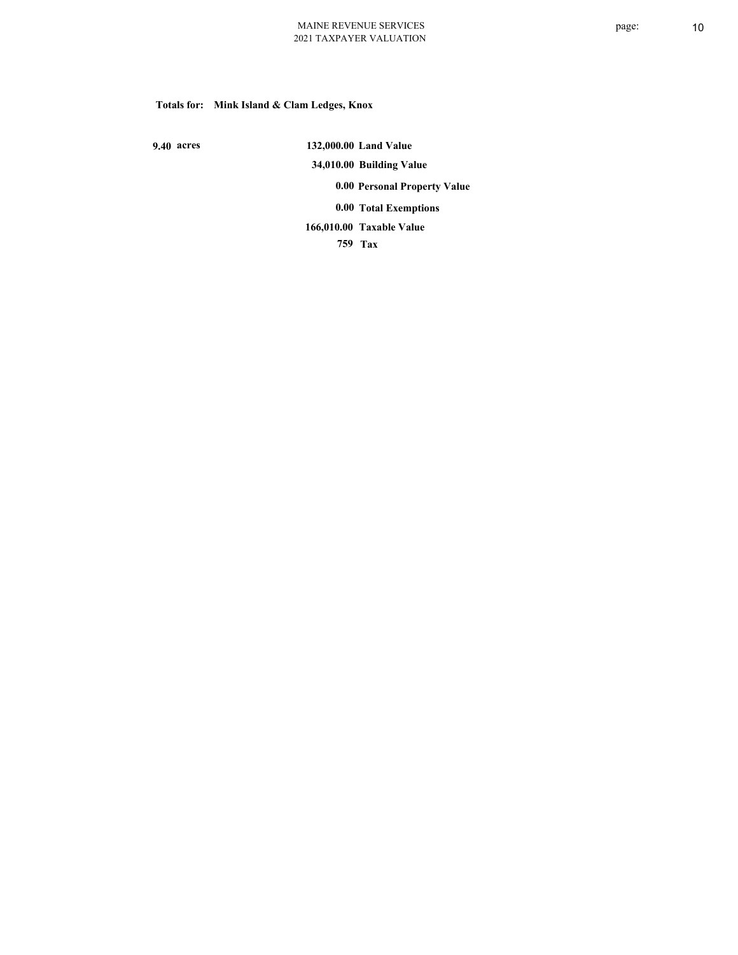# **Totals for: Mink Island & Clam Ledges, Knox**

 **9.40 acres**

 **132,000.00 Land Value 34,010.00 Building Value 0.00 Personal Property Value 0.00 Total Exemptions Taxable Value 166,010.00**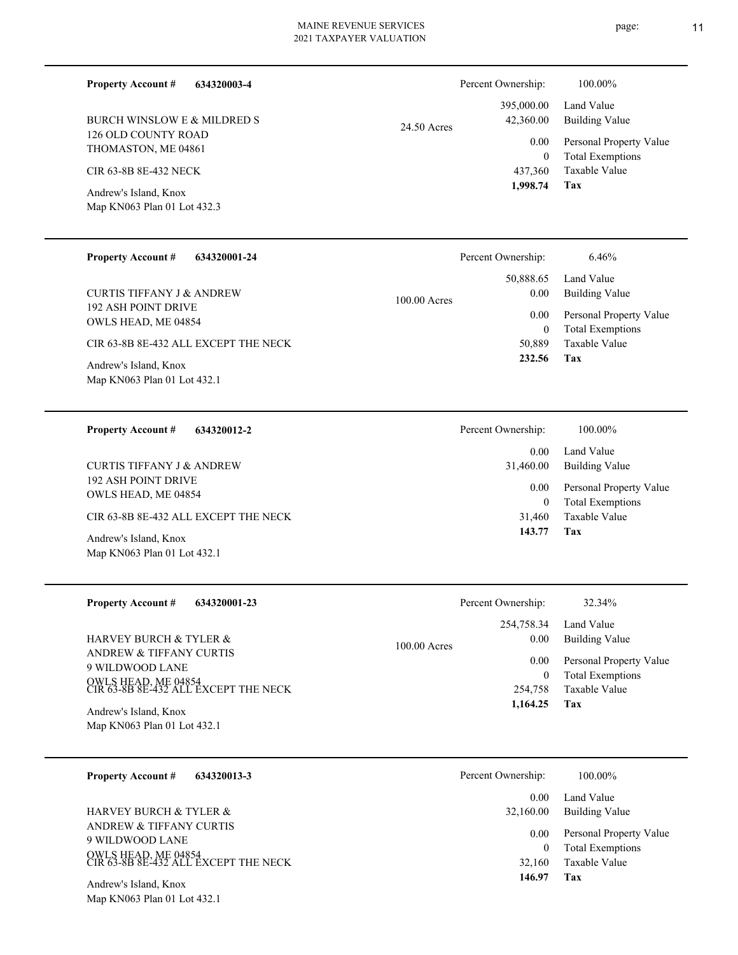**634320003-4 Property Account #**

126 OLD COUNTY ROAD THOMASTON, ME 04861 BURCH WINSLOW E & MILDRED S

CIR 63-8B 8E-432 NECK

Map KN063 Plan 01 Lot 432.3 Andrew's Island, Knox

#### **634320001-24 Property Account #**

192 ASH POINT DRIVE OWLS HEAD, ME 04854 CURTIS TIFFANY J & ANDREW

CIR 63-8B 8E-432 ALL EXCEPT THE NECK

Map KN063 Plan 01 Lot 432.1 Andrew's Island, Knox

# **634320012-2** 192 ASH POINT DRIVE **Property Account #** CURTIS TIFFANY J & ANDREW

CIR 63-8B 8E-432 ALL EXCEPT THE NECK

Map KN063 Plan 01 Lot 432.1 Andrew's Island, Knox

OWLS HEAD, ME 04854

| <b>Property Account #</b><br>634320001-23                                                                                                                                              | Percent Ownership:                                                                    | 32.34%                                                                                                     |
|----------------------------------------------------------------------------------------------------------------------------------------------------------------------------------------|---------------------------------------------------------------------------------------|------------------------------------------------------------------------------------------------------------|
| <b>HARVEY BURCH &amp; TYLER &amp;</b><br><b>ANDREW &amp; TIFFANY CURTIS</b><br>9 WILDWOOD LANE<br>OWLS HEAD, ME 04854<br>CIR 63-8B 8E-432 ALL EXCEPT THE NECK<br>Andrew's Island, Knox | 254,758.34<br>0.00<br>$100.00$ Acres<br>0.00<br>$\overline{0}$<br>254,758<br>1,164.25 | Land Value<br>Building Value<br>Personal Property Value<br><b>Total Exemptions</b><br>Taxable Value<br>Tax |
| Map KN063 Plan 01 Lot 432.1                                                                                                                                                            |                                                                                       |                                                                                                            |

| 634320013-3<br><b>Property Account #</b>                                                                  | Percent Ownership:  | 100.00%                                                             |
|-----------------------------------------------------------------------------------------------------------|---------------------|---------------------------------------------------------------------|
|                                                                                                           | 0.00                | Land Value                                                          |
| <b>HARVEY BURCH &amp; TYLER &amp;</b>                                                                     | 32,160.00           | Building Value                                                      |
| ANDREW & TIFFANY CURTIS<br>9 WILDWOOD LANE<br>OWLS HEAD, ME 04854<br>CIR 63-8B 8E-432 ALL EXCEPT THE NECK | 0.00<br>0<br>32,160 | Personal Property Value<br><b>Total Exemptions</b><br>Taxable Value |
| Andrew's Island, Knox                                                                                     | 146.97              | Tax                                                                 |

Map KN063 Plan 01 Lot 432.1

|             | Percent Ownership: | 100.00%                 |
|-------------|--------------------|-------------------------|
|             |                    | 395,000.00 Land Value   |
| 24.50 Acres | 42,360.00          | <b>Building Value</b>   |
|             | 0.00               | Personal Property Value |
|             | $\theta$           | <b>Total Exemptions</b> |
|             | 437.360            | Taxable Value           |
|             | 1,998.74           | Tax                     |

| Percent Ownership: | 100.00%                                            |
|--------------------|----------------------------------------------------|
| 0.00<br>31,460.00  | Land Value<br><b>Building Value</b>                |
| 0.00<br>0          | Personal Property Value<br><b>Total Exemptions</b> |
| 31,460             | Taxable Value                                      |

**Tax 143.77**

**Tax**

 50,889 0

 50,888.65 0.00 0.00

Percent Ownership: 6.46%

100.00 Acres

 **232.56**

Taxable Value Total Exemptions Personal Property Value

Building Value Land Value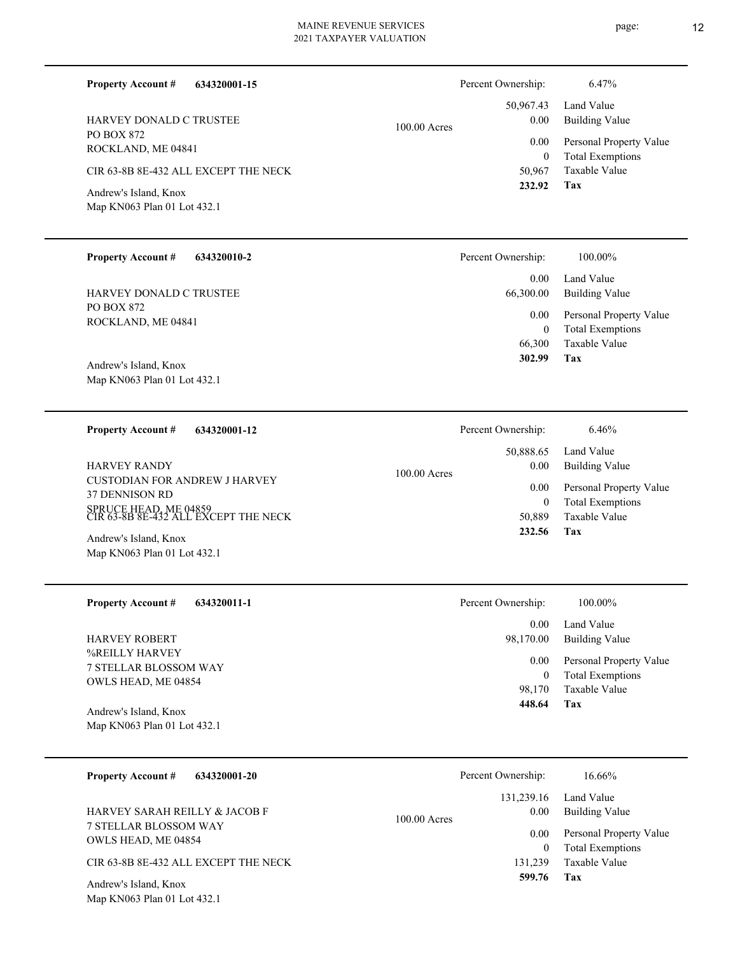**634320001-15**  $100.00 A$ 

PO BOX 872 ROCKLAND, ME 04841 HARVEY DONALD C TRUSTEE

**Property Account #**

CIR 63-8B 8E-432 ALL EXCEPT THE NECK

Map KN063 Plan 01 Lot 432.1 Andrew's Island, Knox

#### **634320010-2 Property Account #**

PO BOX 872 ROCKLAND, ME 04841 HARVEY DONALD C TRUSTEE

Map KN063 Plan 01 Lot 432.1 Andrew's Island, Knox

**Property Account #**

CUSTODIAN FOR ANDREW J HARVEY 37 DENNISON RD SPRUCE HEAD, ME 04859 CIR 63-8B 8E-432 ALL EXCEPT THE NECK HARVEY RANDY 100.00

**634320001-12**

Map KN063 Plan 01 Lot 432.1 Andrew's Island, Knox

**634320011-1 Property Account #**

%REILLY HARVEY 7 STELLAR BLOSSOM WAY OWLS HEAD, ME 04854 HARVEY ROBERT

Map KN063 Plan 01 Lot 432.1 Andrew's Island, Knox

| <b>Property Account #</b><br>634320001-20    | Percent Ownership:     | 16.66%                                             |
|----------------------------------------------|------------------------|----------------------------------------------------|
|                                              | 131,239.16             | Land Value                                         |
| <b>HARVEY SARAH REILLY &amp; JACOB F</b>     | 0.00<br>$100.00$ Acres | Building Value                                     |
| 7 STELLAR BLOSSOM WAY<br>OWLS HEAD, ME 04854 | 0.00<br>$\theta$       | Personal Property Value<br><b>Total Exemptions</b> |
| CIR 63-8B 8E-432 ALL EXCEPT THE NECK         | 131.239                | Taxable Value                                      |
| Andrew's Island, Knox                        | 599.76                 | Tax                                                |

Map KN063 Plan 01 Lot 432.1

|       | Percent Ownership: | 6.47%                   |
|-------|--------------------|-------------------------|
|       |                    | 50,967.43 Land Value    |
| Acres | 0.00               | <b>Building Value</b>   |
|       | $0.00\,$           | Personal Property Value |
|       | 0                  | <b>Total Exemptions</b> |
|       |                    | 50,967 Taxable Value    |
|       | 232.92             | Tax                     |

| Percent Ownership:    | 100.00%                      |
|-----------------------|------------------------------|
| $0.00 -$<br>66,300.00 | Land Value<br>Building Value |
| $0.00\,$              | Personal Property Value      |
| 0                     | <b>Total Exemptions</b>      |
| 66,300                | Taxable Value                |
| 302.99                | Tax                          |

|         | Percent Ownership: | 6.46%                   |
|---------|--------------------|-------------------------|
| ) Acres |                    | 50,888.65 Land Value    |
|         | $0.00\,$           | <b>Building Value</b>   |
|         | $0.00\,$           | Personal Property Value |
|         | 0                  | <b>Total Exemptions</b> |
|         |                    | 50,889 Taxable Value    |
|         | 232.56             | Tax                     |
|         |                    |                         |

| 448.64             | Tax                     |
|--------------------|-------------------------|
|                    | 98,170 Taxable Value    |
| $\theta$           | <b>Total Exemptions</b> |
| $0.00\,$           | Personal Property Value |
| 98,170.00          | Building Value          |
| $0.00 -$           | Land Value              |
| Percent Ownership: | 100.00%                 |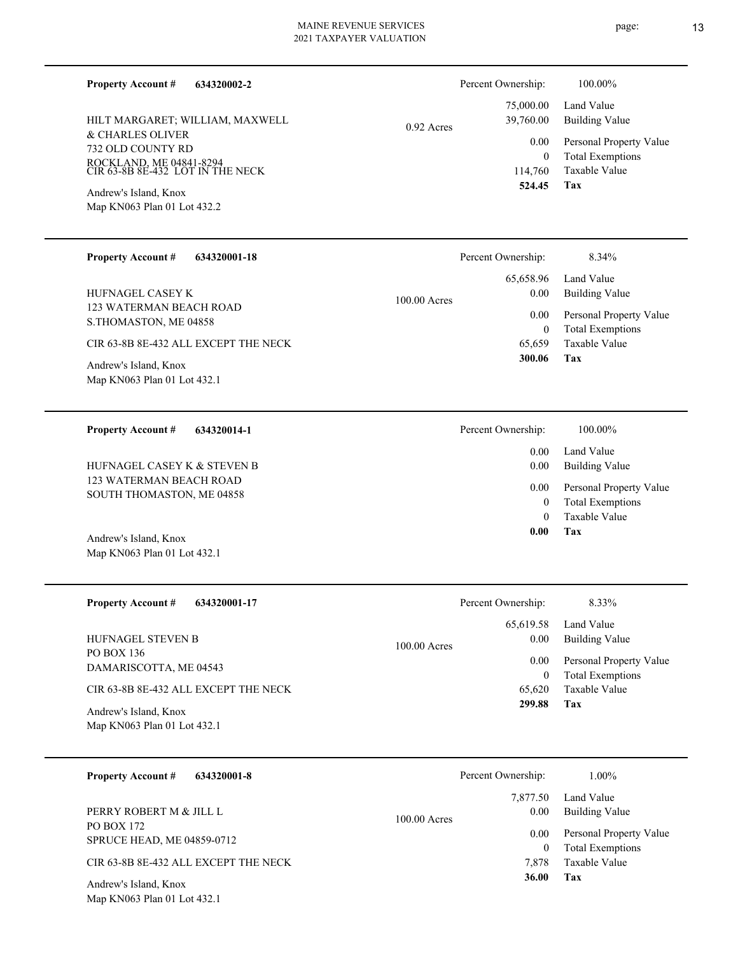| 634320002-2<br><b>Property Account #</b><br>HILT MARGARET; WILLIAM, MAXWELL<br>& CHARLES OLIVER<br>732 OLD COUNTY RD<br>ROCKLAND, ME 04841-8294<br>CIR 63-8B 8E-432 LOT IN THE NECK<br>Andrew's Island, Knox<br>Map KN063 Plan 01 Lot 432.2 | $0.92$ Acres   | Percent Ownership:<br>75,000.00<br>39,760.00<br>0.00<br>$\theta$<br>114,760<br>524.45 | 100.00%<br>Land Value<br><b>Building Value</b><br>Personal Property Value<br><b>Total Exemptions</b><br>Taxable Value<br>Tax |
|---------------------------------------------------------------------------------------------------------------------------------------------------------------------------------------------------------------------------------------------|----------------|---------------------------------------------------------------------------------------|------------------------------------------------------------------------------------------------------------------------------|
| <b>Property Account #</b>                                                                                                                                                                                                                   |                | Percent Ownership:                                                                    | 8.34%                                                                                                                        |
| 634320001-18                                                                                                                                                                                                                                |                | 65,658.96                                                                             | Land Value                                                                                                                   |
| <b>HUFNAGEL CASEY K</b>                                                                                                                                                                                                                     | $100.00$ Acres | 0.00                                                                                  | <b>Building Value</b>                                                                                                        |
| 123 WATERMAN BEACH ROAD                                                                                                                                                                                                                     |                | 0.00                                                                                  | Personal Property Value                                                                                                      |
| S.THOMASTON, ME 04858                                                                                                                                                                                                                       |                | $\theta$                                                                              | <b>Total Exemptions</b>                                                                                                      |

CIR 63-8B 8E-432 ALL EXCEPT THE NECK

Map KN063 Plan 01 Lot 432.1 Andrew's Island, Knox

**634320014-1 Property Account #**

123 WATERMAN BEACH ROAD SOUTH THOMASTON, ME 04858 HUFNAGEL CASEY K & STEVEN B

Map KN063 Plan 01 Lot 432.1 Andrew's Island, Knox

| <b>Property Account #</b><br>634320001-17            | Percent Ownership:                  | 8.33%                                              |
|------------------------------------------------------|-------------------------------------|----------------------------------------------------|
| HUFNAGEL STEVEN B<br>PO BOX 136                      | 65,619.58<br>0.00<br>$100.00$ Acres | Land Value<br>Building Value                       |
| DAMARISCOTTA, ME 04543                               | 0.00<br>$\mathbf{0}$                | Personal Property Value<br><b>Total Exemptions</b> |
| CIR 63-8B 8E-432 ALL EXCEPT THE NECK                 | 65,620                              | Taxable Value                                      |
| Andrew's Island, Knox<br>Map KN063 Plan 01 Lot 432.1 | 299.88                              | Tax                                                |

| <b>Property Account #</b><br>634320001-8             | Percent Ownership:                 | $1.00\%$                                           |
|------------------------------------------------------|------------------------------------|----------------------------------------------------|
| PERRY ROBERT M & JILL L                              | 7,877.50<br>0.00<br>$100.00$ Acres | Land Value<br><b>Building Value</b>                |
| PO BOX 172<br><b>SPRUCE HEAD, ME 04859-0712</b>      | 0.00<br>$\theta$                   | Personal Property Value<br><b>Total Exemptions</b> |
| CIR 63-8B 8E-432 ALL EXCEPT THE NECK                 | 7.878                              | Taxable Value                                      |
| Andrew's Island, Knox<br>Map KN063 Plan 01 Lot 432.1 | 36.00                              | Tax                                                |

**Tax** Taxable Value 65,659  **300.06** Land Value 0.00 Percent Ownership:  $100.00\%$ 

**Tax** Taxable Value Total Exemptions Personal Property Value Building Value 0 0  **0.00** 0.00 0.00

|      | Percent Ownership: | 8.33%                   |
|------|--------------------|-------------------------|
|      |                    | 65,619.58 Land Value    |
| res: | $0.00\,$           | <b>Building Value</b>   |
|      | $0.00\,$           | Personal Property Value |
|      | $\theta$           | <b>Total Exemptions</b> |
|      | 65.620             | Taxable Value           |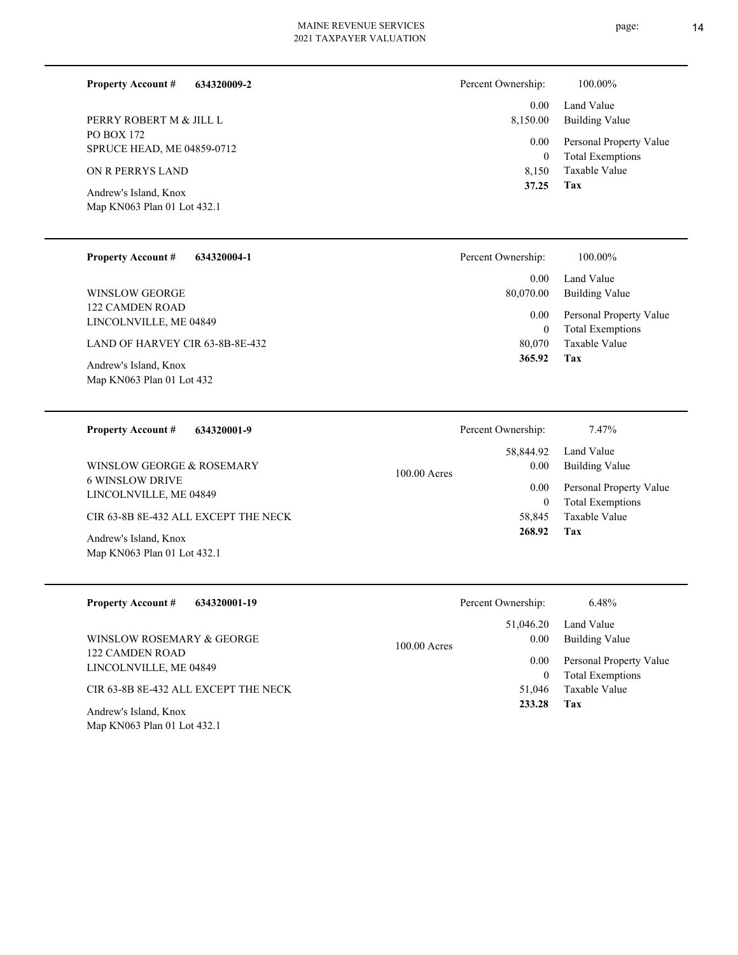| <b>Property Account #</b><br>634320009-2               | Percent Ownership: | 100.00%                                            |
|--------------------------------------------------------|--------------------|----------------------------------------------------|
|                                                        | 0.00               | Land Value                                         |
| PERRY ROBERT M & JILL L                                | 8,150.00           | Building Value                                     |
| <b>PO BOX 172</b><br><b>SPRUCE HEAD, ME 04859-0712</b> | 0.00<br>$\theta$   | Personal Property Value<br><b>Total Exemptions</b> |
| ON R PERRYS LAND                                       | 8.150              | Taxable Value                                      |
| Andrew's Island, Knox<br>Map KN063 Plan 01 Lot 432.1   | 37.25              | Tax                                                |

| <b>Property Account #</b><br>634320004-1                                                                                           | Percent Ownership:                   | 100.00%                                                                    |
|------------------------------------------------------------------------------------------------------------------------------------|--------------------------------------|----------------------------------------------------------------------------|
| <b>WINSLOW GEORGE</b>                                                                                                              | 0.00<br>80,070.00                    | Land Value<br><b>Building Value</b>                                        |
| 122 CAMDEN ROAD<br>LINCOLNVILLE, ME 04849<br>LAND OF HARVEY CIR 63-8B-8E-432<br>Andrew's Island, Knox<br>Map KN063 Plan 01 Lot 432 | 0.00<br>$\bf{0}$<br>80,070<br>365.92 | Personal Property Value<br><b>Total Exemptions</b><br>Taxable Value<br>Tax |
| <b>Property Account #</b><br>634320001-9                                                                                           | Percent Ownership:                   | 7.47%                                                                      |
|                                                                                                                                    | 58,844.92                            | Land Value                                                                 |
| WINSLOW GEORGE & ROSEMARY                                                                                                          | 0.00<br>$100.00$ Acres               | <b>Building Value</b>                                                      |
| <b>6 WINSLOW DRIVE</b><br>LINCOLNVILLE, ME 04849                                                                                   | 0.00                                 | Personal Property Value<br>m 1 m 1 m                                       |

CIR 63-8B 8E-432 ALL EXCEPT THE NECK

Map KN063 Plan 01 Lot 432.1 Andrew's Island, Knox

| <b>Property Account #</b><br>634320001-19 | Percent Ownership:     | 6.48%                   |
|-------------------------------------------|------------------------|-------------------------|
|                                           | 51,046.20              | Land Value              |
| WINSLOW ROSEMARY & GEORGE                 | 0.00<br>$100.00$ Acres | Building Value          |
| 122 CAMDEN ROAD<br>LINCOLNVILLE, ME 04849 | 0.00                   | Personal Property Value |
|                                           | $\bf{0}$               | <b>Total Exemptions</b> |
| CIR 63-8B 8E-432 ALL EXCEPT THE NECK      | 51.046                 | Taxable Value           |
| Andrew's Island, Knox                     | 233.28                 | Tax                     |
| Map KN063 Plan 01 Lot 432.1               |                        |                         |

**Tax 268.92**

0

58,845 Taxable Value

Total Exemptions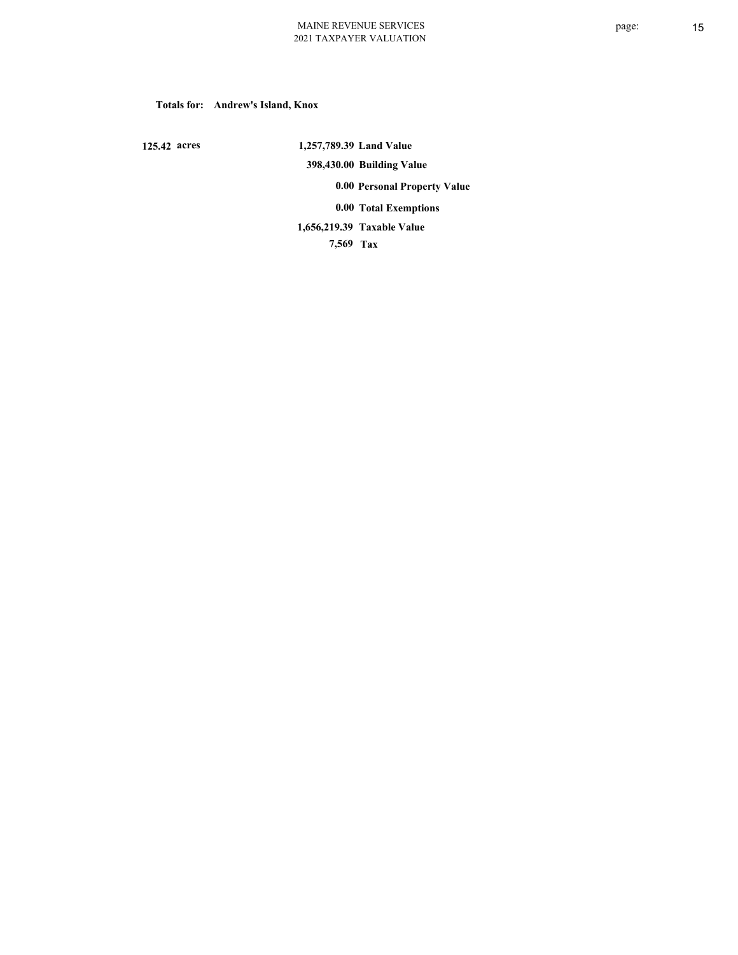### **Totals for: Andrew's Island, Knox**

 **125.42 acres**

 **1,257,789.39 Land Value 398,430.00 Building Value 0.00 Personal Property Value 0.00 Total Exemptions Taxable Value 1,656,219.39**

 **7,569 Tax**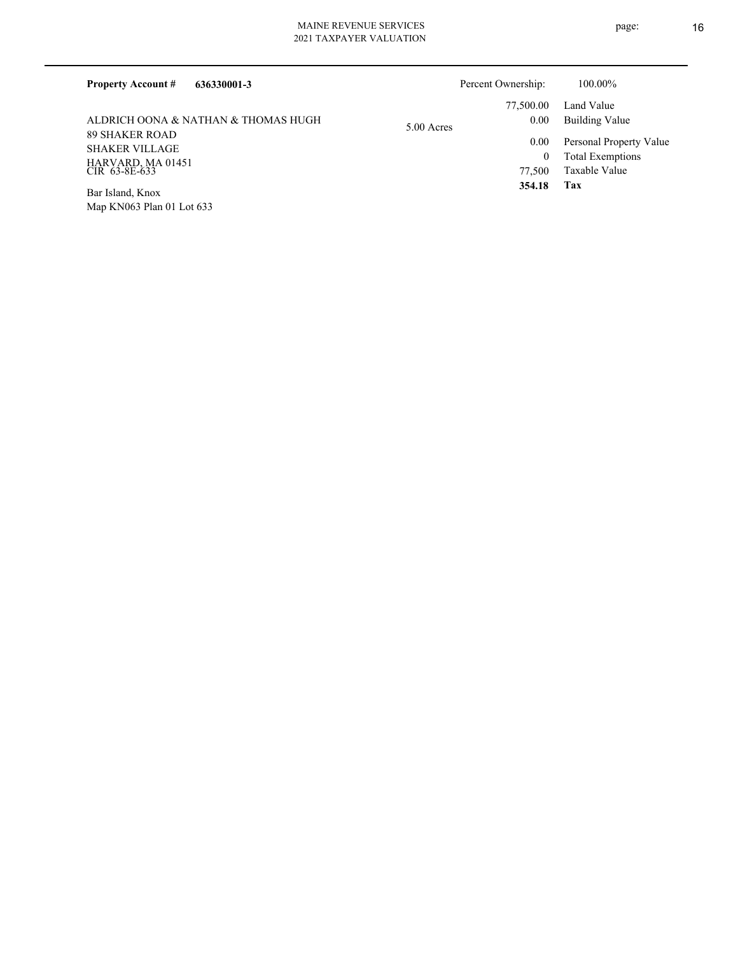| <b>Property Account #</b><br>636330001-3                                             | Percent Ownership:  | 100.00%                                                             |
|--------------------------------------------------------------------------------------|---------------------|---------------------------------------------------------------------|
|                                                                                      | 77,500.00           | Land Value                                                          |
| ALDRICH OONA & NATHAN & THOMAS HUGH                                                  | 0.00<br>5.00 Acres  | Building Value                                                      |
| <b>89 SHAKER ROAD</b><br><b>SHAKER VILLAGE</b><br>HARVARD, MA 01451<br>CIR 63-8E-633 | 0.00<br>0<br>77,500 | Personal Property Value<br><b>Total Exemptions</b><br>Taxable Value |
| Bar Island, Knox                                                                     | 354.18              | Tax                                                                 |

Map KN063 Plan 01 Lot 633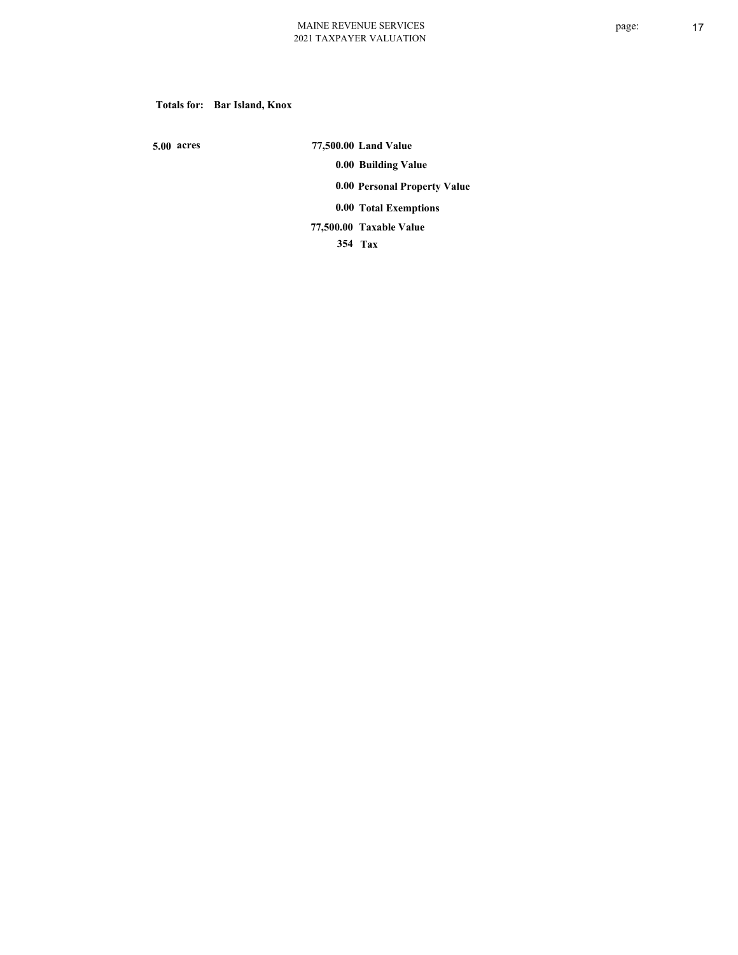**Totals for: Bar Island, Knox**

 **5.00 acres**

 **77,500.00 Land Value 0.00 Building Value 0.00 Personal Property Value 0.00 Total Exemptions Taxable Value 77,500.00**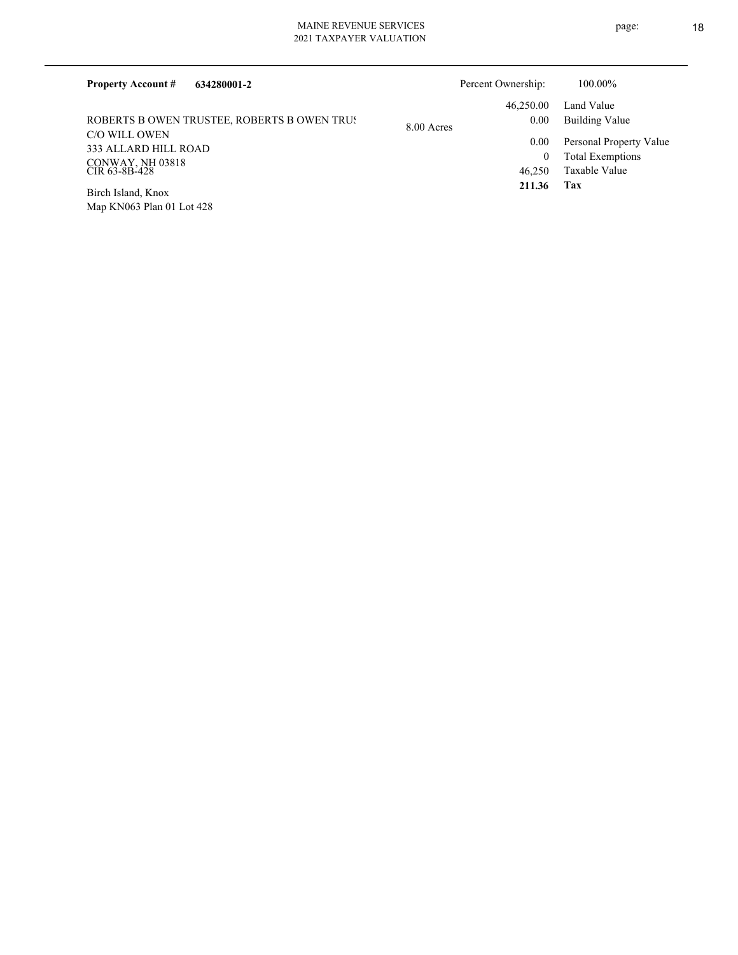| <b>Property Account #</b><br>634280001-2                                   |            | Percent Ownership:         | 100.00%                                                             |
|----------------------------------------------------------------------------|------------|----------------------------|---------------------------------------------------------------------|
| ROBERTS B OWEN TRUSTEE, ROBERTS B OWEN TRUS                                | 8.00 Acres | 46,250.00<br>0.00          | Land Value<br>Building Value                                        |
| C/O WILL OWEN<br>333 ALLARD HILL ROAD<br>CONWAY, NH 03818<br>CIR 63-8B-428 |            | 0.00<br>$\bf{0}$<br>46,250 | Personal Property Value<br><b>Total Exemptions</b><br>Taxable Value |
| Birch Island, Knox<br>Map KN063 Plan 01 Lot 428                            |            | 211.36                     | Tax                                                                 |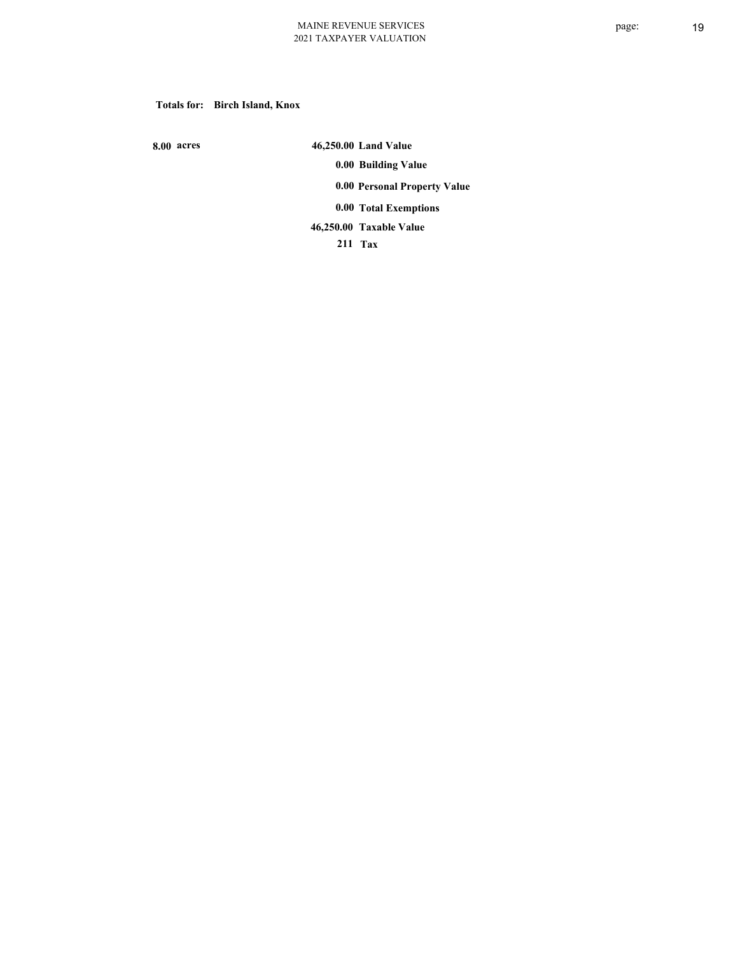### **Totals for: Birch Island, Knox**

 **8.00 acres**

 **46,250.00 Land Value 0.00 Building Value 0.00 Personal Property Value 0.00 Total Exemptions Taxable Value 46,250.00**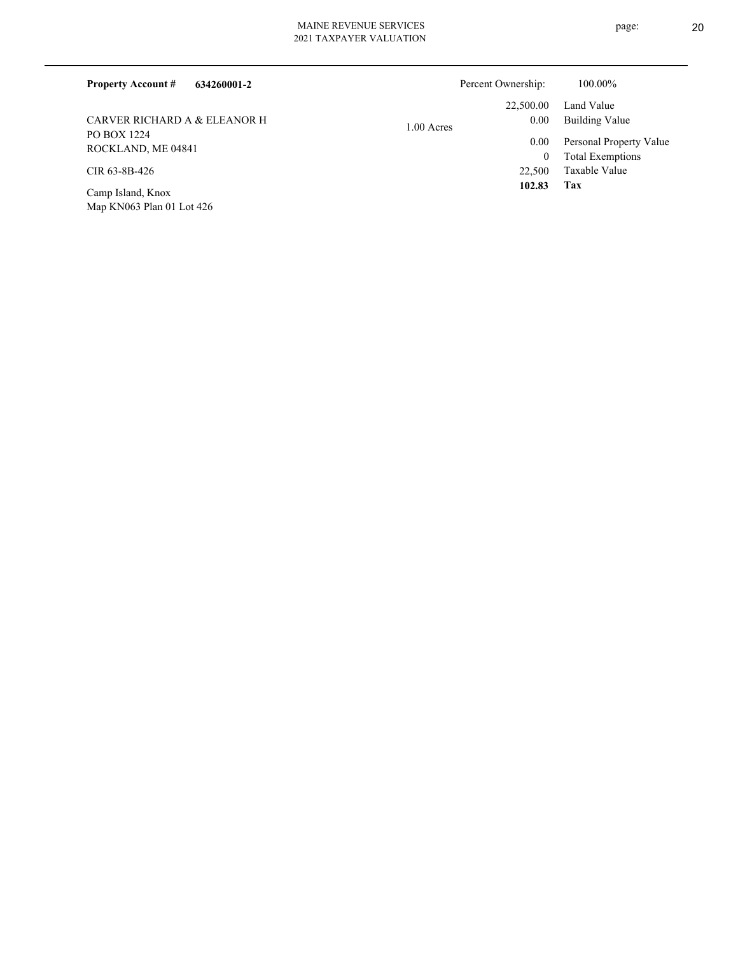| 634260001-2<br><b>Property Account #</b> | Percent Ownership:       | 100.00%                 |
|------------------------------------------|--------------------------|-------------------------|
|                                          | 22,500.00                | Land Value              |
| CARVER RICHARD A & ELEANOR H             | $0.00\,$<br>$1.00$ Acres | Building Value          |
| PO BOX 1224<br>ROCKLAND, ME 04841        | $0.00\,$                 | Personal Property Value |
|                                          | $\bf{0}$                 | <b>Total Exemptions</b> |
| CIR 63-8B-426                            | 22,500                   | Taxable Value           |
| Camp Island, Knox                        | 102.83                   | Tax                     |

Map KN063 Plan 01 Lot 426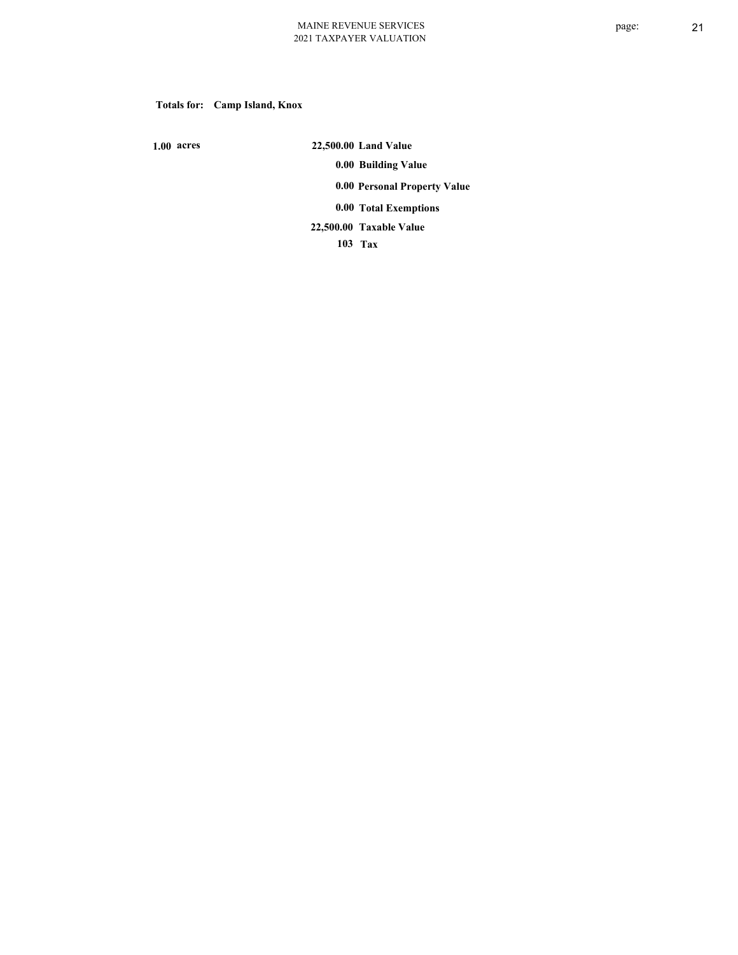# **Totals for: Camp Island, Knox**

 **1.00 acres**

 **22,500.00 Land Value 0.00 Building Value 0.00 Personal Property Value 0.00 Total Exemptions**

**Taxable Value 22,500.00**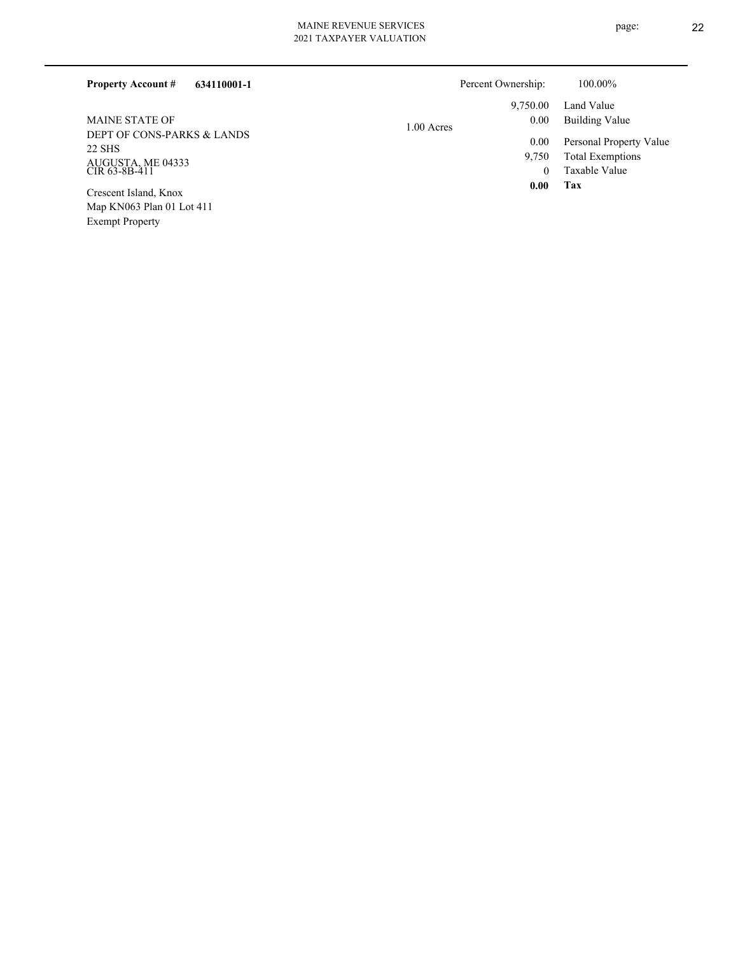| 2021 IAXPAYER VALUATION |  |
|-------------------------|--|
|                         |  |
|                         |  |
|                         |  |

| <b>Property Account #</b><br>634110001-1 |              | Percent Ownership: | 100.00%                 |
|------------------------------------------|--------------|--------------------|-------------------------|
|                                          |              | 9.750.00           | Land Value              |
| <b>MAINE STATE OF</b>                    | $1.00$ Acres | 0.00               | Building Value          |
| DEPT OF CONS-PARKS & LANDS<br>22 SHS     |              | 0.00               | Personal Property Value |
|                                          |              | 9.750              | <b>Total Exemptions</b> |
| AUGUSTA, ME 04333<br>CIR 63-8B-411       |              | 0                  | Taxable Value           |
| $\alpha$ $\alpha$ $\alpha$               |              | 0.00               | Tax                     |

Map KN063 Plan 01 Lot 411 Exempt Property Crescent Island, Knox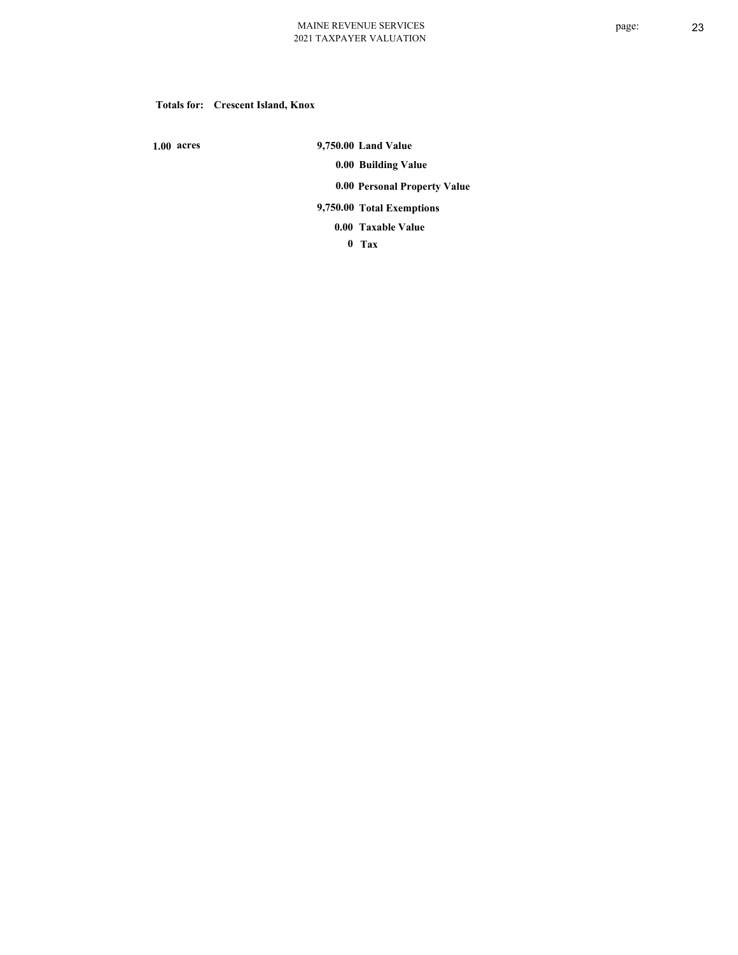### **Totals for: Crescent Island, Knox**

 **1.00 acres**

 **9,750.00 Land Value 0.00 Building Value 0.00 Personal Property Value 9,750.00 Total Exemptions**

**Taxable Value 0.00**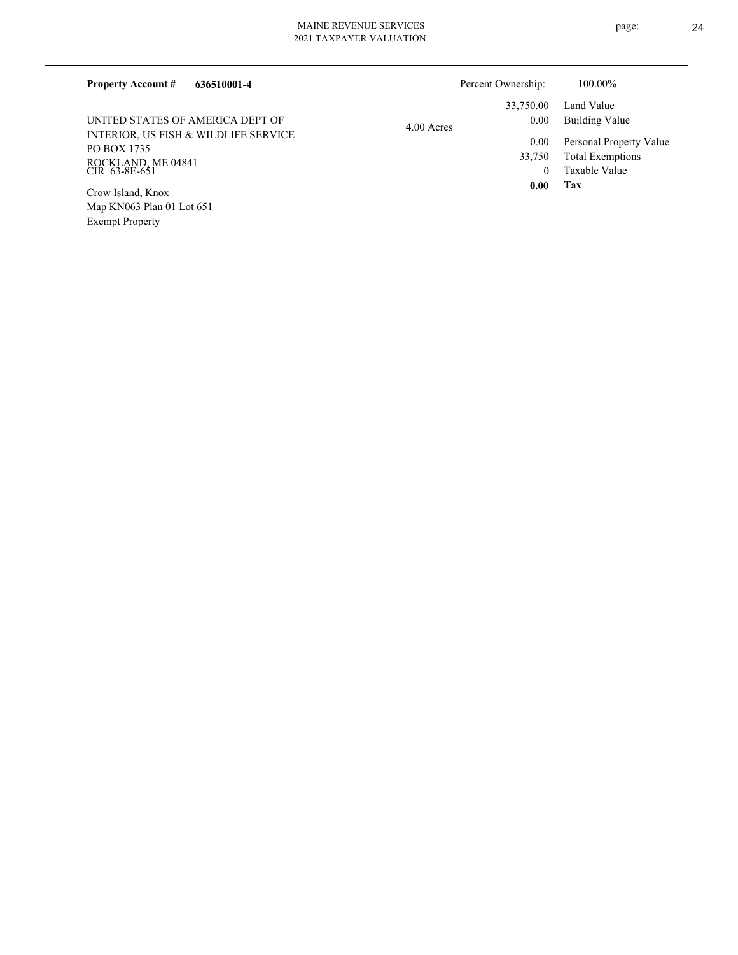| 636510001-4<br><b>Property Account #</b>                                                                                       |            | Percent Ownership:                              | 100.00%                                                                                                    |
|--------------------------------------------------------------------------------------------------------------------------------|------------|-------------------------------------------------|------------------------------------------------------------------------------------------------------------|
| UNITED STATES OF AMERICA DEPT OF<br>INTERIOR, US FISH & WILDLIFE SERVICE<br>PO BOX 1735<br>ROCKLAND, ME 04841<br>CIR 63-8E-651 | 4.00 Acres | 33,750.00<br>0.00<br>0.00<br>33,750<br>$\Omega$ | Land Value<br><b>Building Value</b><br>Personal Property Value<br><b>Total Exemptions</b><br>Taxable Value |
| Crow Island, Knox<br>Map $KN063$ Plan 01 Lot $651$<br><b>Exempt Property</b>                                                   |            | 0.00                                            | Tax                                                                                                        |

page: 24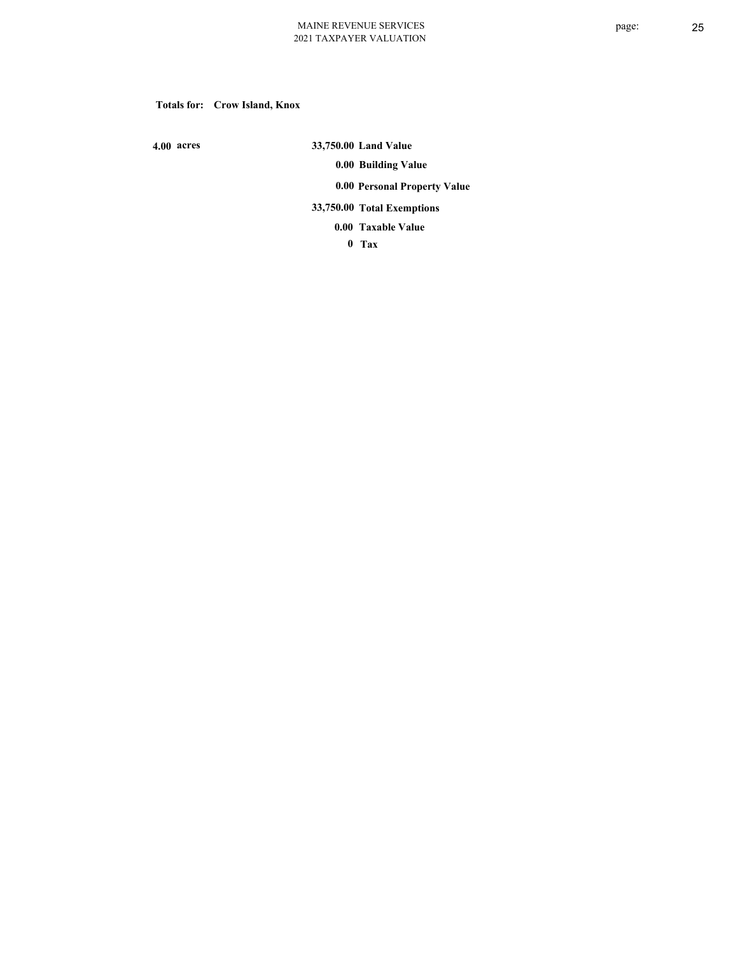### **Totals for: Crow Island, Knox**

 **4.00 acres**

 **33,750.00 Land Value 0.00 Building Value 0.00 Personal Property Value 33,750.00 Total Exemptions Taxable Value 0.00**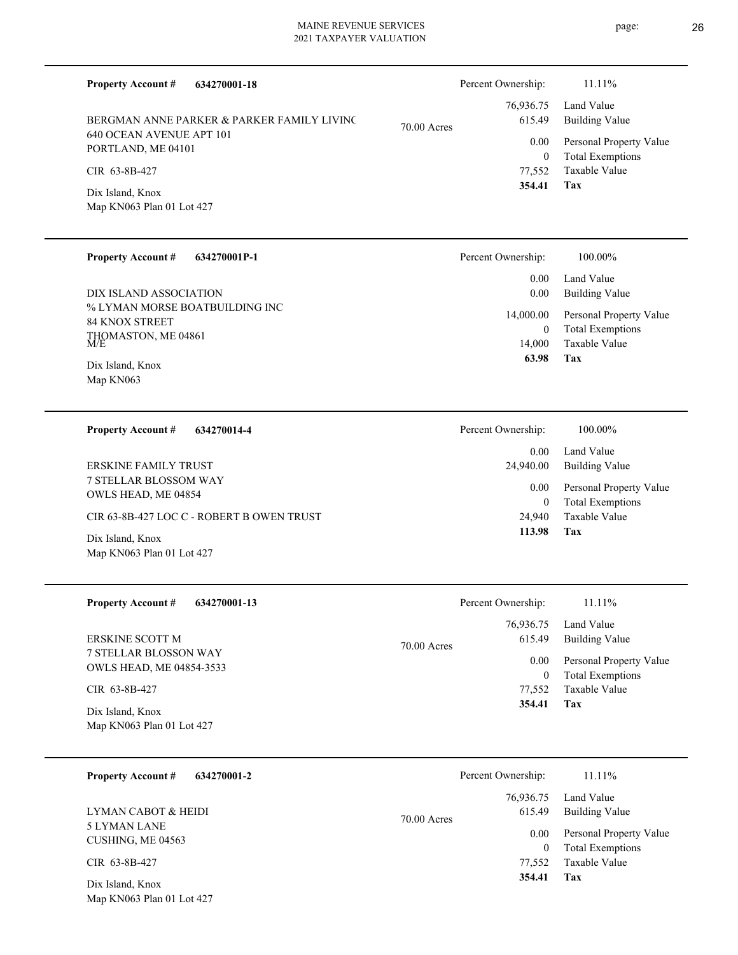| <b>Property Account #</b><br>634270001-18                              |               | Percent Ownership:         | 11.11%                                             |
|------------------------------------------------------------------------|---------------|----------------------------|----------------------------------------------------|
| BERGMAN ANNE PARKER & PARKER FAMILY LIVING<br>640 OCEAN AVENUE APT 101 | $70.00$ Acres | 76,936.75<br>615.49        | Land Value<br><b>Building Value</b>                |
| PORTLAND, ME 04101                                                     |               | 0.00<br>$\overline{0}$     | Personal Property Value<br><b>Total Exemptions</b> |
| CIR 63-8B-427                                                          |               | 77,552                     | Taxable Value                                      |
| Dix Island, Knox<br>Map KN063 Plan 01 Lot 427                          |               | 354.41                     | Tax                                                |
| <b>Property Account #</b><br>634270001P-1                              |               | Percent Ownership:         | 100.00%                                            |
| DIX ISLAND ASSOCIATION                                                 |               | 0.00<br>0.00               | Land Value<br><b>Building Value</b>                |
| % LYMAN MORSE BOATBUILDING INC<br><b>84 KNOX STREET</b>                |               | 14,000.00                  | Personal Property Value                            |
| THOMASTON, ME 04861 M/E                                                |               | $\overline{0}$<br>14,000   | <b>Total Exemptions</b><br>Taxable Value           |
| Dix Island, Knox<br>Map KN063                                          |               | 63.98                      | Tax                                                |
| <b>Property Account #</b><br>634270014-4                               |               | Percent Ownership:         | 100.00%                                            |
| <b>ERSKINE FAMILY TRUST</b>                                            |               | 0.00                       | Land Value                                         |
| 7 STELLAR BLOSSOM WAY                                                  |               | 24,940.00<br>0.00          | <b>Building Value</b><br>Personal Property Value   |
| OWLS HEAD, ME 04854                                                    |               | $\mathbf{0}$               | <b>Total Exemptions</b>                            |
| CIR 63-8B-427 LOC C - ROBERT B OWEN TRUST<br>Dix Island, Knox          |               | 24,940<br>113.98           | Taxable Value<br>Tax                               |
| Map KN063 Plan 01 Lot 427                                              |               |                            |                                                    |
| <b>Property Account #</b><br>634270001-13                              |               | Percent Ownership:         | 11.11%                                             |
| <b>ERSKINE SCOTT M</b>                                                 | 70.00 Acres   | 76,936.75<br>615.49        | Land Value<br><b>Building Value</b>                |
| 7 STELLAR BLOSSON WAY<br>OWLS HEAD, ME 04854-3533                      |               | 0.00                       | Personal Property Value                            |
| CIR 63-8B-427                                                          |               | $\boldsymbol{0}$<br>77,552 | <b>Total Exemptions</b><br>Taxable Value           |
| Dix Island, Knox<br>Map KN063 Plan 01 Lot 427                          |               | 354.41                     | Tax                                                |
| 634270001-2<br><b>Property Account #</b>                               |               | Percent Ownership:         | 11.11%                                             |
| LYMAN CABOT & HEIDI                                                    | 70.00 Acres   | 76,936.75<br>615.49        | Land Value<br><b>Building Value</b>                |
| 5 LYMAN LANE<br>CUSHING, ME 04563                                      |               | 0.00                       | Personal Property Value                            |
| CIR 63-8B-427                                                          |               | $\overline{0}$<br>77,552   | <b>Total Exemptions</b><br>Taxable Value           |
| Dix Island, Knox<br>Map KN063 Plan 01 Lot 427                          |               | 354.41                     | Tax                                                |

page: 26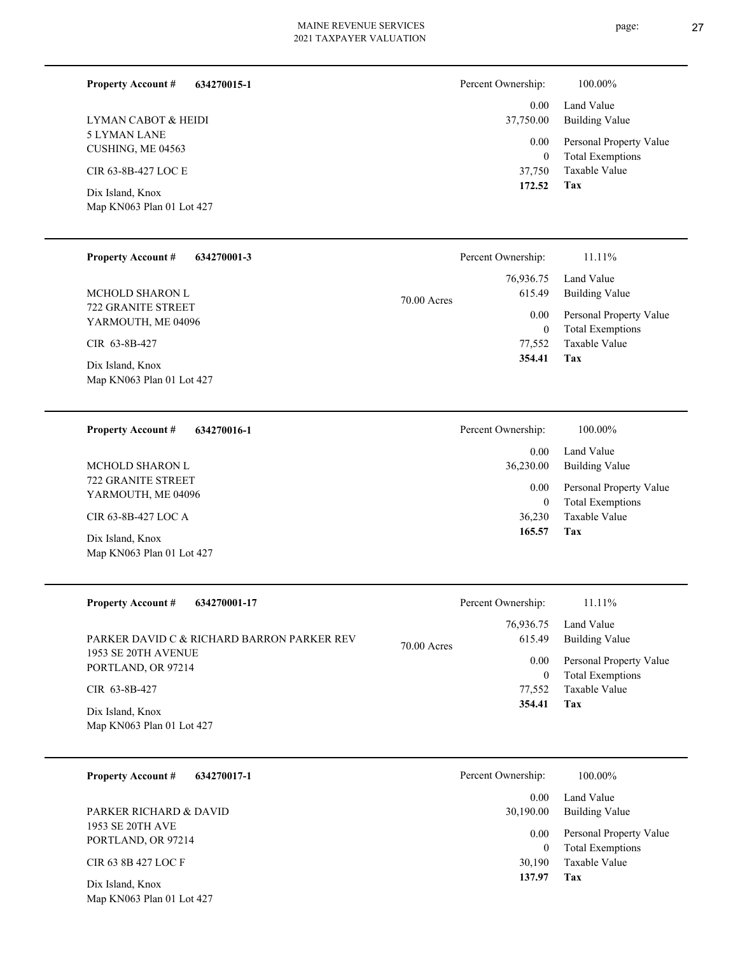| <b>Property Account #</b><br>634270015-1      | Percent Ownership:     | 100.00%                                  |
|-----------------------------------------------|------------------------|------------------------------------------|
| LYMAN CABOT & HEIDI                           | 0.00<br>37,750.00      | Land Value<br><b>Building Value</b>      |
| 5 LYMAN LANE<br>CUSHING, ME 04563             | $0.00\,$               | Personal Property Value                  |
| CIR 63-8B-427 LOC E                           | $\mathbf{0}$<br>37,750 | <b>Total Exemptions</b><br>Taxable Value |
| Dix Island, Knox<br>Map KN063 Plan 01 Lot 427 | 172.52                 | Tax                                      |
|                                               |                        |                                          |

| <b>Property Account #</b><br>634270001-3 | Percent Ownership:      | 11.11%                  |
|------------------------------------------|-------------------------|-------------------------|
|                                          | 76,936.75               | Land Value              |
| MCHOLD SHARON L                          | 615.49<br>$70.00$ Acres | Building Value          |
| 722 GRANITE STREET<br>YARMOUTH, ME 04096 | 0.00                    | Personal Property Value |
|                                          | $\overline{0}$          | <b>Total Exemptions</b> |
| CIR 63-8B-427                            | 77.552                  | Taxable Value           |
| Dix Island, Knox                         | 354.41                  | Tax                     |
| Map KN063 Plan 01 Lot 427                |                         |                         |

| 634270016-1<br><b>Property Account #</b>      | Percent Ownership: | 100.00%                                            |
|-----------------------------------------------|--------------------|----------------------------------------------------|
|                                               | 0.00               | Land Value                                         |
| MCHOLD SHARON L                               | 36,230.00          | Building Value                                     |
| 722 GRANITE STREET<br>YARMOUTH, ME 04096      | 0.00<br>$\bf{0}$   | Personal Property Value<br><b>Total Exemptions</b> |
| CIR 63-8B-427 LOC A                           | 36,230             | Taxable Value                                      |
| Dix Island, Knox<br>Map KN063 Plan 01 Lot 427 | 165.57<br>Tax      |                                                    |

| <b>Property Account #</b><br>634270001-17  | Percent Ownership:      | $11.11\%$               |
|--------------------------------------------|-------------------------|-------------------------|
|                                            | 76,936.75               | Land Value              |
| PARKER DAVID C & RICHARD BARRON PARKER REV | 615.49<br>$70.00$ Acres | Building Value          |
| 1953 SE 20TH AVENUE                        | 0.00                    | Personal Property Value |
| PORTLAND, OR 97214                         | $\mathbf{0}$            | <b>Total Exemptions</b> |
| CIR 63-8B-427                              | 77.552                  | Taxable Value           |
| Dix Island, Knox                           | 354.41                  | Tax                     |
| Map KN063 Plan 01 Lot 427                  |                         |                         |

| 634270017-1<br><b>Property Account #</b>      | Percent Ownership:<br>100.00%                              |  |
|-----------------------------------------------|------------------------------------------------------------|--|
|                                               | Land Value<br>0.00                                         |  |
| PARKER RICHARD & DAVID                        | Building Value<br>30,190.00                                |  |
| 1953 SE 20TH AVE<br>PORTLAND, OR 97214        | Personal Property Value<br>0.00<br><b>Total Exemptions</b> |  |
| CIR 63 8B 427 LOC F                           | Taxable Value<br>30,190                                    |  |
| Dix Island, Knox<br>Map KN063 Plan 01 Lot 427 | 137.97<br>Tax                                              |  |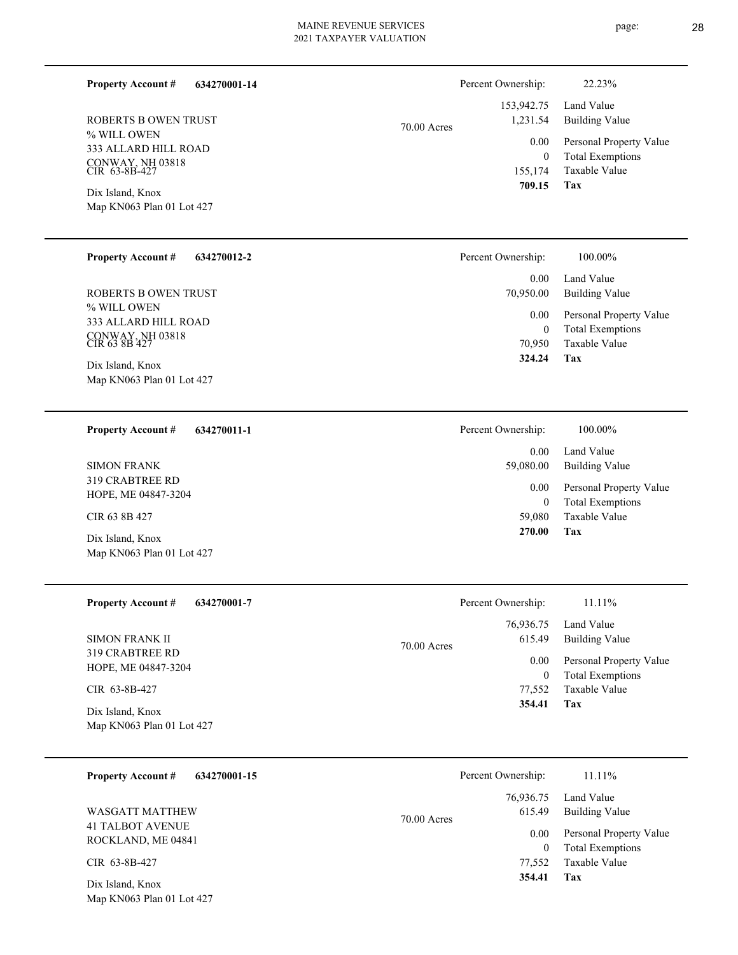70.00 Acres

% WILL OWEN 333 ALLARD HILL ROAD CONWAY, NH 03818 CIR 63-8B-427 ROBERTS B OWEN TRUST

**634270001-14**

Map KN063 Plan 01 Lot 427 Dix Island, Knox

**Property Account #**

#### **634270012-2 Property Account #**

% WILL OWEN 333 ALLARD HILL ROAD CONWAY, NH 03818 CIR 63 8B 427 ROBERTS B OWEN TRUST

Map KN063 Plan 01 Lot 427 Dix Island, Knox

#### **634270011-1 Property Account #**

319 CRABTREE RD HOPE, ME 04847-3204 SIMON FRANK

CIR 63 8B 427

Map KN063 Plan 01 Lot 427 Dix Island, Knox

| <b>Property Account #</b><br>634270001-7      | Percent Ownership:      | 11.11%                                   |
|-----------------------------------------------|-------------------------|------------------------------------------|
|                                               | 76,936.75               | Land Value                               |
| <b>SIMON FRANK II</b>                         | 615.49<br>$70.00$ Acres | <b>Building Value</b>                    |
| <b>319 CRABTREE RD</b><br>HOPE, ME 04847-3204 | 0.00                    | Personal Property Value                  |
| CIR 63-8B-427                                 | $\bf{0}$<br>77,552      | <b>Total Exemptions</b><br>Taxable Value |
| Dix Island, Knox                              | 354.41                  | Tax                                      |
| Map KN063 Plan 01 Lot 427                     |                         |                                          |

| 634270001-15<br><b>Property Account #</b>     | Percent Ownership:                   | 11.11%                                             |
|-----------------------------------------------|--------------------------------------|----------------------------------------------------|
| WASGATT MATTHEW                               | 76,936.75<br>615.49<br>$70.00$ Acres | Land Value<br><b>Building Value</b>                |
| <b>41 TALBOT AVENUE</b><br>ROCKLAND, ME 04841 | 0.00<br>0                            | Personal Property Value<br><b>Total Exemptions</b> |
| CIR 63-8B-427                                 | 77,552                               | Taxable Value                                      |
| Dix Island, Knox<br>Map KN063 Plan 01 Lot 427 | 354.41                               | Tax                                                |

| $0.00\,$<br>0<br>155,174 | Personal Property Value<br><b>Total Exemptions</b><br>Taxable Value |
|--------------------------|---------------------------------------------------------------------|
| 709.15                   | Tax                                                                 |
|                          |                                                                     |
| Percent Ownership:       | 100.00%                                                             |
|                          |                                                                     |

 153,942.75 1,231.54

Percent Ownership: 22.23%

| 0.00<br>70,950.00 | Land Value<br>Building Value |
|-------------------|------------------------------|
| 0.00              | Personal Property Value      |
| 0                 | <b>Total Exemptions</b>      |
| 70.950            | Taxable Value                |
| 324.24            | Tax                          |

Building Value Land Value

| Percent Ownership: | 100.00%                 |
|--------------------|-------------------------|
| 0.00               | Land Value              |
| 59,080.00          | <b>Building Value</b>   |
| $0.00^{\circ}$     | Personal Property Value |
| 0                  | <b>Total Exemptions</b> |
| 59,080             | Taxable Value           |
| 270.00             | Tax                     |

|          | Percent Ownership: | 11.11%                  |
|----------|--------------------|-------------------------|
|          |                    | 76,936.75 Land Value    |
| 00 Acres | 615.49             | Building Value          |
|          | 0.00               | Personal Property Value |
|          | $\theta$           | <b>Total Exemptions</b> |
|          |                    | 77,552 Taxable Value    |
|          | 354.41             | Tax                     |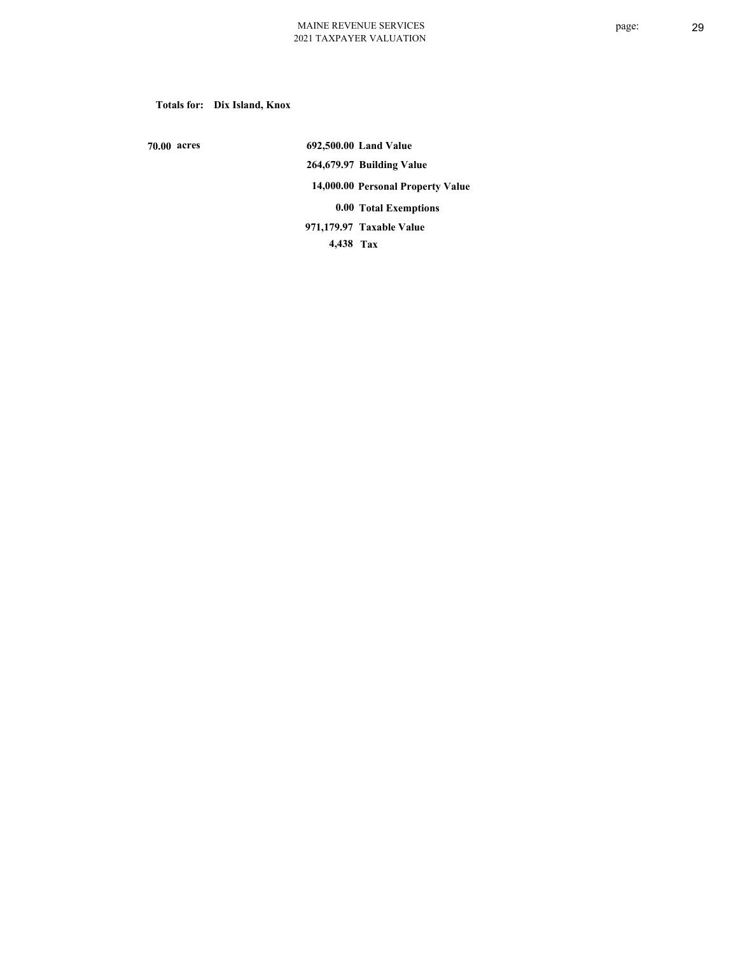**Totals for: Dix Island, Knox**

 **70.00 acres**

 **692,500.00 Land Value 264,679.97 Building Value 14,000.00 Personal Property Value 0.00 Total Exemptions 4,438 Tax Taxable Value 971,179.97**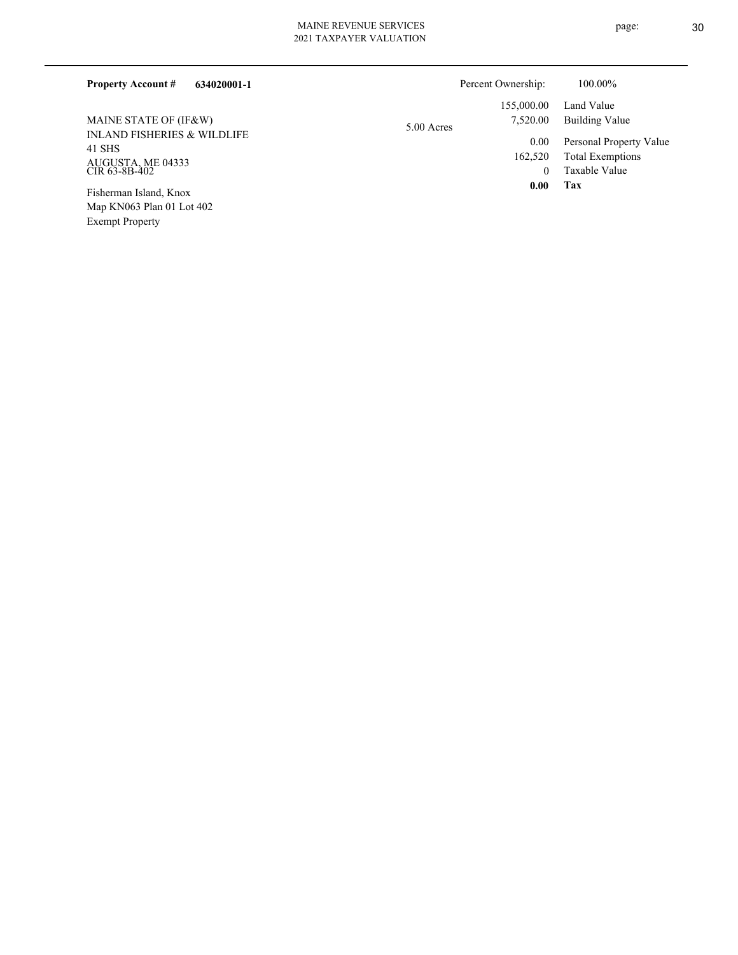| <b>Property Account #</b><br>634020001-1         | Percent Ownership: | 100.00%                 |
|--------------------------------------------------|--------------------|-------------------------|
|                                                  | 155,000.00         | Land Value              |
| MAINE STATE OF (IF&W)                            | 7,520.00           | Building Value          |
| <b>INLAND FISHERIES &amp; WILDLIFE</b><br>41 SHS | 5.00 Acres<br>0.00 | Personal Property Value |
| ALICITOTA ME 04222                               | 162,520            | <b>Total Exemptions</b> |

INLAND FISHEI 41 SHS AUGUSTA, ME 04333 CIR 63-8B-402

Map KN063 Plan 01 Lot 402 Exempt Property Fisherman Island, Knox

**Tax**

0

 **0.00**

Taxable Value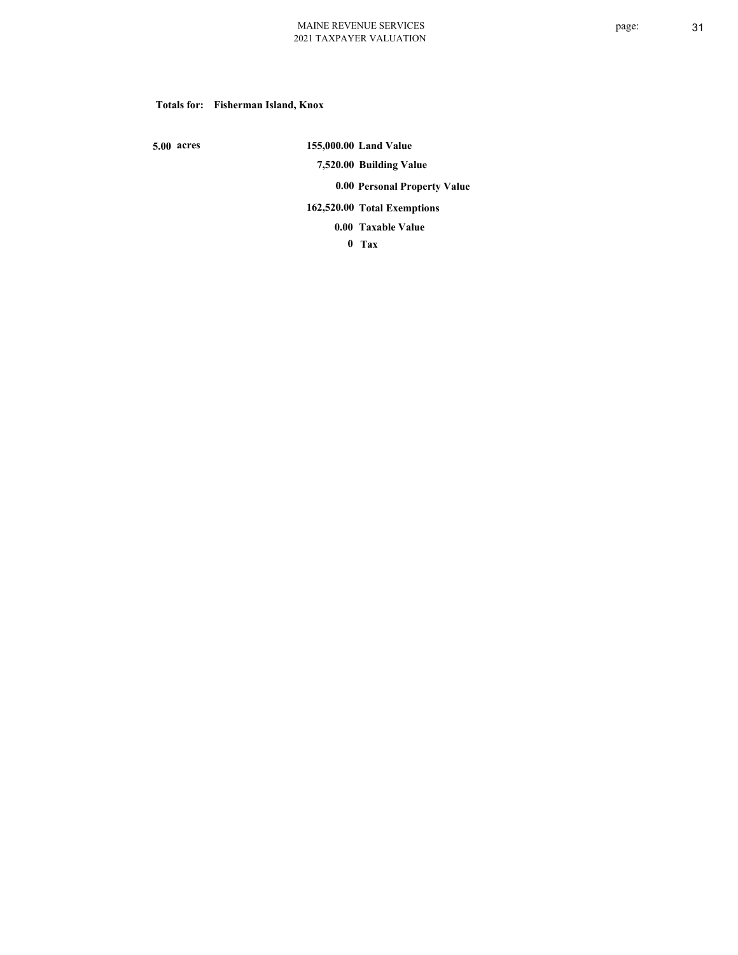### **Totals for: Fisherman Island, Knox**

 **5.00 acres**

 **155,000.00 Land Value 7,520.00 Building Value 0.00 Personal Property Value 162,520.00 Total Exemptions**

**Taxable Value 0.00**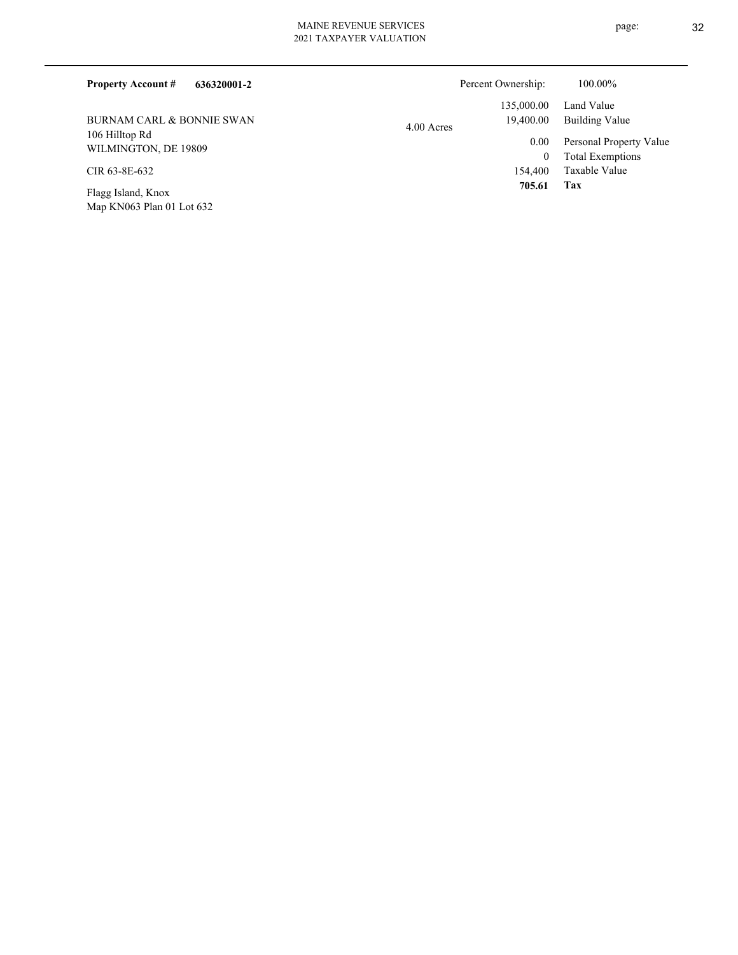| 636320001-2<br><b>Property Account #</b> | Percent Ownership:      | 100.00%                 |
|------------------------------------------|-------------------------|-------------------------|
|                                          | 135,000.00              | Land Value              |
| BURNAM CARL & BONNIE SWAN                | 19,400.00<br>4.00 Acres | Building Value          |
| 106 Hilltop Rd<br>WILMINGTON, DE 19809   | 0.00                    | Personal Property Value |
|                                          | 0                       | <b>Total Exemptions</b> |
| CIR 63-8E-632                            | 154,400                 | Taxable Value           |
| Flagg Island, Knox                       | 705.61                  | Tax                     |

Map KN063 Plan 01 Lot 632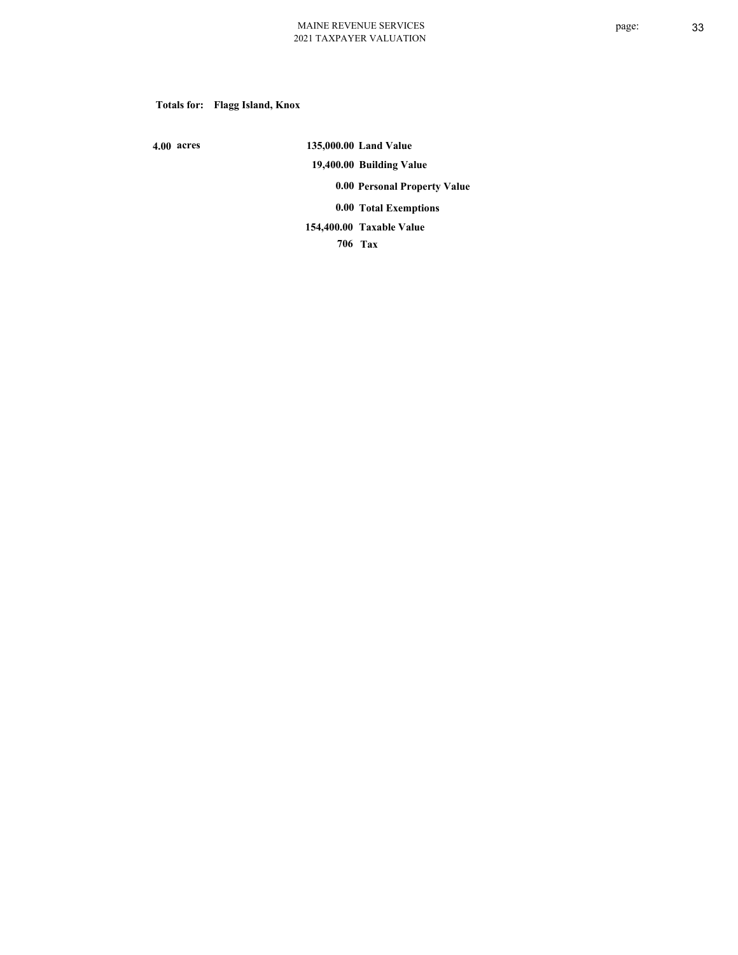# **Totals for: Flagg Island, Knox**

 **4.00 acres**

 **135,000.00 Land Value 19,400.00 Building Value 0.00 Personal Property Value 0.00 Total Exemptions Taxable Value 154,400.00**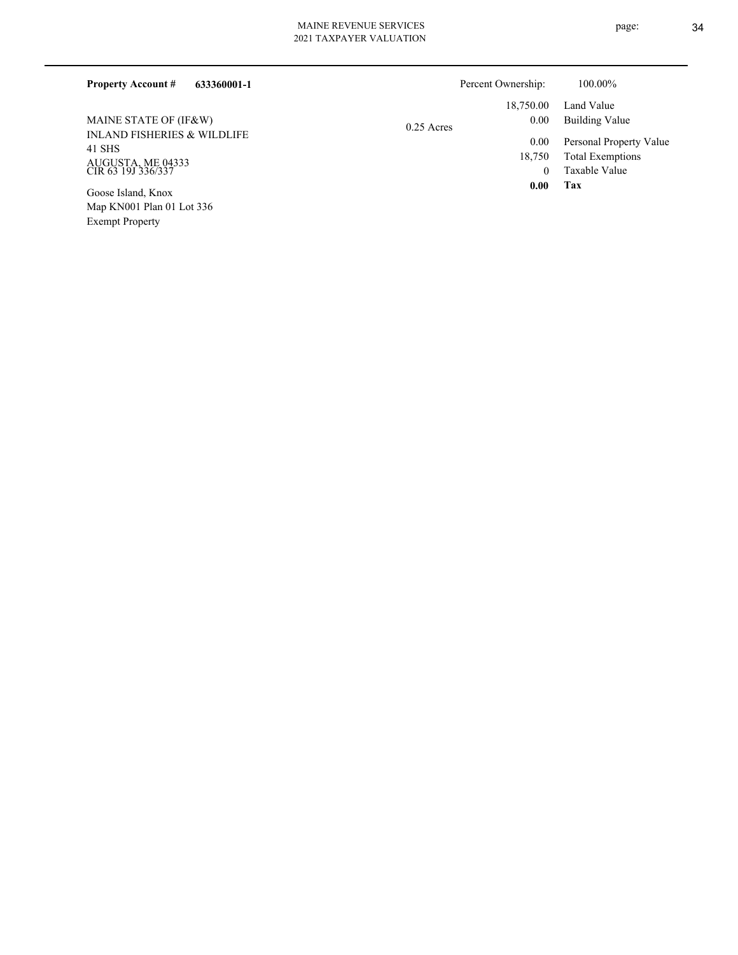# MAINE REVENUE SERVICES

| 633360001-1<br><b>Property Account #</b>         |              | Percent Ownership: | 100.00%                 |
|--------------------------------------------------|--------------|--------------------|-------------------------|
|                                                  |              | 18,750.00          | Land Value              |
| MAINE STATE OF (IF&W)                            | $0.25$ Acres | 0.00               | Building Value          |
| <b>INLAND FISHERIES &amp; WILDLIFE</b><br>41 SHS |              | 0.00               | Personal Property Value |
|                                                  |              | 18,750             | <b>Total Exemptions</b> |
| AUGUSTA, ME 04333<br>CIR 63 19J 336/337          |              |                    | Taxable Value           |
| Goose Island, Knox                               |              | 0.00               | Tax                     |
| Map KN001 Plan 01 Lot 336                        |              |                    |                         |

Exempt Property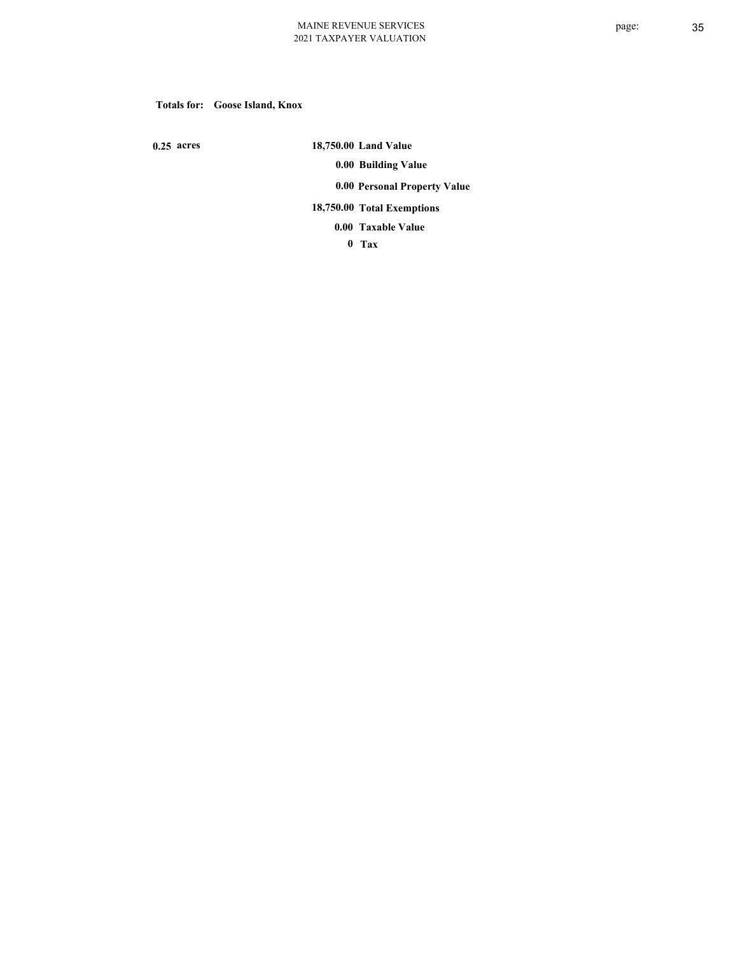# **Totals for: Goose Island, Knox**

 **0.25 acres**

 **18,750.00 Land Value 0.00 Building Value 0.00 Personal Property Value 18,750.00 Total Exemptions Taxable Value 0.00**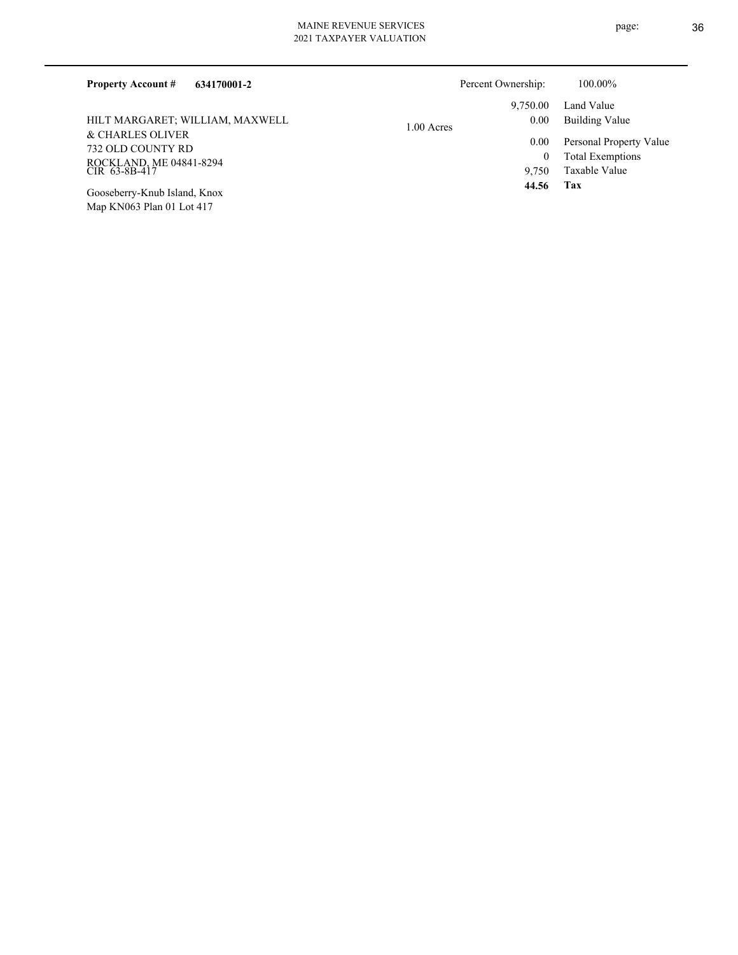| <b>Property Account #</b><br>634170001-2 | Percent Ownership: | 100.00%                 |
|------------------------------------------|--------------------|-------------------------|
|                                          | 9.750.00           | Land Value              |
| HILT MARGARET; WILLIAM, MAXWELL          | 0.00<br>1.00 Acres | Building Value          |
| & CHARLES OLIVER                         | 0.00               | Personal Property Value |
| 732 OLD COUNTY RD                        |                    | <b>Total Exemptions</b> |
| ROCKLAND, ME 04841-8294<br>CIR 63-8B-417 | 9.750              | Taxable Value           |
| Googgharry Knub Joland Knoy              | 44.56              | Tax                     |

Map KN063 Plan 01 Lot 417 Gooseberry-Knub Island, Knox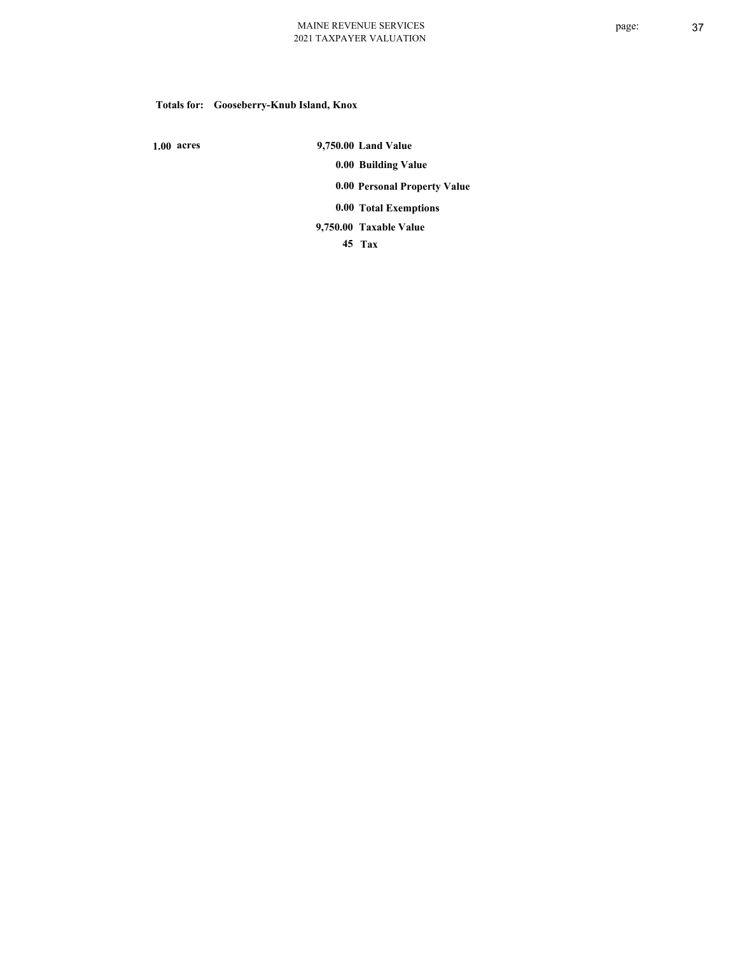# **Totals for: Gooseberry-Knub Island, Knox**

 **1.00 acres**

 **9,750.00 Land Value 0.00 Building Value 0.00 Personal Property Value 0.00 Total Exemptions**

**Taxable Value 9,750.00**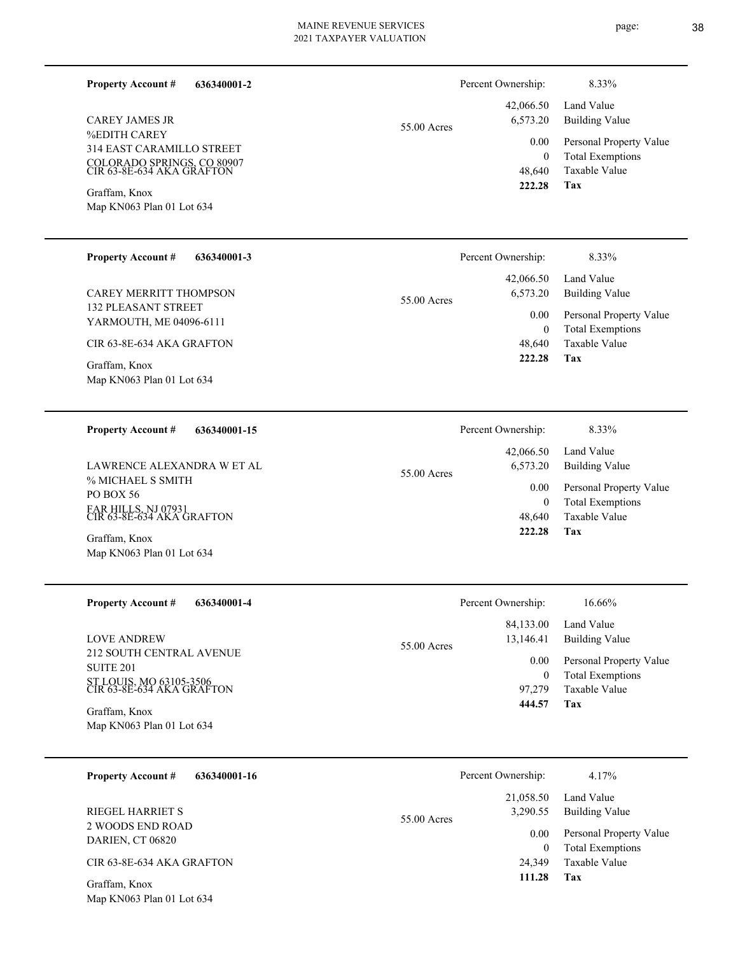▃

—

| 636340001-2<br><b>Property Account #</b>                |             | Percent Ownership:                                          | 8.33%                                                               |
|---------------------------------------------------------|-------------|-------------------------------------------------------------|---------------------------------------------------------------------|
| <b>CAREY JAMES JR</b>                                   | 55.00 Acres | 42,066.50<br>6,573.20                                       | Land Value<br><b>Building Value</b>                                 |
| %EDITH CAREY<br>314 EAST CARAMILLO STREET               |             | 0.00<br>$\mathbf{0}$                                        | Personal Property Value<br><b>Total Exemptions</b>                  |
| COLORADO SPRINGS, CO 80907<br>CIR 63-8E-634 AKA GRAFTON |             | 48,640                                                      | Taxable Value                                                       |
| Graffam, Knox<br>Map KN063 Plan 01 Lot 634              |             | 222.28                                                      | Tax                                                                 |
|                                                         |             |                                                             |                                                                     |
| <b>Property Account #</b><br>636340001-3                |             | Percent Ownership:                                          | 8.33%                                                               |
| CAREY MERRITT THOMPSON                                  | 55.00 Acres | 42,066.50<br>6,573.20                                       | Land Value<br><b>Building Value</b>                                 |
| <b>132 PLEASANT STREET</b><br>YARMOUTH, ME 04096-6111   |             | 0.00<br>$\mathbf{0}$                                        | Personal Property Value<br><b>Total Exemptions</b><br>Taxable Value |
| CIR 63-8E-634 AKA GRAFTON                               |             | 48,640                                                      |                                                                     |
| Graffam, Knox<br>Map KN063 Plan 01 Lot 634              |             | 222.28                                                      | <b>Tax</b>                                                          |
|                                                         |             |                                                             |                                                                     |
| <b>Property Account #</b><br>636340001-15               |             | Percent Ownership:                                          | 8.33%                                                               |
| LAWRENCE ALEXANDRA W ET AL                              | 55.00 Acres | 42,066.50<br>6,573.20<br>0.00<br>$\boldsymbol{0}$<br>48,640 | Land Value<br><b>Building Value</b>                                 |
| % MICHAEL S SMITH<br>PO BOX 56                          |             |                                                             | Personal Property Value<br><b>Total Exemptions</b>                  |
| FAR HILLS, NJ 07931<br>CIR 63-8E-634 AKA GRAFTON        |             |                                                             | <b>Taxable Value</b>                                                |
| Graffam, Knox<br>Map KN063 Plan 01 Lot 634              |             | 222.28                                                      | Tax                                                                 |
|                                                         |             |                                                             |                                                                     |
| <b>Property Account #</b><br>636340001-4                |             | Percent Ownership:                                          | 16.66%                                                              |
| <b>LOVE ANDREW</b>                                      |             | 84,133.00<br>13,146.41                                      | Land Value<br><b>Building Value</b>                                 |
| 212 SOUTH CENTRAL AVENUE<br><b>SUITE 201</b>            | 55.00 Acres | 0.00                                                        | Personal Property Value                                             |
| ST LOUIS, MO 63105-3506<br>CIR 63-8E-634 AKA GRAFTON    |             | $\boldsymbol{0}$<br>97,279                                  | <b>Total Exemptions</b><br>Taxable Value                            |
| Graffam, Knox<br>Map KN063 Plan 01 Lot 634              |             | 444.57                                                      | <b>Tax</b>                                                          |
|                                                         |             |                                                             |                                                                     |
| 636340001-16<br><b>Property Account #</b>               |             | Percent Ownership:                                          | 4.17%                                                               |
| <b>RIEGEL HARRIET S</b>                                 |             | 21,058.50<br>3,290.55                                       | Land Value<br><b>Building Value</b>                                 |
| 2 WOODS END ROAD<br>DARIEN, CT 06820                    | 55.00 Acres | 0.00<br>$\mathbf{0}$<br>24,349                              | Personal Property Value                                             |
| CIR 63-8E-634 AKA GRAFTON                               |             |                                                             | <b>Total Exemptions</b><br>Taxable Value                            |
| Graffam, Knox                                           |             | 111.28                                                      | <b>Tax</b>                                                          |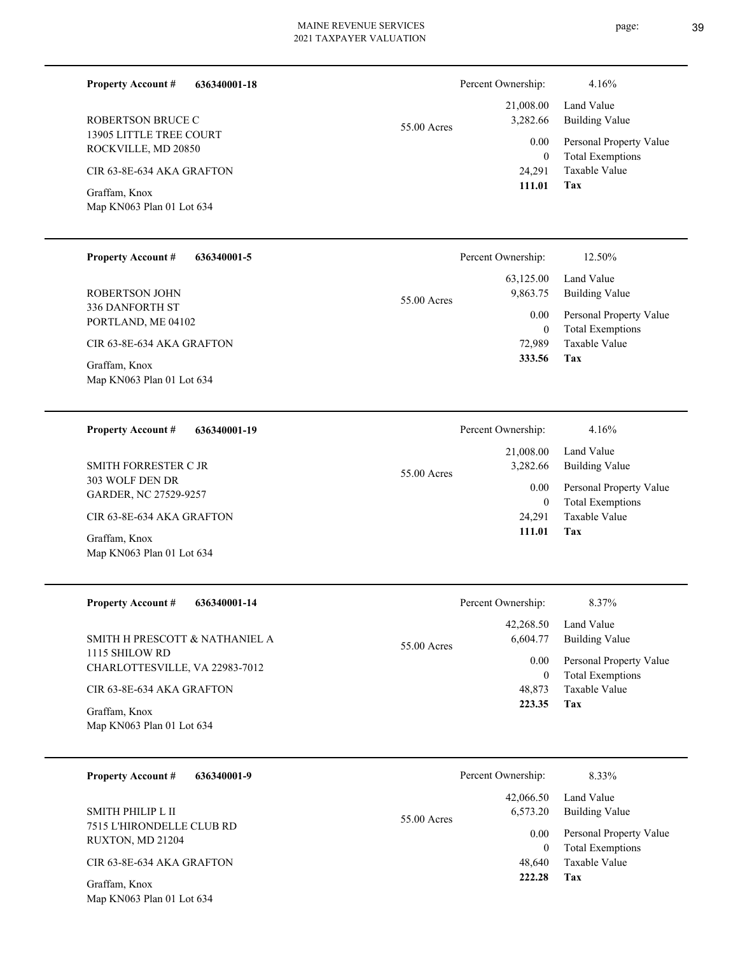13905 LITTLE TREE COURT ROCKVILLE, MD 20850 ROBERTSON BRUCE C

**Property Account #**

CIR 63-8E-634 AKA GRAFTON

Map KN063 Plan 01 Lot 634 Graffam, Knox

| <b>Property Account #</b> | 636340001-5 |  |
|---------------------------|-------------|--|

**636340001-18**

336 DANFORTH ST PORTLAND, ME 04102 ROBERTSON JOHN

CIR 63-8E-634 AKA GRAFTON

Map KN063 Plan 01 Lot 634 Graffam, Knox

| <b>Property Account #</b> | 636340001-19 |
|---------------------------|--------------|
|                           |              |

303 WOLF DEN DR GARDER, NC 27529-9257 SMITH FORRESTER C JR

CIR 63-8E-634 AKA GRAFTON

Map KN063 Plan 01 Lot 634 Graffam, Knox

| <b>Property Account #</b><br>636340001-14        | Percent Ownership:                   | 8.37%                                              |
|--------------------------------------------------|--------------------------------------|----------------------------------------------------|
| SMITH H PRESCOTT & NATHANIEL A                   | 42,268.50<br>6,604.77<br>55.00 Acres | Land Value<br>Building Value                       |
| 1115 SHILOW RD<br>CHARLOTTESVILLE, VA 22983-7012 | 0.00<br>$\bf{0}$                     | Personal Property Value<br><b>Total Exemptions</b> |
| CIR 63-8E-634 AKA GRAFTON                        | 48.873                               | Taxable Value                                      |
| Graffam, Knox<br>Map KN063 Plan 01 Lot 634       | 223.35                               | Tax                                                |

| 636340001-9<br><b>Property Account #</b>      | Percent Ownership:                   | 8.33%                                              |
|-----------------------------------------------|--------------------------------------|----------------------------------------------------|
| SMITH PHILIP L II                             | 42,066.50<br>6,573.20<br>55.00 Acres | Land Value<br>Building Value                       |
| 7515 L'HIRONDELLE CLUB RD<br>RUXTON, MD 21204 | 0.00<br>$\mathbf{0}$                 | Personal Property Value<br><b>Total Exemptions</b> |
| CIR 63-8E-634 AKA GRAFTON                     | 48,640                               | Taxable Value                                      |
| Graffam, Knox<br>Map KN063 Plan 01 Lot 634    | 222.28                               | Tax                                                |

**Tax** Taxable Value Total Exemptions Personal Property Value Building Value Land Value 24,291 0  **111.01** 21,008.00 3,282.66 0.00 55.00 Acres Percent Ownership: 4.16%

|             | Percent Ownership: | 12.50%                  |
|-------------|--------------------|-------------------------|
|             | 63,125.00          | Land Value              |
| 55.00 Acres | 9,863.75           | Building Value          |
|             | 0.00               | Personal Property Value |
|             | 0                  | <b>Total Exemptions</b> |
|             | 72,989             | Taxable Value           |
|             | 333.56             | Tax                     |
|             |                    |                         |

|             | Percent Ownership: | 4.16%                   |
|-------------|--------------------|-------------------------|
|             |                    | 21,008.00 Land Value    |
| 55.00 Acres | 3,282.66           | Building Value          |
|             | 0.00               | Personal Property Value |
|             | 0                  | <b>Total Exemptions</b> |
|             |                    | 24,291 Taxable Value    |
|             | 111.01             | Tax                     |
|             |                    |                         |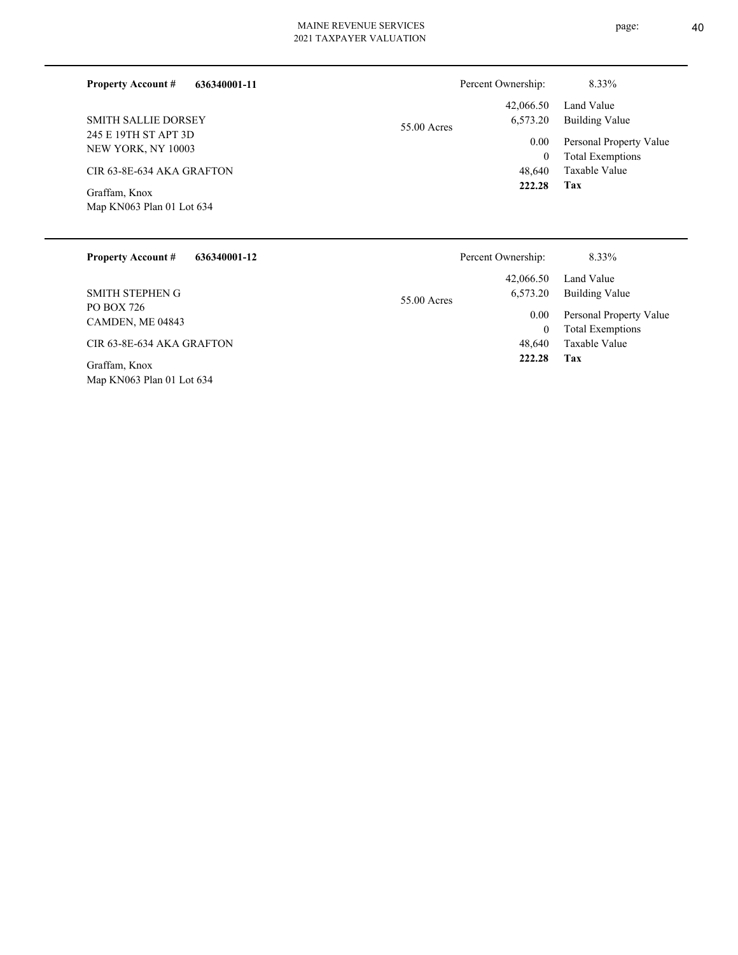| 636340001-11<br><b>Property Account #</b>  | Percent Ownership:      | 8.33%                   |
|--------------------------------------------|-------------------------|-------------------------|
|                                            | 42,066.50               | Land Value              |
| <b>SMITH SALLIE DORSEY</b>                 | 6,573.20<br>55.00 Acres | <b>Building Value</b>   |
| 245 E 19TH ST APT 3D<br>NEW YORK, NY 10003 | 0.00                    | Personal Property Value |
|                                            | $\mathbf{0}$            | <b>Total Exemptions</b> |
| CIR 63-8E-634 AKA GRAFTON                  | 48,640                  | Taxable Value           |
| Graffam, Knox<br>Map KN063 Plan 01 Lot 634 | 222.28                  | Tax                     |
|                                            |                         |                         |

| <b>Property Account #</b><br>636340001-12  | Percent Ownership:    | 8.33%                        |
|--------------------------------------------|-----------------------|------------------------------|
| <b>SMITH STEPHEN G</b>                     | 42,066.50<br>6,573.20 | Land Value<br>Building Value |
| PO BOX 726                                 | 55.00 Acres<br>0.00   | Personal Property Value      |
| CAMDEN, ME 04843                           | $\mathbf{0}$          | <b>Total Exemptions</b>      |
| CIR 63-8E-634 AKA GRAFTON                  | 48,640                | Taxable Value                |
| Graffam, Knox<br>Map KN063 Plan 01 Lot 634 | 222.28                | Tax                          |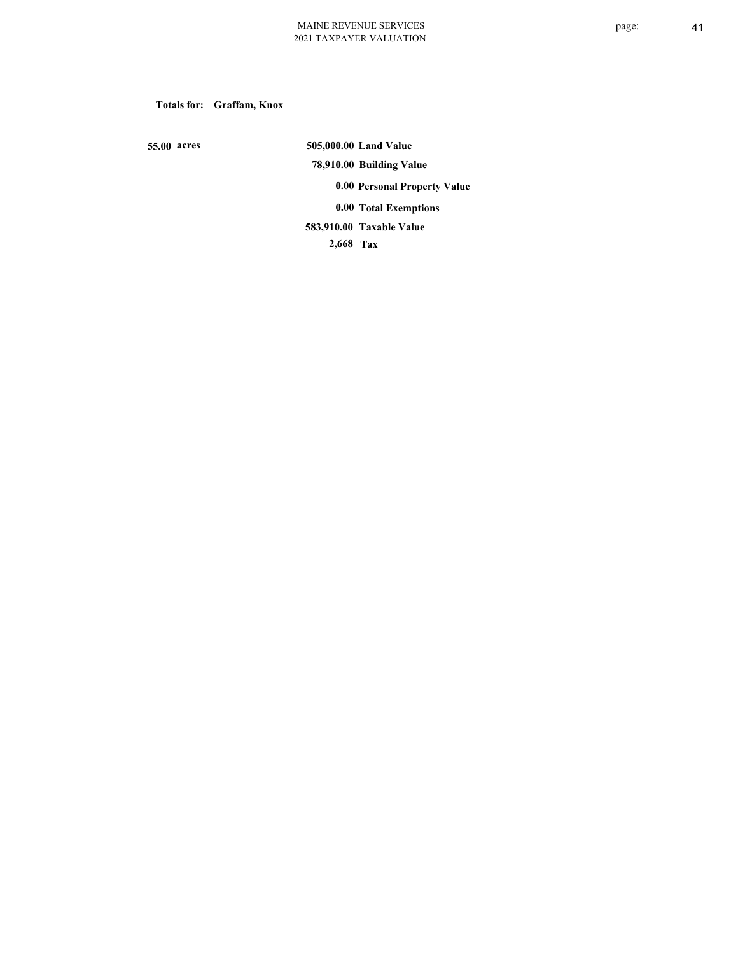**Totals for: Graffam, Knox**

 **55.00 acres**

 **505,000.00 Land Value 78,910.00 Building Value 0.00 Personal Property Value 0.00 Total Exemptions Taxable Value 583,910.00**

 **2,668 Tax**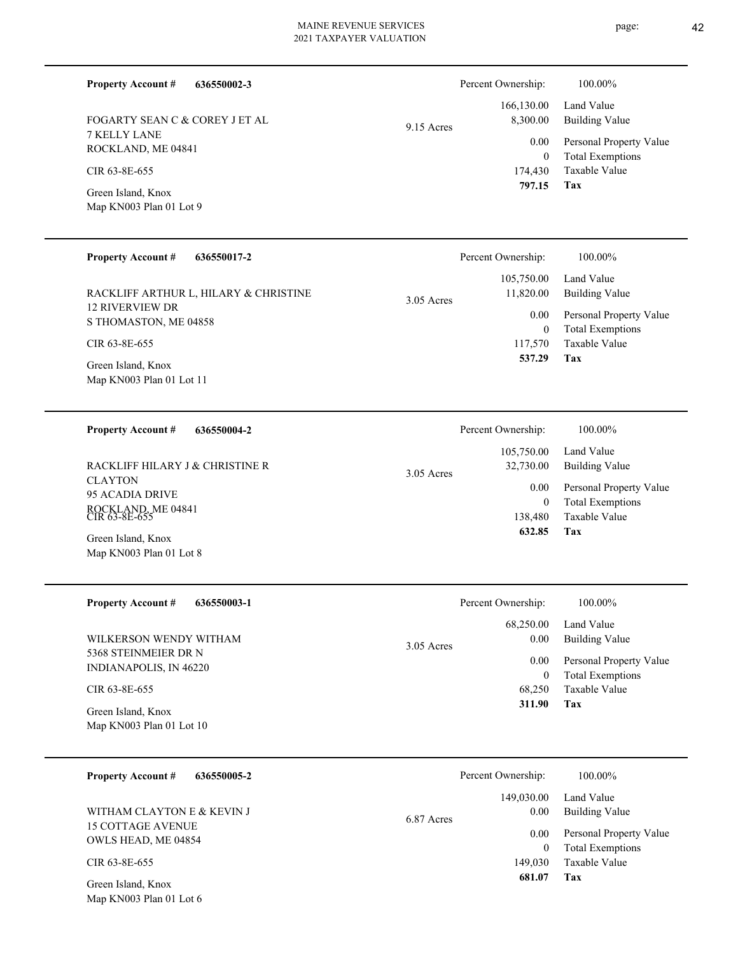|               | 2021 171211 711 ER 771207111013 |                        |                           |
|---------------|---------------------------------|------------------------|---------------------------|
| 636550002-3   |                                 | Percent Ownership:     | 100.00%                   |
| COREY J ET AL | 9.15 Acres                      | 166,130.00<br>8,300.00 | Land Value<br>Building Va |

7 KELLY LANE ROCKLAND, ME 04841 FOGARTY SEAN C & C

**Property Account #**

Map KN003 Plan 01 Lot 9 Green Island, Knox CIR 63-8E-655

Map KN003 Plan 01 Lot 6

**Tax** Taxable Value Total Exemptions Personal Property Value Value lue 174,430  $\boldsymbol{0}$  **797.15** 0.00

| <b>Property Account #</b><br>636550017-2        | Percent Ownership:        | 100.00%                                  |
|-------------------------------------------------|---------------------------|------------------------------------------|
|                                                 | 105,750.00                | Land Value                               |
| RACKLIFF ARTHUR L, HILARY & CHRISTINE           | 11,820.00<br>$3.05$ Acres | Building Value                           |
| <b>12 RIVERVIEW DR</b><br>S THOMASTON, ME 04858 | 0.00                      | Personal Property Value                  |
| CIR 63-8E-655                                   | $\bf{0}$<br>117,570       | <b>Total Exemptions</b><br>Taxable Value |
| Green Island, Knox                              | 537.29                    | Tax                                      |
| Map KN003 Plan 01 Lot 11                        |                           |                                          |

| 636550004-2<br><b>Property Account #</b>          | Percent Ownership:                      | 100.00%                                            |
|---------------------------------------------------|-----------------------------------------|----------------------------------------------------|
| RACKLIFF HILARY J & CHRISTINE R<br><b>CLAYTON</b> | 105,750.00<br>32,730.00<br>$3.05$ Acres | Land Value<br>Building Value                       |
| 95 ACADIA DRIVE                                   | 0.00<br>0                               | Personal Property Value<br><b>Total Exemptions</b> |
| ROCKLAND, ME 04841<br>CIR 63-8E-655               | 138.480<br>632.85                       | Taxable Value<br>Tax                               |
| Green Island, Knox<br>Map KN003 Plan 01 Lot 8     |                                         |                                                    |

| <b>Property Account #</b><br>636550003-1       | Percent Ownership:                | 100.00%                                            |
|------------------------------------------------|-----------------------------------|----------------------------------------------------|
| WILKERSON WENDY WITHAM                         | 68,250.00<br>0.00<br>$3.05$ Acres | Land Value<br><b>Building Value</b>                |
| 5368 STEINMEIER DR N<br>INDIANAPOLIS, IN 46220 | 0.00                              | Personal Property Value<br><b>Total Exemptions</b> |
| CIR 63-8E-655                                  | 68,250                            | Taxable Value                                      |
| Green Island, Knox<br>Map KN003 Plan 01 Lot 10 | 311.90                            | Tax                                                |

| <b>Property Account #</b><br>636550005-2        | Percent Ownership:               | 100.00%                                            |
|-------------------------------------------------|----------------------------------|----------------------------------------------------|
| WITHAM CLAYTON E & KEVIN J                      | 149,030.00<br>0.00<br>6.87 Acres | Land Value<br>Building Value                       |
| <b>15 COTTAGE AVENUE</b><br>OWLS HEAD, ME 04854 | 0.00                             | Personal Property Value<br><b>Total Exemptions</b> |
| CIR 63-8E-655                                   | 149,030                          | Taxable Value                                      |
| Green Island, Knox                              | 681.07                           | Tax                                                |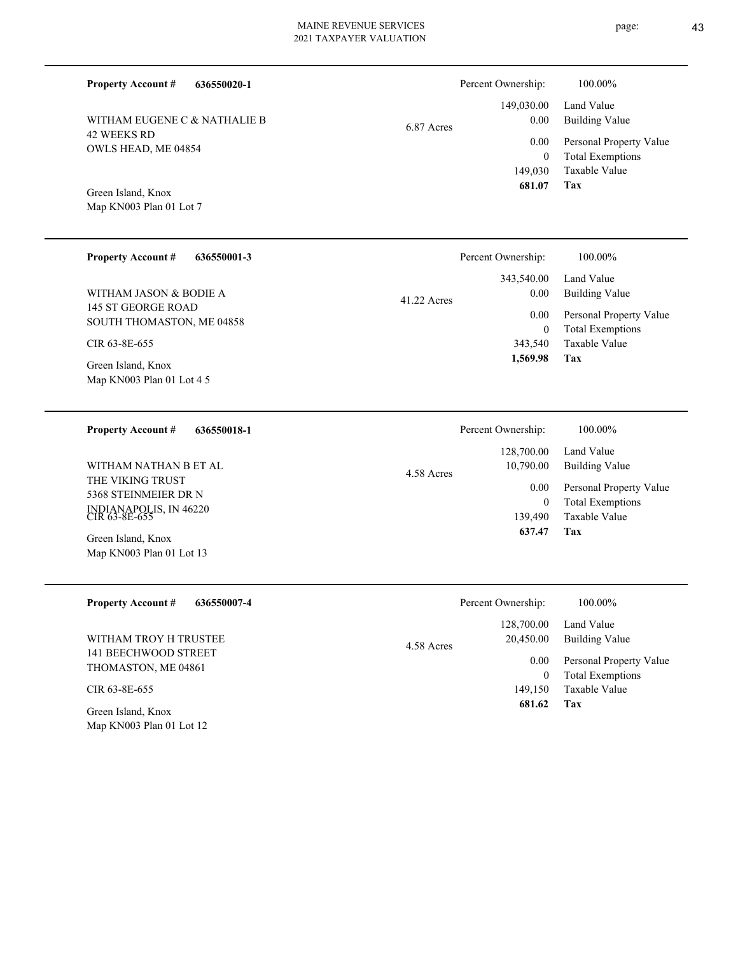| WITHAM EUGENE C & NATHALIE B |
|------------------------------|
| 42 WEEKS RD                  |
| OWLS HEAD, ME 04854          |

**636550020-1**

# 6.87 Acres

| $0.00\,$   | 149,030.00 Land Value<br><b>Building Value</b> |
|------------|------------------------------------------------|
| 0.00       | Personal Property Value                        |
| $\theta$   | <b>Total Exemptions</b>                        |
|            | 149,030 Taxable Value                          |
| 681.07 Tax |                                                |

Percent Ownership:  $100.00\%$ 

Map KN003 Plan 01 Lot 7 Green Island, Knox

**Property Account #**

| <b>Property Account #</b><br>636550001-3 | Percent Ownership:    | 100.00%                 |
|------------------------------------------|-----------------------|-------------------------|
|                                          | 343,540.00            | Land Value              |
| WITHAM JASON & BODIE A                   | 0.00<br>$41.22$ Acres | <b>Building Value</b>   |
| 145 ST GEORGE ROAD                       | 0.00                  | Personal Property Value |
| SOUTH THOMASTON, ME 04858                | $\mathbf{0}$          | <b>Total Exemptions</b> |
| CIR 63-8E-655                            | 343,540               | Taxable Value           |
| Green Island, Knox                       | 1,569.98              | Tax                     |
| Map KN003 Plan 01 Lot 4 5                |                       |                         |

| 636550018-1<br><b>Property Account #</b> | Percent Ownership:      | 100.00%                                            |
|------------------------------------------|-------------------------|----------------------------------------------------|
|                                          | 128,700.00              | Land Value                                         |
| WITHAM NATHAN B ET AL                    | 10,790.00<br>4.58 Acres | Building Value                                     |
| THE VIKING TRUST<br>5368 STEINMEIER DR N | 0.00<br>$\overline{0}$  | Personal Property Value<br><b>Total Exemptions</b> |
| INDIANAPOLIS, IN 46220<br>CIR 63-8E-655  | 139,490                 | Taxable Value                                      |
| Green Island, Knox                       | 637.47                  | Tax                                                |
| Map KN003 Plan 01 Lot 13                 |                         |                                                    |

| <b>Property Account #</b><br>636550007-4       | Percent Ownership:                    | 100.00%                                            |
|------------------------------------------------|---------------------------------------|----------------------------------------------------|
| WITHAM TROY H TRUSTEE                          | 128,700.00<br>20,450.00<br>4.58 Acres | Land Value<br>Building Value                       |
| 141 BEECHWOOD STREET<br>THOMASTON, ME 04861    | 0.00<br>0                             | Personal Property Value<br><b>Total Exemptions</b> |
| CIR 63-8E-655                                  | 149.150                               | Taxable Value                                      |
| Green Island, Knox<br>Map KN003 Plan 01 Lot 12 | 681.62                                | Tax                                                |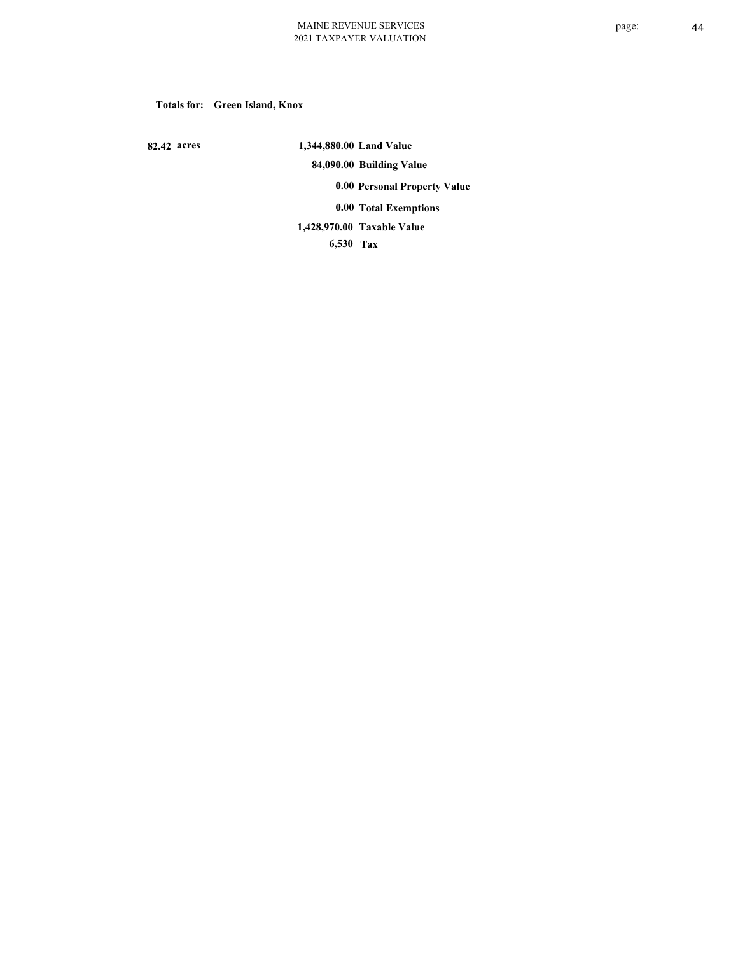#### **Totals for: Green Island, Knox**

 **82.42 acres**

 **1,344,880.00 Land Value 84,090.00 Building Value 0.00 Personal Property Value 0.00 Total Exemptions Taxable Value 1,428,970.00**

 **6,530 Tax**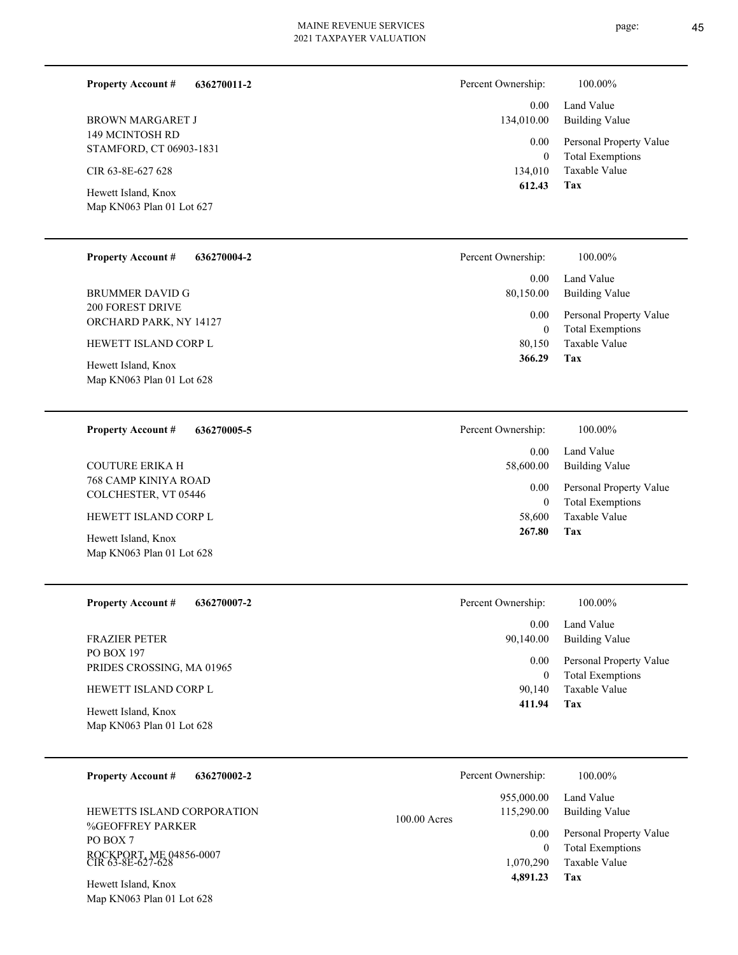**636270011-2**

**Property Account #**

Percent Ownership:  $100.00\%$ 

| <b>BROWN MARGARET J</b><br>149 MCINTOSH RD<br>STAMFORD, CT 06903-1831<br>CIR 63-8E-627 628<br>Hewett Island, Knox<br>Map KN063 Plan 01 Lot 627                        | 0.00<br>134,010.00<br>0.00<br>$\boldsymbol{0}$<br>134,010<br>612.43                   | Land Value<br><b>Building Value</b><br>Personal Property Value<br><b>Total Exemptions</b><br>Taxable Value<br>Tax |
|-----------------------------------------------------------------------------------------------------------------------------------------------------------------------|---------------------------------------------------------------------------------------|-------------------------------------------------------------------------------------------------------------------|
| <b>Property Account #</b><br>636270004-2                                                                                                                              | Percent Ownership:                                                                    | 100.00%                                                                                                           |
| <b>BRUMMER DAVID G</b><br><b>200 FOREST DRIVE</b><br>ORCHARD PARK, NY 14127<br>HEWETT ISLAND CORP L<br>Hewett Island, Knox                                            | 0.00<br>80,150.00<br>0.00<br>$\boldsymbol{0}$<br>80,150<br>366.29                     | Land Value<br><b>Building Value</b><br>Personal Property Value<br><b>Total Exemptions</b><br>Taxable Value<br>Tax |
| Map KN063 Plan 01 Lot 628                                                                                                                                             |                                                                                       |                                                                                                                   |
| <b>Property Account #</b><br>636270005-5                                                                                                                              | Percent Ownership:                                                                    | 100.00%                                                                                                           |
| <b>COUTURE ERIKA H</b><br>768 CAMP KINIYA ROAD<br>COLCHESTER, VT 05446<br>HEWETT ISLAND CORP L<br>Hewett Island, Knox<br>Map KN063 Plan 01 Lot 628                    | 0.00<br>58,600.00<br>0.00<br>$\mathbf{0}$<br>58,600<br>267.80                         | Land Value<br><b>Building Value</b><br>Personal Property Value<br><b>Total Exemptions</b><br>Taxable Value<br>Tax |
| <b>Property Account #</b><br>636270007-2                                                                                                                              | Percent Ownership:<br>0.00                                                            | 100.00%<br>Land Value                                                                                             |
| <b>FRAZIER PETER</b><br>PO BOX 197<br>PRIDES CROSSING, MA 01965<br>HEWETT ISLAND CORP L<br>Hewett Island, Knox<br>Map KN063 Plan 01 Lot 628                           | 90,140.00<br>0.00<br>$\theta$<br>90,140<br>411.94                                     | <b>Building Value</b><br>Personal Property Value<br><b>Total Exemptions</b><br>Taxable Value<br>Tax               |
| <b>Property Account #</b><br>636270002-2                                                                                                                              | Percent Ownership:                                                                    | 100.00%                                                                                                           |
| HEWETTS ISLAND CORPORATION<br><b>%GEOFFREY PARKER</b><br>PO BOX 7<br>ROCKPORT, ME 04856-0007<br>CIR 63-8E-627-628<br>Hewett Island, Knox<br>Map KN063 Plan 01 Lot 628 | 955,000.00<br>115,290.00<br>100.00 Acres<br>0.00<br>$\theta$<br>1,070,290<br>4,891.23 | Land Value<br><b>Building Value</b><br>Personal Property Value<br><b>Total Exemptions</b><br>Taxable Value<br>Tax |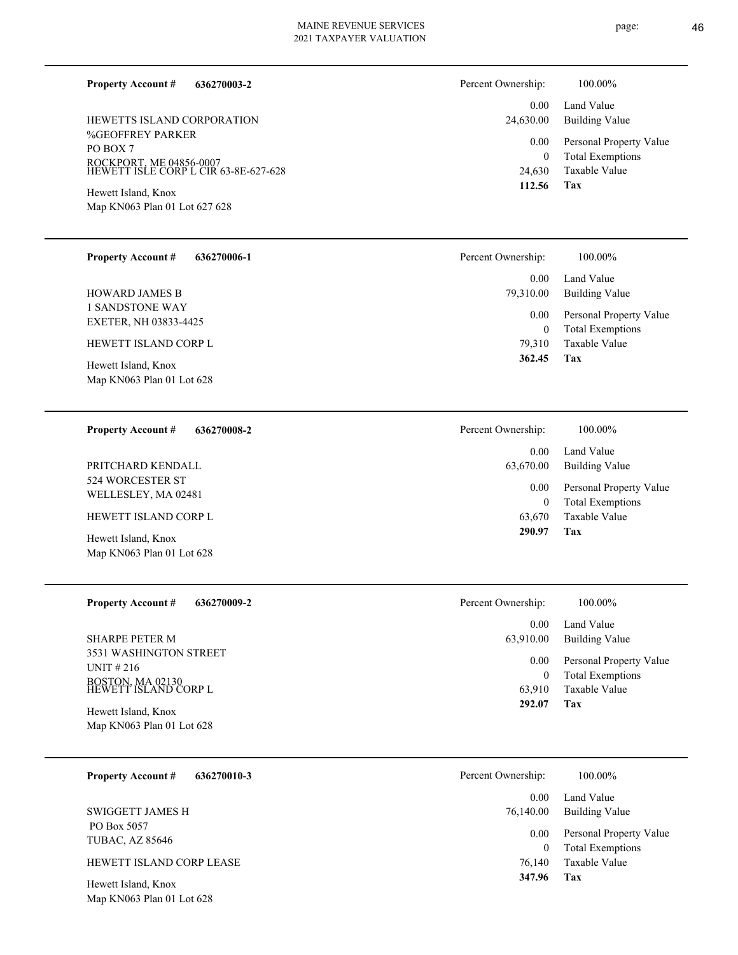**636270003-2**

%GEOFFREY PARKER PO BOX 7 ROCKPORT, ME 04856-0007 HEWETT ISLE CORP L CIR 63-8E-627-628 HEWETTS ISLAND CORPORATION

Map KN063 Plan 01 Lot 627 628 Hewett Island, Knox

**Property Account #**

| <b>Property Account #</b> | 636270006-1 |
|---------------------------|-------------|
|---------------------------|-------------|

1 SANDSTONE WAY EXETER, NH 03833-4425 HOWARD JAMES B

HEWETT ISLAND CORP L

Map KN063 Plan 01 Lot 628 Hewett Island, Knox

#### **636270008-2 Property Account #**

524 WORCESTER ST WELLESLEY, MA 02481 PRITCHARD KENDALL

HEWETT ISLAND CORP L

Map KN063 Plan 01 Lot 628 Hewett Island, Knox

**636270009-2 Property Account #**

3531 WASHINGTON STREET UNIT # 216 BOSTON, MA 02130 HEWETT ISLAND CORP L SHARPE PETER M

Map KN063 Plan 01 Lot 628 Hewett Island, Knox

|  |  | <b>Property Account #</b> | 636270010-3 |
|--|--|---------------------------|-------------|
|--|--|---------------------------|-------------|

 PO Box 5057 TUBAC, AZ 85646 SWIGGETT JAMES H

#### HEWETT ISLAND CORP LEASE

Map KN063 Plan 01 Lot 628 Hewett Island, Knox

| Percent Ownership:    | 100.00%                                            |
|-----------------------|----------------------------------------------------|
| $0.00 -$<br>24,630.00 | Land Value<br>Building Value                       |
| $0.00\,$<br>0         | Personal Property Value<br><b>Total Exemptions</b> |
|                       | 24,630 Taxable Value                               |
| 112.56                | Tax                                                |

| Percent Ownership: | 100.00%                                            |
|--------------------|----------------------------------------------------|
| 0.00<br>79,310.00  | Land Value<br>Building Value                       |
| 0.00<br>0          | Personal Property Value<br><b>Total Exemptions</b> |
| 79.310             | Taxable Value                                      |
| 362.45             | Tax                                                |

| Percent Ownership:    | 100.00%                                            |
|-----------------------|----------------------------------------------------|
| $0.00 -$<br>63,670.00 | Land Value<br>Building Value                       |
| $0.00\,$<br>0         | Personal Property Value<br><b>Total Exemptions</b> |
|                       | 63,670 Taxable Value                               |
| 290.97                | Tax                                                |

| Percent Ownership: | 100.00%                 |
|--------------------|-------------------------|
| $0.00 -$           | Land Value              |
| 63,910.00          | Building Value          |
| $0.00\,$           | Personal Property Value |
| $^{(1)}$           | <b>Total Exemptions</b> |
| 63,910             | Taxable Value           |
| 292.07             | Tax                     |

| Percent Ownership: | 100.00%                 |
|--------------------|-------------------------|
| 0.00               | Land Value              |
| 76,140.00          | Building Value          |
| 0.00               | Personal Property Value |
| 0                  | <b>Total Exemptions</b> |
| 76,140             | Taxable Value           |
| 347.96             | Tax                     |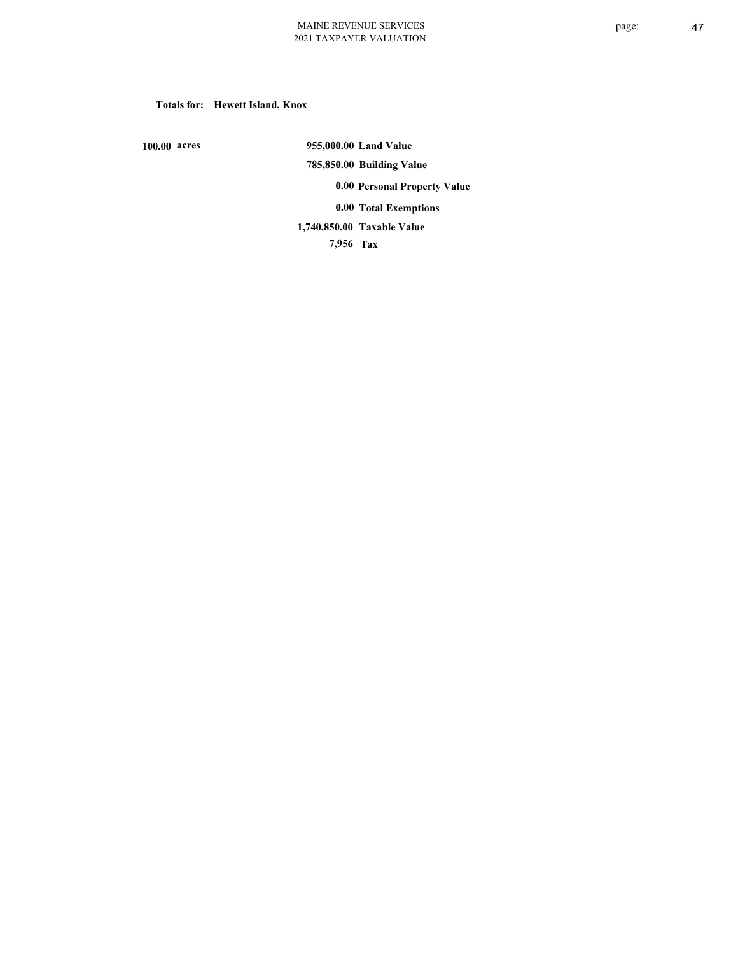# **Totals for: Hewett Island, Knox**

 **100.00 acres**

 **955,000.00 Land Value 785,850.00 Building Value 0.00 Personal Property Value 0.00 Total Exemptions**

**Taxable Value 1,740,850.00**

 **7,956 Tax**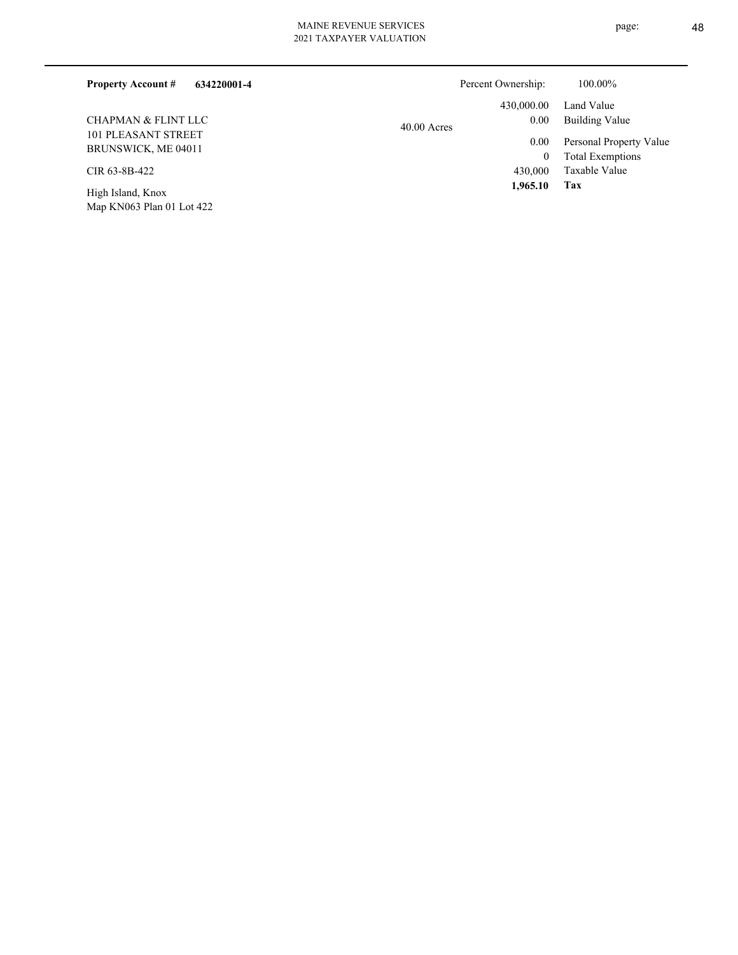Map KN063 Plan 01 Lot 422

| 2021 TAXPAYER VALUATION |  |
|-------------------------|--|
|                         |  |
|                         |  |

| 634220001-4<br><b>Property Account #</b> |               | Percent Ownership: | 100.00%                 |
|------------------------------------------|---------------|--------------------|-------------------------|
|                                          |               | 430,000.00         | Land Value              |
| CHAPMAN & FLINT LLC                      | $40.00$ Acres | 0.00               | Building Value          |
| 101 PLEASANT STREET                      |               | 0.00               | Personal Property Value |
| BRUNSWICK, ME 04011                      |               | $\mathbf{0}$       | <b>Total Exemptions</b> |
| CIR 63-8B-422                            |               | 430,000            | Taxable Value           |
| High Island, Knox                        |               | 1,965.10           | Tax                     |

page: 48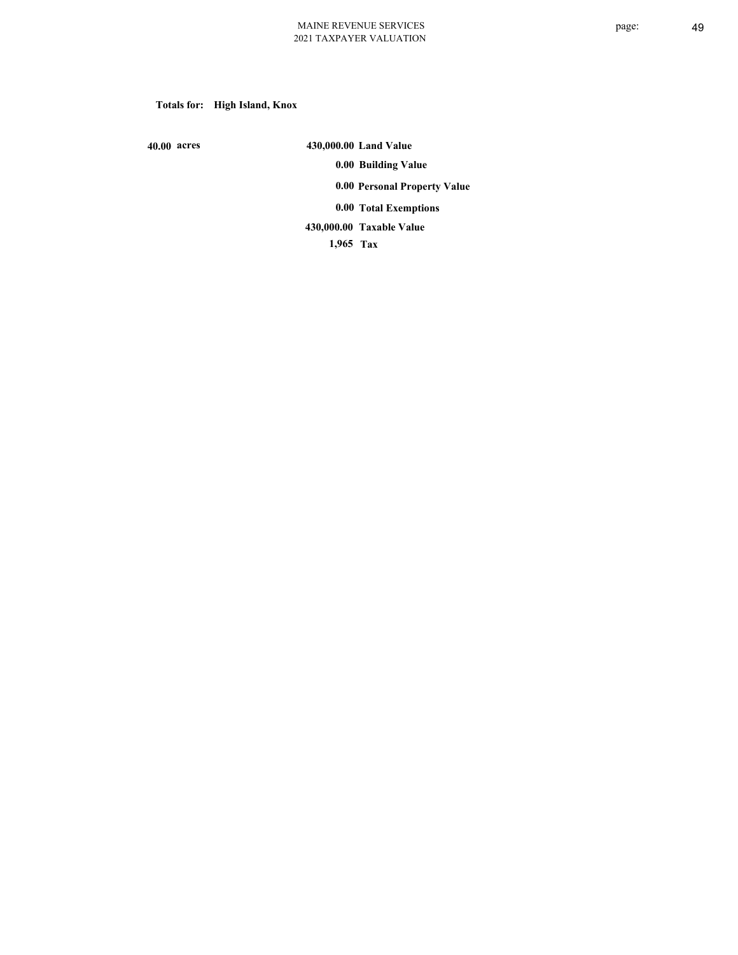# **Totals for: High Island, Knox**

 **40.00 acres**

 **430,000.00 Land Value 0.00 Building Value 0.00 Personal Property Value 0.00 Total Exemptions Taxable Value 430,000.00**

 **1,965 Tax**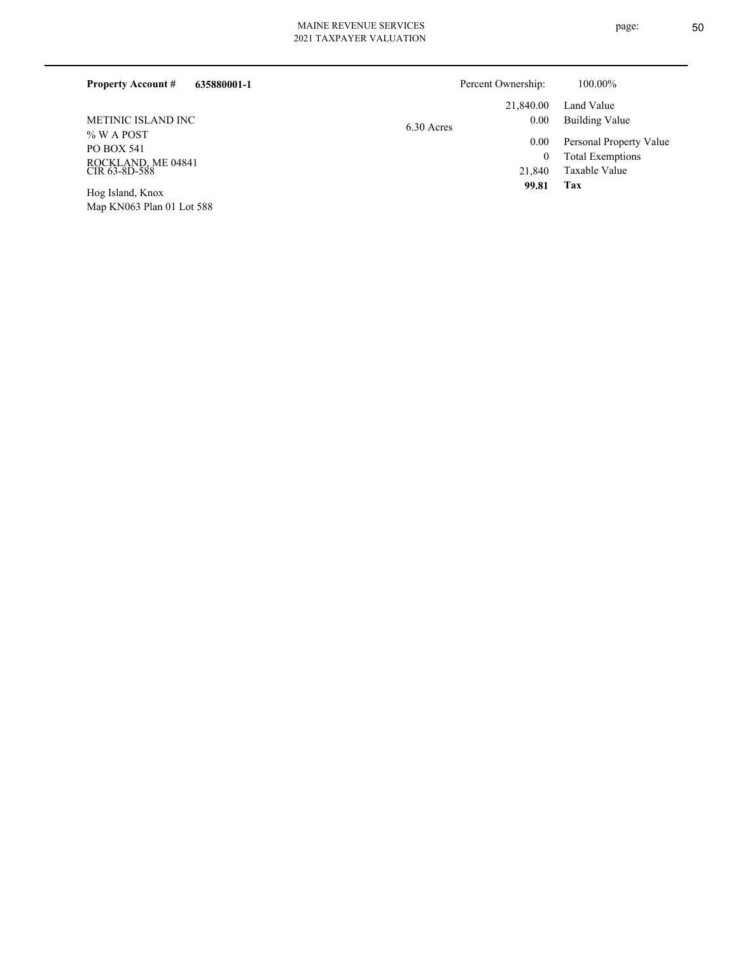| 2021 TAXPAYER VALUATION |
|-------------------------|
|                         |
|                         |

| 635880001-1<br><b>Property Account #</b>                                 | Percent Ownership:              | 100.00%                                                             |
|--------------------------------------------------------------------------|---------------------------------|---------------------------------------------------------------------|
| METINIC ISLAND INC                                                       | 21,840.00<br>0.00<br>6.30 Acres | Land Value<br>Building Value                                        |
| $%$ W A POST<br><b>PO BOX 541</b><br>ROCKLAND, ME 04841<br>CIR 63-8D-588 | 0.00<br>21,840                  | Personal Property Value<br><b>Total Exemptions</b><br>Taxable Value |
| Hog Island Knox                                                          | 99.81                           | Tax                                                                 |

Map KN063 Plan 01 Lot 588 Hog Island, Knox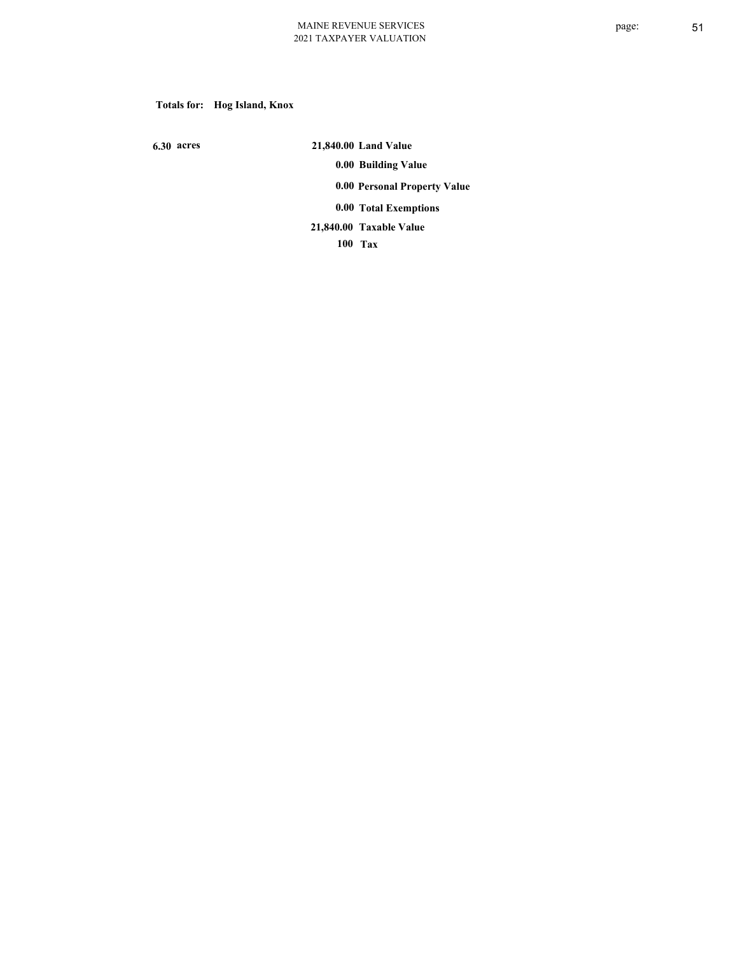# **Totals for: Hog Island, Knox**

 **6.30 acres**

 **21,840.00 Land Value 0.00 Building Value 0.00 Personal Property Value 0.00 Total Exemptions Taxable Value 21,840.00**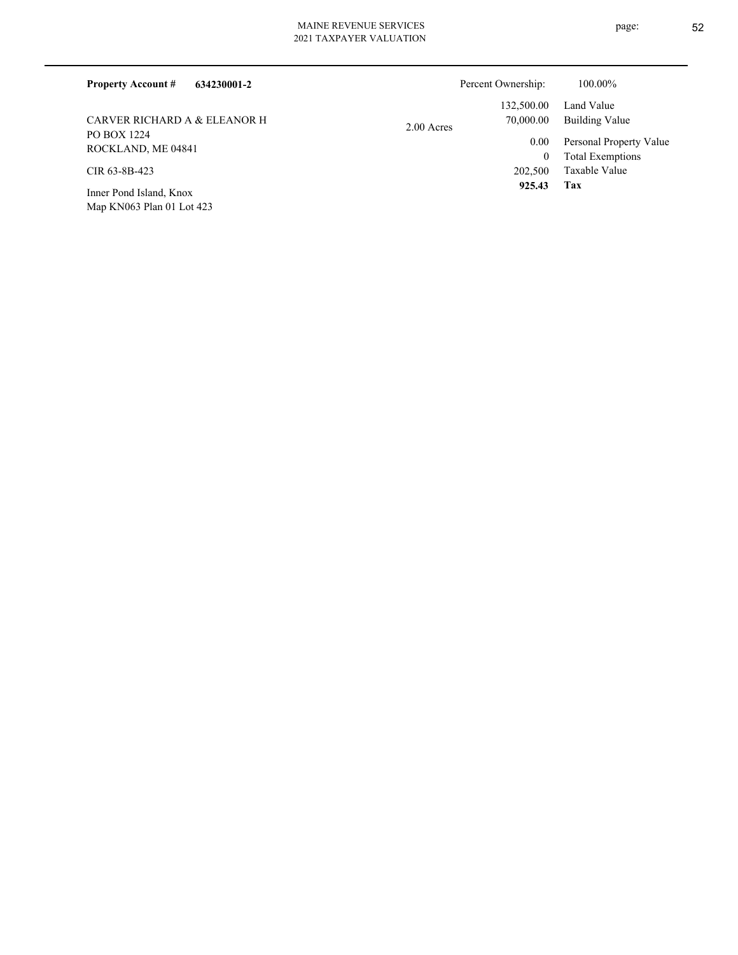| 634230001-2<br><b>Property Account #</b> |            | Percent Ownership: | 100.00%                 |
|------------------------------------------|------------|--------------------|-------------------------|
|                                          |            | 132,500.00         | Land Value              |
| CARVER RICHARD A & ELEANOR H             | 2.00 Acres | 70,000.00          | Building Value          |
| PO BOX 1224<br>ROCKLAND, ME 04841        |            | 0.00               | Personal Property Value |
|                                          |            | $\bf{0}$           | <b>Total Exemptions</b> |
| CIR 63-8B-423                            |            | 202,500            | Taxable Value           |
| Inner Pond Island, Knox                  |            | 925.43             | Tax                     |
| Map KN063 Plan 01 Lot 423                |            |                    |                         |

page: 52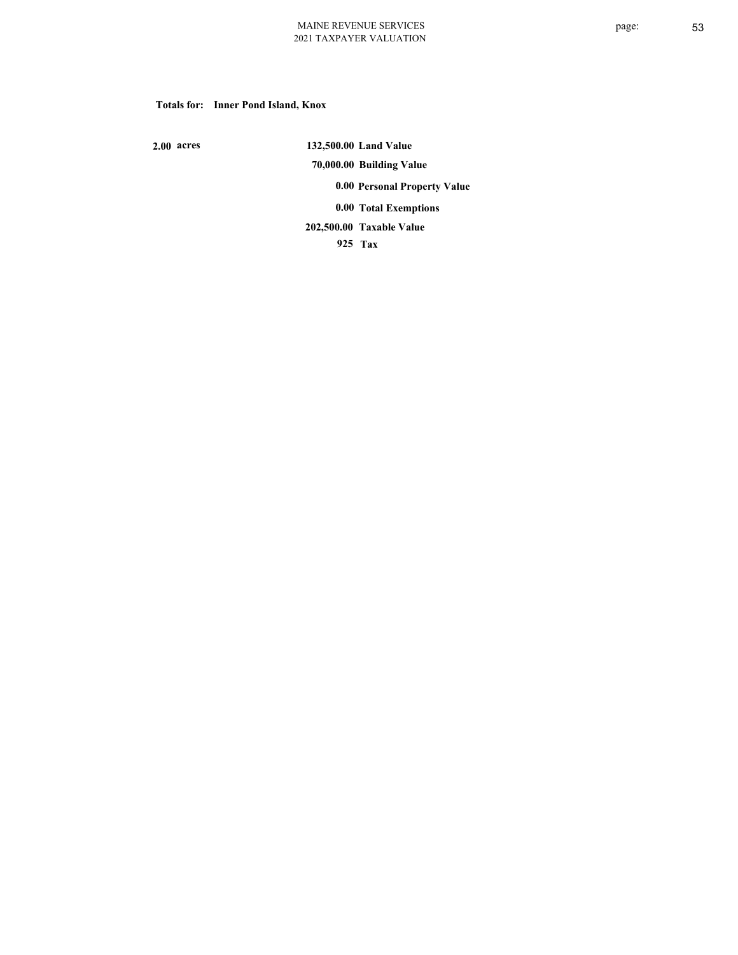#### **Totals for: Inner Pond Island, Knox**

 **2.00 acres**

 **132,500.00 Land Value 70,000.00 Building Value 0.00 Personal Property Value 0.00 Total Exemptions Taxable Value 202,500.00**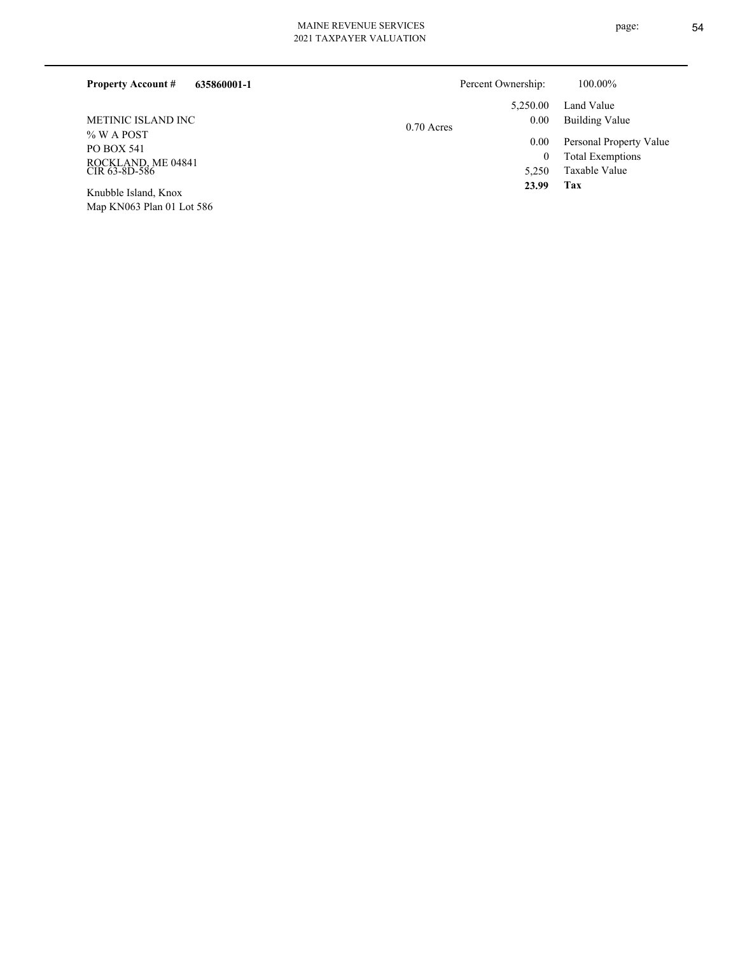| <b>Property Account #</b><br>635860001-1 | Percent Ownership: | 100.00%                         |  |
|------------------------------------------|--------------------|---------------------------------|--|
|                                          |                    | Land Value<br>5.250.00          |  |
| METINIC ISLAND INC                       | $0.70$ Acres       | 0.00<br><b>Building Value</b>   |  |
| $%$ W A POST<br><b>PO BOX 541</b>        |                    | Personal Property Value<br>0.00 |  |
|                                          |                    | <b>Total Exemptions</b><br>0    |  |
| ROCKLAND, ME 04841<br>CIR 63-8D-586      |                    | Taxable Value<br>5,250          |  |
| $TT = 111T + 11T$                        |                    | 23.99<br>Tax                    |  |

Map KN063 Plan 01 Lot 586 Knubble Island, Knox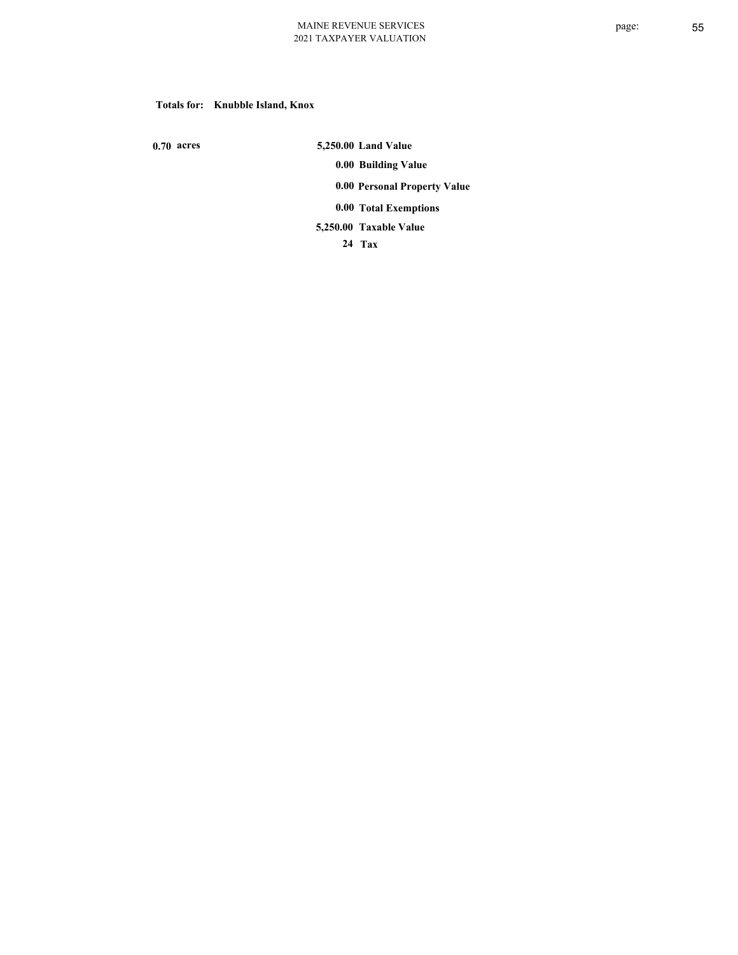### **Totals for: Knubble Island, Knox**

 **0.70 acres**

 **5,250.00 Land Value 0.00 Building Value 0.00 Personal Property Value 0.00 Total Exemptions Taxable Value 5,250.00**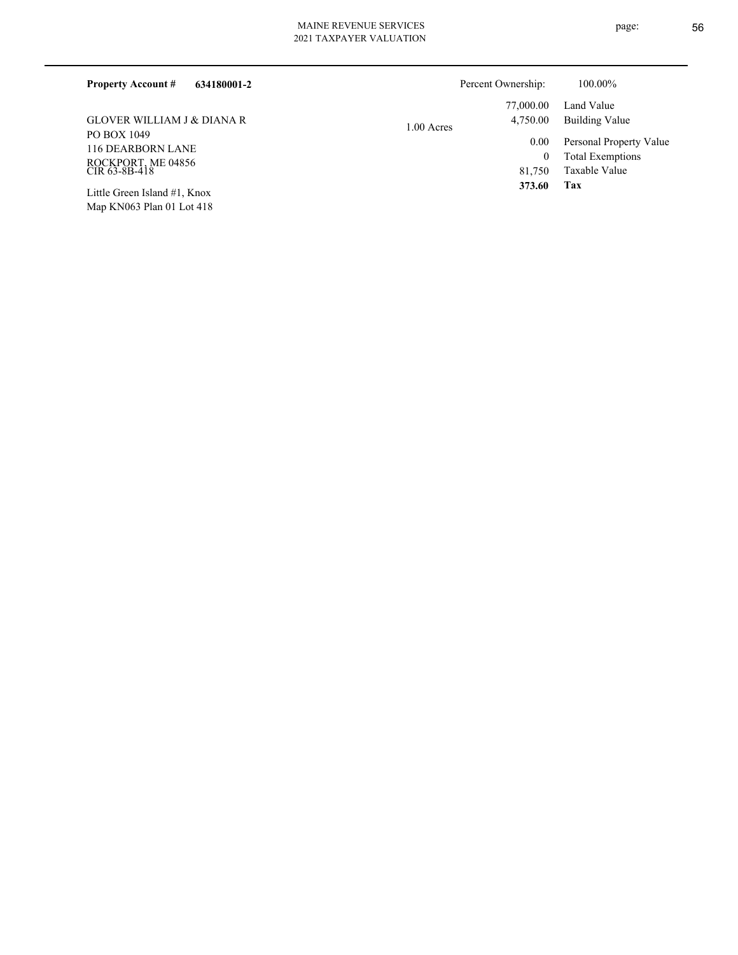| <b>Property Account #</b><br>634180001-2                                                                                                                                                       | Percent Ownership:       | 100.00%                             |
|------------------------------------------------------------------------------------------------------------------------------------------------------------------------------------------------|--------------------------|-------------------------------------|
|                                                                                                                                                                                                | 77,000.00                | Land Value                          |
| GLOVER WILLIAM J & DIANA R                                                                                                                                                                     | 4,750.00<br>$1.00$ Acres | Building Value                      |
| PO BOX 1049<br><b>116 DEARBORN LANE</b>                                                                                                                                                        | $0.00\,$                 | Personal Property Value             |
|                                                                                                                                                                                                |                          | <b>Total Exemptions</b><br>$\bf{0}$ |
| ROCKPORT, ME 04856<br>CIR 63-8B-418                                                                                                                                                            | 81.750                   | Taxable Value                       |
| $\mathbf{I}$ (all $\mathbf{C}$ and all $\mathbf{I}$ - $\mathbf{I}$ - $\mathbf{I}$ - $\mathbf{I}$ - $\mathbf{I}$ - $\mathbf{I}$ - $\mathbf{I}$ - $\mathbf{V}$ and $\mathbf{V}$ and $\mathbf{V}$ | 373.60                   | Tax                                 |

Map KN063 Plan 01 Lot 418 Little Green Island #1, Knox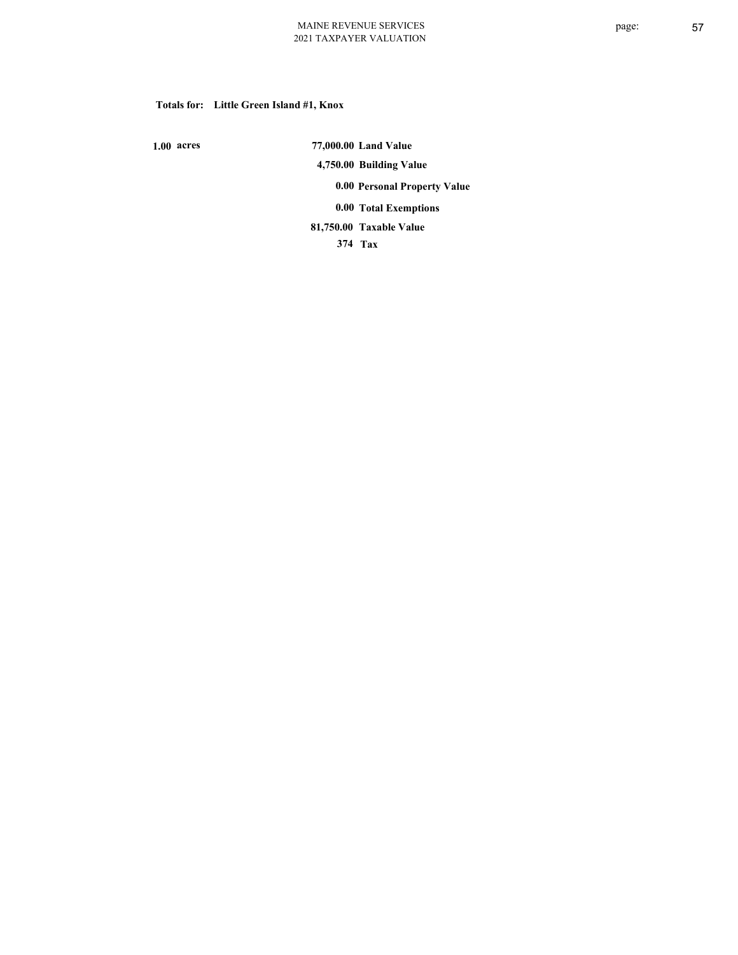### **Totals for: Little Green Island #1, Knox**

 **1.00 acres**

 **77,000.00 Land Value 4,750.00 Building Value 0.00 Personal Property Value 0.00 Total Exemptions Taxable Value 81,750.00**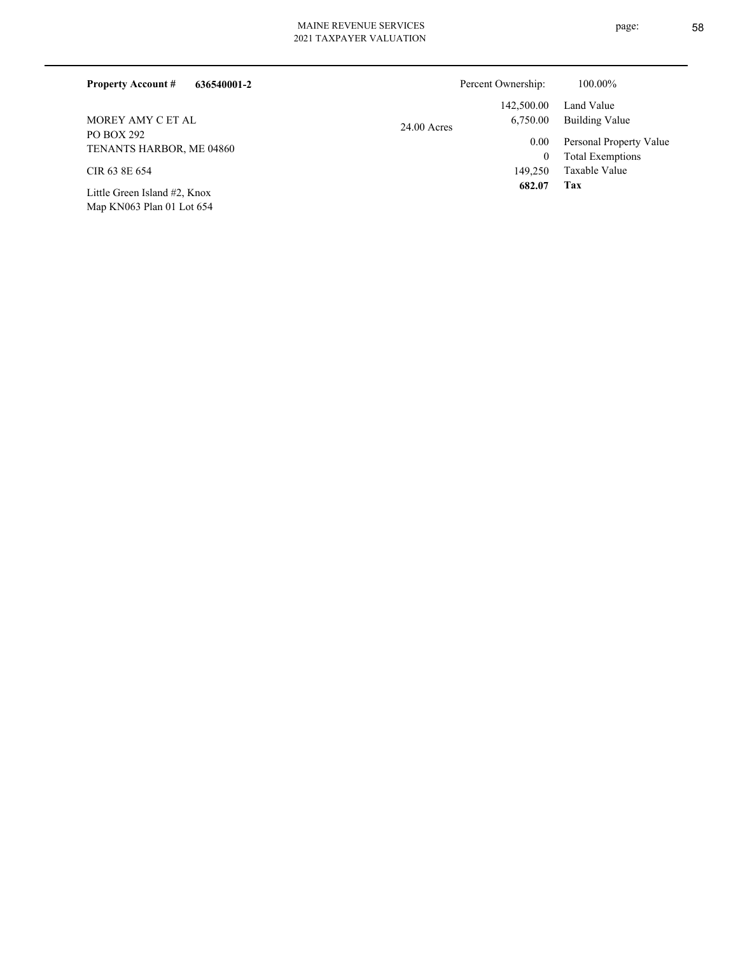| 636540001-2<br><b>Property Account #</b> |               | Percent Ownership: | 100.00%                 |
|------------------------------------------|---------------|--------------------|-------------------------|
|                                          |               | 142,500.00         | Land Value              |
| MOREY AMY C ET AL                        | $24.00$ Acres | 6,750.00           | Building Value          |
| PO BOX 292                               |               | 0.00               | Personal Property Value |
| TENANTS HARBOR, ME 04860                 |               | 0                  | <b>Total Exemptions</b> |
| CIR 63 8E 654                            |               | 149,250            | Taxable Value           |
| Little Green Island #2, Knox             |               | 682.07             | Tax                     |
| Map KN063 Plan 01 Lot 654                |               |                    |                         |

page: 58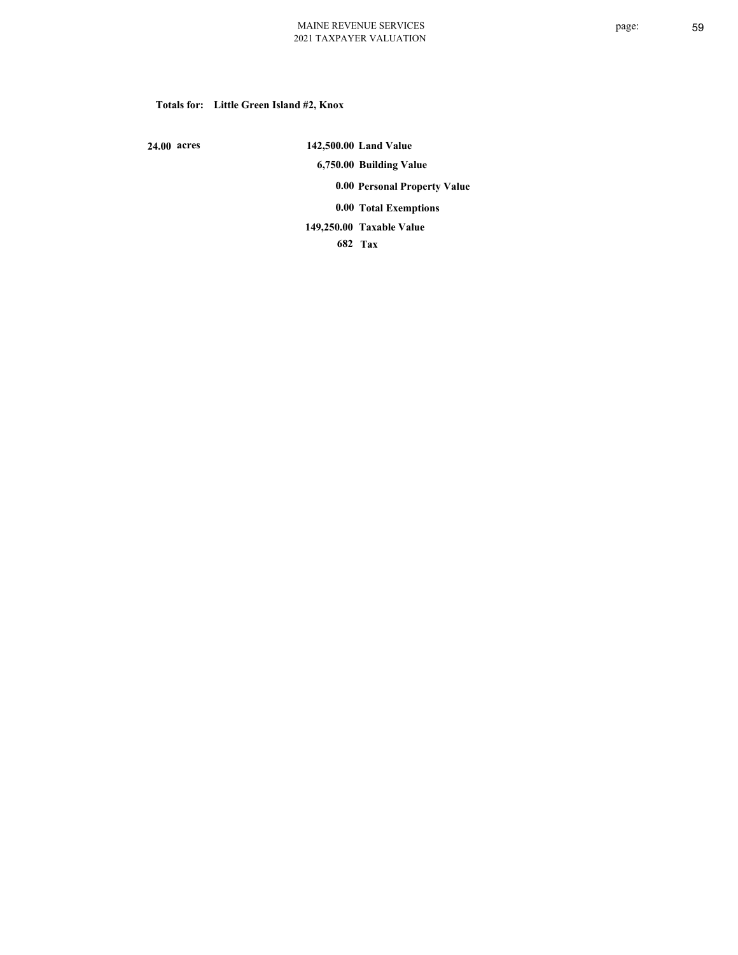#### **Totals for: Little Green Island #2, Knox**

 **24.00 acres**

 **142,500.00 Land Value 6,750.00 Building Value 0.00 Personal Property Value 0.00 Total Exemptions Taxable Value 149,250.00**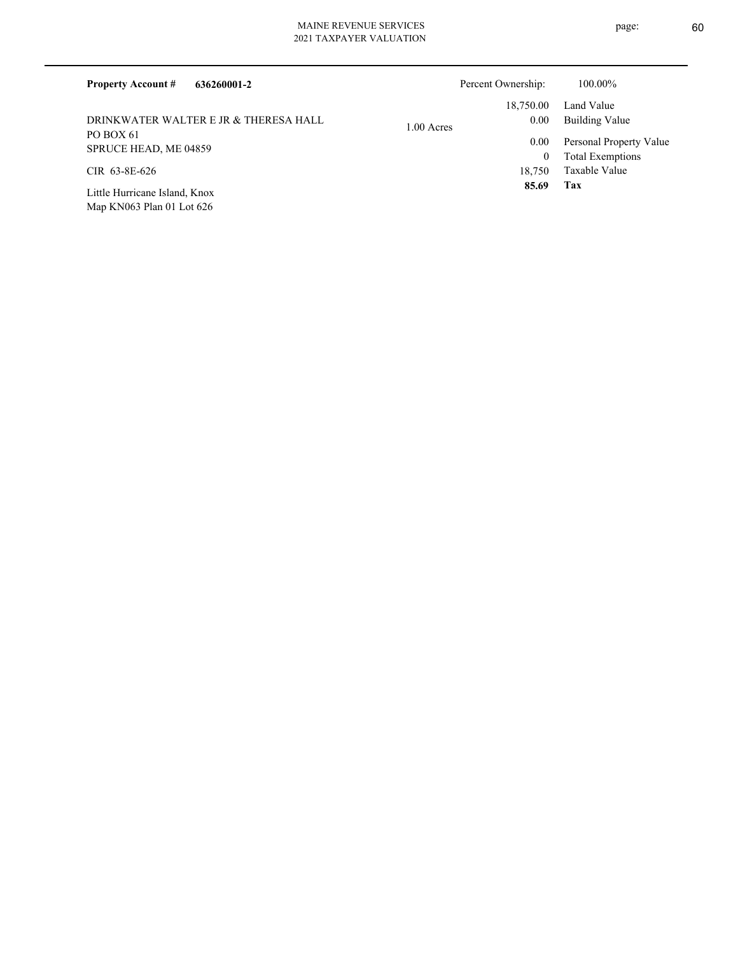| 636260001-2<br><b>Property Account #</b>                     |              | Percent Ownership: | 100.00%                                            |
|--------------------------------------------------------------|--------------|--------------------|----------------------------------------------------|
| DRINKWATER WALTER E JR & THERESA HALL                        | $1.00$ Acres | 18,750.00<br>0.00  | Land Value<br><b>Building Value</b>                |
| PO BOX 61<br>SPRUCE HEAD, ME 04859                           |              | 0.00<br>0          | Personal Property Value<br><b>Total Exemptions</b> |
| CIR 63-8E-626                                                |              | 18.750             | Taxable Value                                      |
| Little Hurricane Island, Knox<br>Map KN063 Plan 01 Lot $626$ |              | 85.69              | Tax                                                |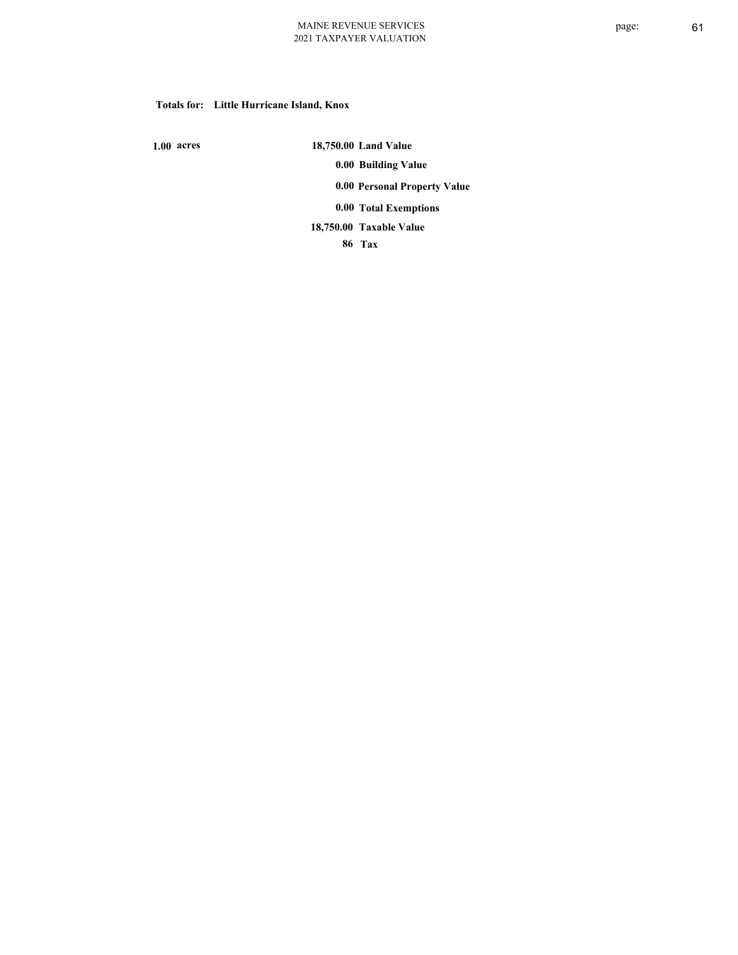#### **Totals for: Little Hurricane Island, Knox**

 **1.00 acres**

 **18,750.00 Land Value 0.00 Building Value 0.00 Personal Property Value 0.00 Total Exemptions Taxable Value 18,750.00**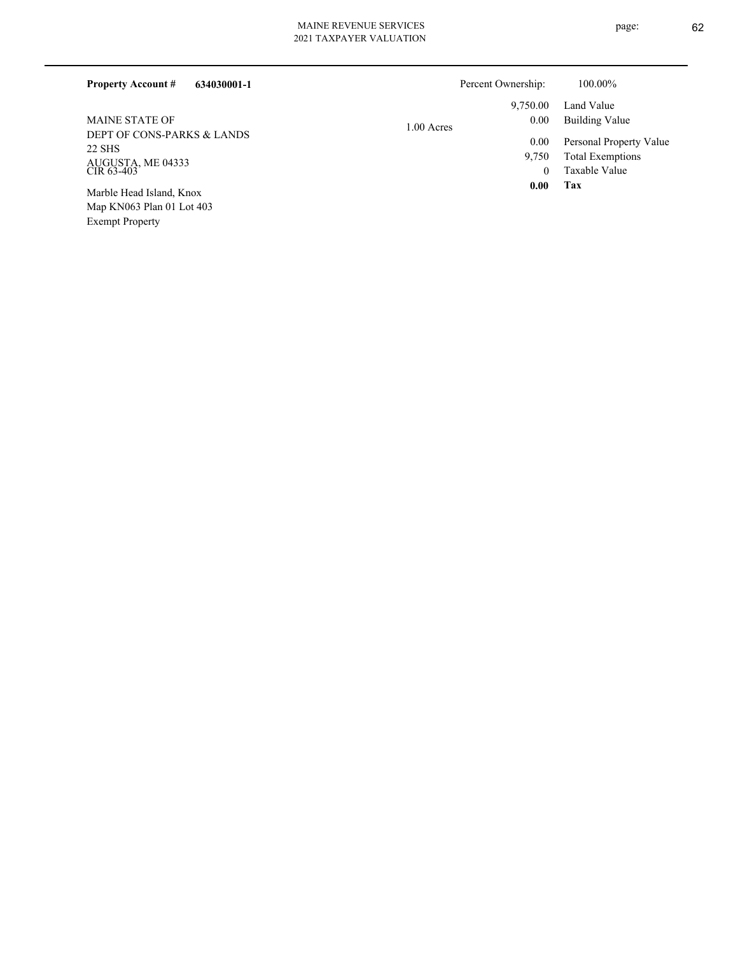Exempt Property

|  | 021 TAXPAYER VALUATION |
|--|------------------------|

| 634030001-1<br><b>Property Account #</b> |              | Percent Ownership: | 100.00%                 |
|------------------------------------------|--------------|--------------------|-------------------------|
|                                          |              | 9,750.00           | Land Value              |
| <b>MAINE STATE OF</b>                    | $1.00$ Acres | 0.00               | Building Value          |
| DEPT OF CONS-PARKS & LANDS               |              | 0.00               | Personal Property Value |
| 22 SHS                                   |              | 9,750              | <b>Total Exemptions</b> |
| AUGUSTA, ME 04333<br>CIR 63-403          |              | $\theta$           | Taxable Value           |
| Marble Head Island, Knox                 |              | 0.00               | Tax                     |
| Map KN063 Plan 01 Lot 403                |              |                    |                         |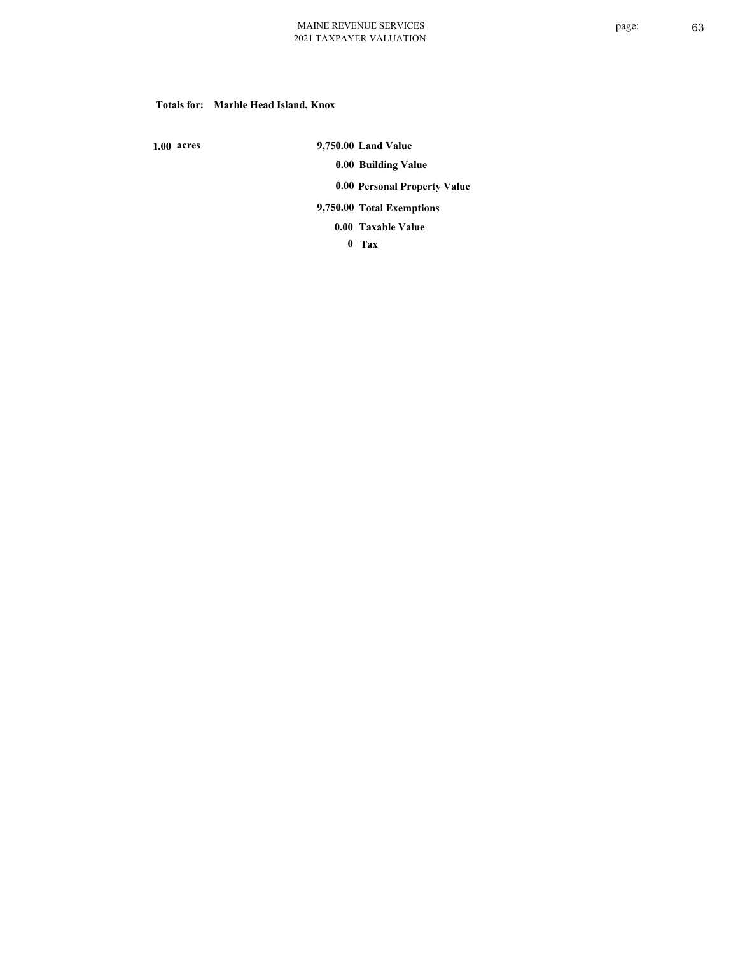### **Totals for: Marble Head Island, Knox**

 **1.00 acres**

 **9,750.00 Land Value 0.00 Building Value 0.00 Personal Property Value 9,750.00 Total Exemptions**

**Taxable Value 0.00**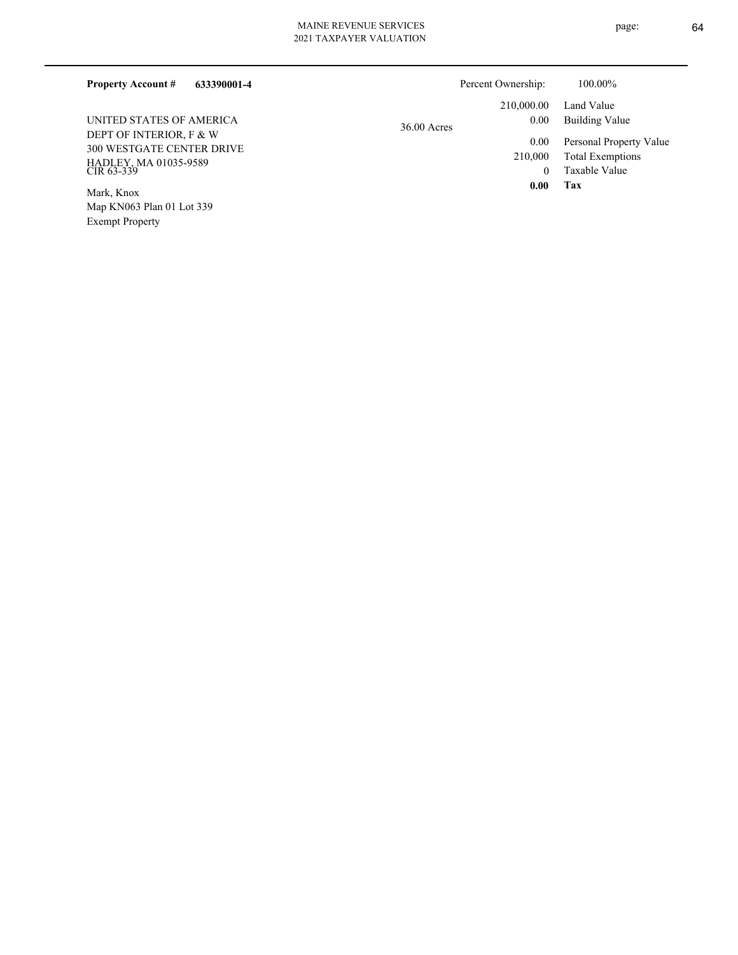| 633390001-4<br><b>Property Account #</b>                                                                                       |               | Percent Ownership:                                | $100.00\%$                                                                                          |
|--------------------------------------------------------------------------------------------------------------------------------|---------------|---------------------------------------------------|-----------------------------------------------------------------------------------------------------|
| UNITED STATES OF AMERICA<br>DEPT OF INTERIOR, F & W<br><b>300 WESTGATE CENTER DRIVE</b><br>HADLEY, MA 01035-9589<br>CIR 63-339 | $36.00$ Acres | 210,000.00<br>0.00<br>0.00<br>210,000<br>$\theta$ | Land Value<br>Building Value<br>Personal Property Value<br><b>Total Exemptions</b><br>Taxable Value |
| Mark, Knox<br>Map KN063 Plan 01 Lot 339                                                                                        |               | 0.00                                              | Tax                                                                                                 |

Exempt Property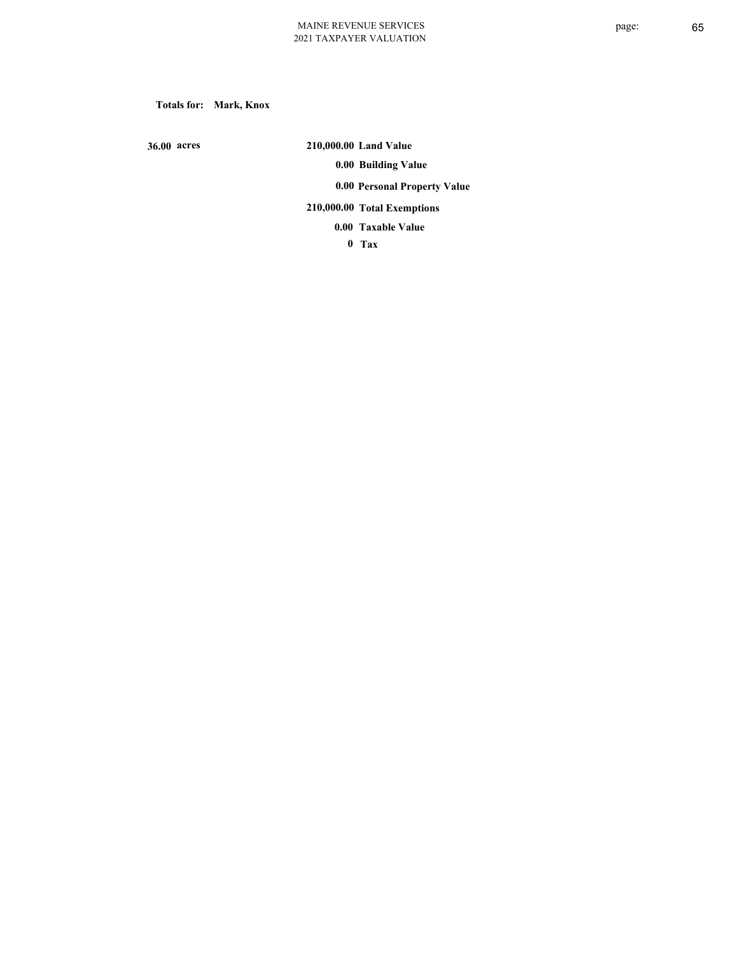**Totals for: Mark, Knox**

 **36.00 acres**

 **210,000.00 Land Value 0.00 Building Value 0.00 Personal Property Value 210,000.00 Total Exemptions**

**Taxable Value 0.00**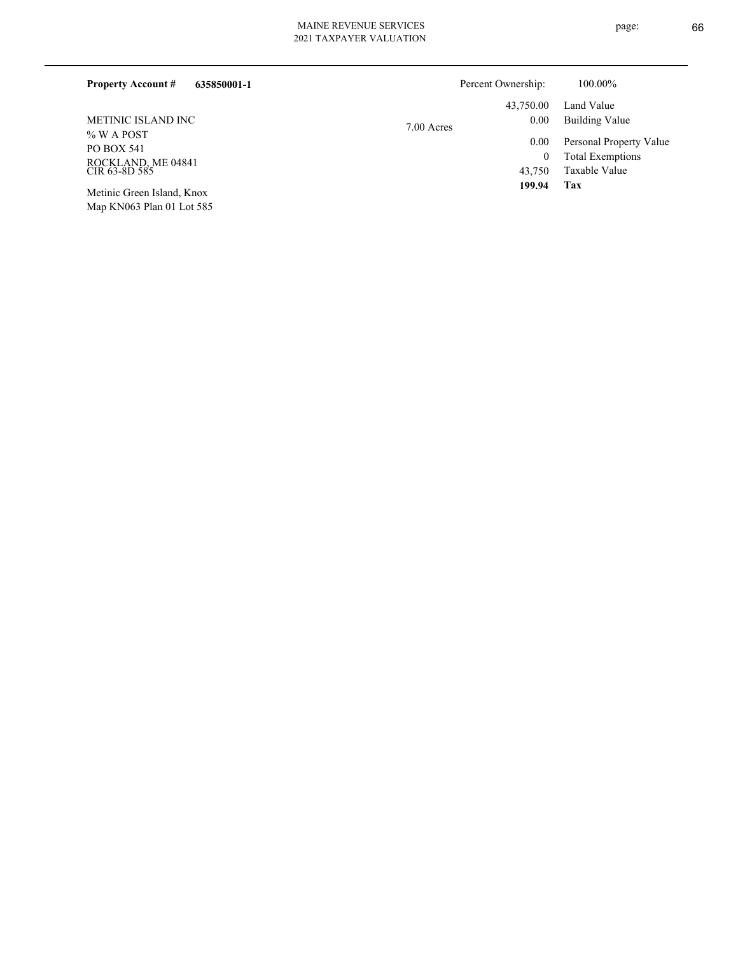| 635850001-1<br><b>Property Account #</b> |            | Percent Ownership: | 100.00%                 |
|------------------------------------------|------------|--------------------|-------------------------|
|                                          |            | 43,750.00          | Land Value              |
| METINIC ISLAND INC                       | 7.00 Acres | 0.00               | Building Value          |
| $%$ W A POST<br><b>PO BOX 541</b>        |            | 0.00               | Personal Property Value |
|                                          |            | $\theta$           | <b>Total Exemptions</b> |
| ROCKLAND, ME 04841<br>CIR 63-8D 585      |            | 43.750             | Taxable Value           |
| Metinic Green Island, Knox               |            | 199.94             | Tax                     |

Map KN063 Plan 01 Lot 585

page: 66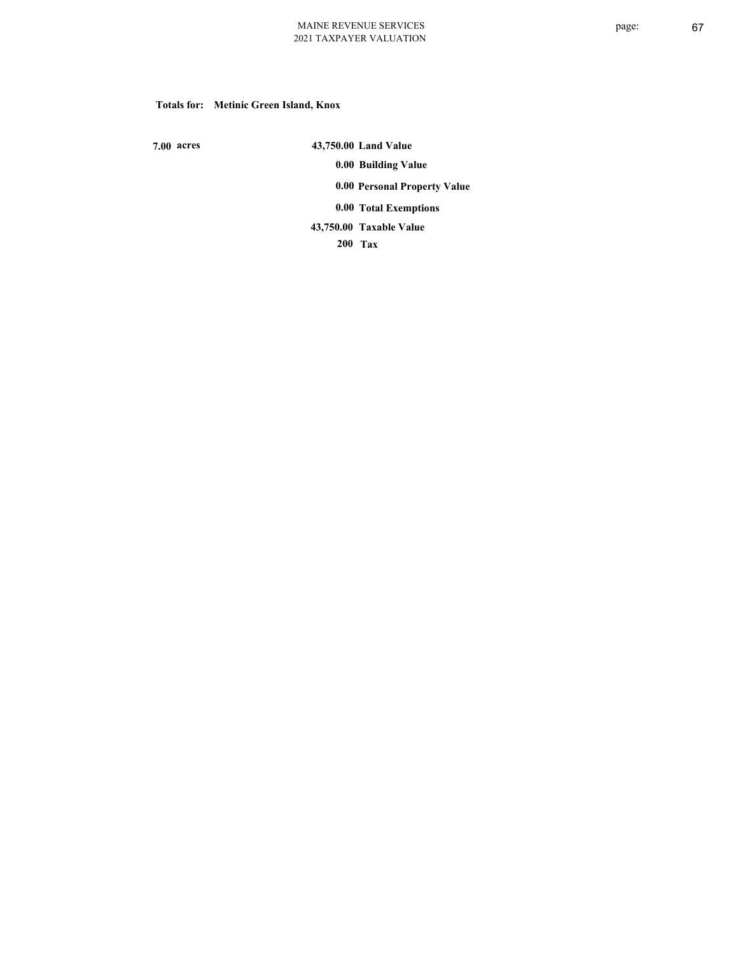#### **Totals for: Metinic Green Island, Knox**

 **7.00 acres**

 **43,750.00 Land Value 0.00 Building Value 0.00 Personal Property Value 0.00 Total Exemptions Taxable Value 43,750.00**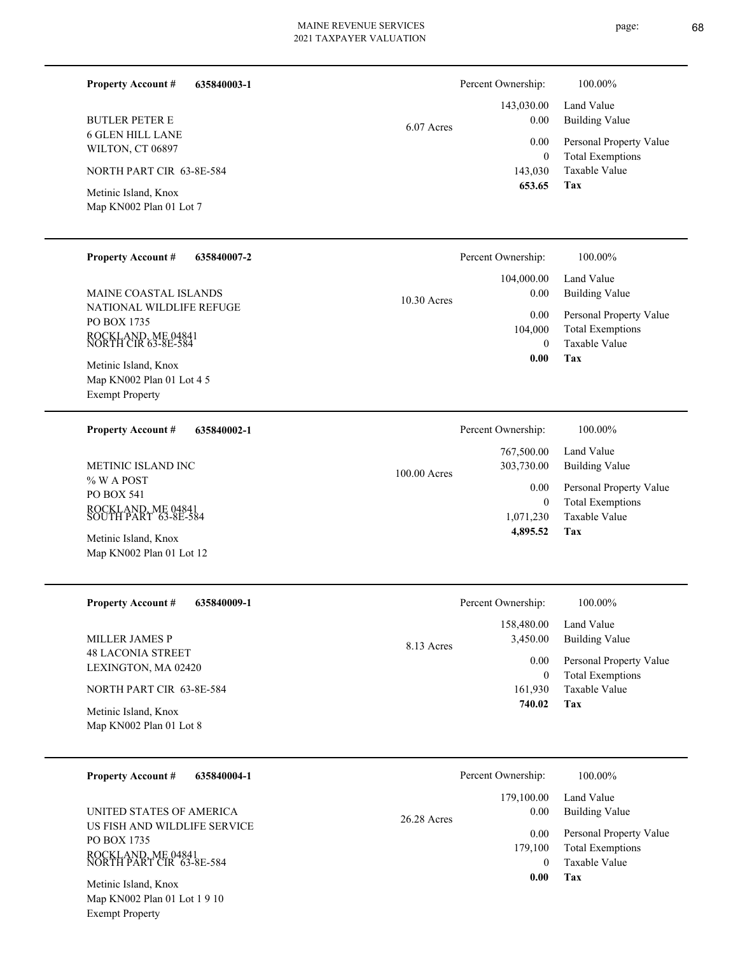**Tax 0.00**

| 635840003-1<br><b>Property Account #</b>                                             |              | Percent Ownership:              | 100.00%                                                             |
|--------------------------------------------------------------------------------------|--------------|---------------------------------|---------------------------------------------------------------------|
| <b>BUTLER PETER E</b><br><b>6 GLEN HILL LANE</b>                                     | 6.07 Acres   | 143,030.00<br>0.00              | Land Value<br><b>Building Value</b>                                 |
| WILTON, CT 06897                                                                     |              | 0.00<br>$\boldsymbol{0}$        | Personal Property Value<br><b>Total Exemptions</b>                  |
| NORTH PART CIR 63-8E-584                                                             |              | 143,030<br>653.65               | Taxable Value                                                       |
| Metinic Island, Knox<br>Map KN002 Plan 01 Lot 7                                      |              |                                 | Tax                                                                 |
| <b>Property Account #</b><br>635840007-2                                             |              | Percent Ownership:              | 100.00%                                                             |
| MAINE COASTAL ISLANDS                                                                | 10.30 Acres  | 104,000.00<br>0.00              | Land Value<br><b>Building Value</b>                                 |
| NATIONAL WILDLIFE REFUGE<br>PO BOX 1735<br>ROCKLAND, ME 04841<br>NORTH CIR 63-8E-584 |              | 0.00<br>104,000<br>$\mathbf{0}$ | Personal Property Value<br><b>Total Exemptions</b><br>Taxable Value |
| Metinic Island, Knox<br>Map KN002 Plan 01 Lot 4 5<br><b>Exempt Property</b>          |              | 0.00                            | Tax                                                                 |
| <b>Property Account #</b><br>635840002-1                                             |              | Percent Ownership:              | 100.00%                                                             |
| METINIC ISLAND INC                                                                   | 100.00 Acres | 767,500.00<br>303,730.00        | Land Value<br><b>Building Value</b>                                 |
| % W A POST<br>PO BOX 541                                                             |              | 0.00<br>$\mathbf{0}$            | Personal Property Value<br><b>Total Exemptions</b>                  |
| ROCKLAND, ME 04841<br>SOUTH PART 63-8E-584                                           |              | 1,071,230                       | Taxable Value                                                       |
| Metinic Island, Knox<br>Map KN002 Plan 01 Lot 12                                     |              | 4,895.52                        | Tax                                                                 |
| <b>Property Account #</b><br>635840009-1                                             |              | Percent Ownership:              | 100.00%                                                             |
| MILLER JAMES P                                                                       |              | 158,480.00<br>3,450.00          | Land Value<br><b>Building Value</b>                                 |
| <b>48 LACONIA STREET</b>                                                             | 8.13 Acres   | 0.00                            | Personal Property Value                                             |
| LEXINGTON, MA 02420                                                                  |              | $\mathbf{0}$                    | <b>Total Exemptions</b><br>Taxable Value                            |
| NORTH PART CIR 63-8E-584<br>Metinic Island, Knox                                     |              | 161,930<br>740.02               | <b>Tax</b>                                                          |
| Map KN002 Plan 01 Lot 8                                                              |              |                                 |                                                                     |
| <b>Property Account #</b><br>635840004-1                                             |              | Percent Ownership:              | 100.00%                                                             |
| UNITED STATES OF AMERICA                                                             |              | 179,100.00<br>0.00              | Land Value<br><b>Building Value</b>                                 |
| US FISH AND WILDLIFE SERVICE<br>PO BOX 1735                                          | 26.28 Acres  | 0.00                            | Personal Property Value                                             |
| ROCKLAND, ME 04841<br>NORTH PART CIR 63-8E-584                                       |              | 179,100<br>$\bf{0}$             | <b>Total Exemptions</b><br>Taxable Value                            |

Map KN002 Plan 01 Lot 1 9 10 Exempt Property Metinic Island, Knox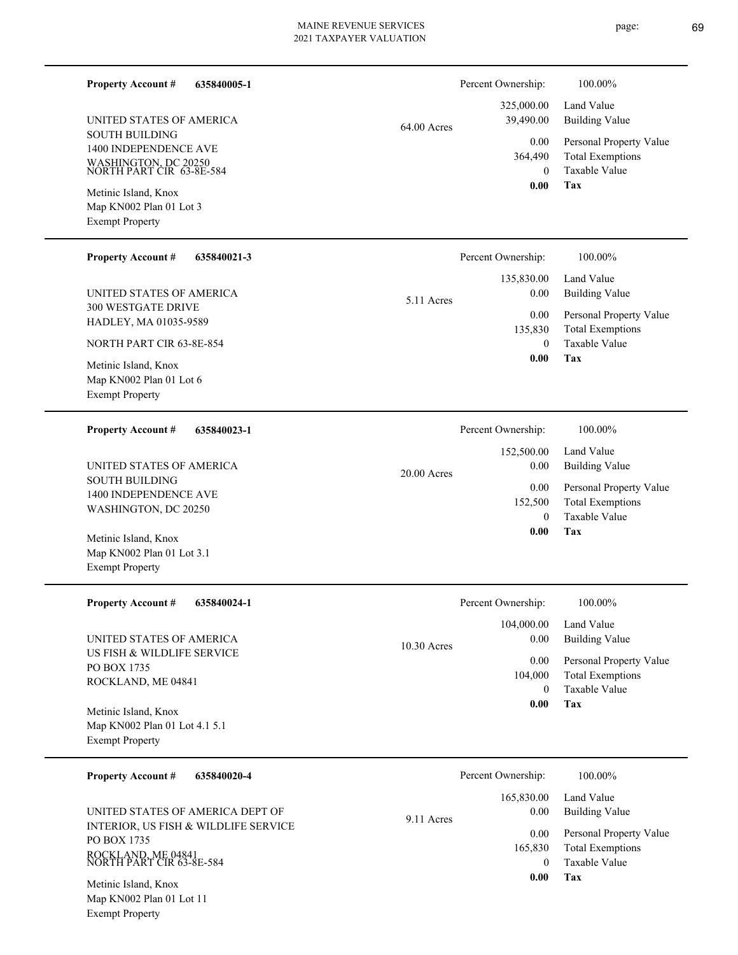page: 69

| <b>Property Account #</b><br>635840005-1                                                              |               | Percent Ownership:                | 100.00%                                                                    |
|-------------------------------------------------------------------------------------------------------|---------------|-----------------------------------|----------------------------------------------------------------------------|
| UNITED STATES OF AMERICA                                                                              | $64.00$ Acres | 325,000.00<br>39,490.00           | Land Value<br><b>Building Value</b>                                        |
| <b>SOUTH BUILDING</b><br>1400 INDEPENDENCE AVE<br>WASHINGTON, DC 20250<br>NORTH PART CIR 63-8E-584    |               | 0.00<br>364,490<br>$\theta$       | Personal Property Value<br><b>Total Exemptions</b><br><b>Taxable Value</b> |
| Metinic Island, Knox<br>Map KN002 Plan 01 Lot 3<br><b>Exempt Property</b>                             |               | 0.00                              | Tax                                                                        |
| <b>Property Account #</b><br>635840021-3                                                              |               | Percent Ownership:                | 100.00%                                                                    |
| UNITED STATES OF AMERICA<br>300 WESTGATE DRIVE                                                        | 5.11 Acres    | 135,830.00<br>$0.00\,$            | Land Value<br><b>Building Value</b>                                        |
| HADLEY, MA 01035-9589                                                                                 |               | 0.00<br>135,830                   | Personal Property Value<br><b>Total Exemptions</b>                         |
| NORTH PART CIR 63-8E-854<br>Metinic Island, Knox<br>Map KN002 Plan 01 Lot 6<br><b>Exempt Property</b> |               | $\theta$<br>0.00                  | <b>Taxable Value</b><br>Tax                                                |
| <b>Property Account #</b><br>635840023-1                                                              |               | Percent Ownership:                | 100.00%                                                                    |
| UNITED STATES OF AMERICA                                                                              | 20.00 Acres   | 152,500.00<br>0.00                | Land Value<br><b>Building Value</b>                                        |
| <b>SOUTH BUILDING</b><br>1400 INDEPENDENCE AVE<br>WASHINGTON, DC 20250                                |               | 0.00<br>152,500<br>$\theta$       | Personal Property Value<br><b>Total Exemptions</b><br><b>Taxable Value</b> |
| Metinic Island, Knox<br>Map KN002 Plan 01 Lot 3.1<br><b>Exempt Property</b>                           |               | 0.00                              | Tax                                                                        |
| Property Account # 635840024-1                                                                        |               | Percent Ownership:                | $100.00\%$                                                                 |
| UNITED STATES OF AMERICA                                                                              | 10.30 Acres   | 104,000.00<br>0.00                | Land Value<br><b>Building Value</b>                                        |
| US FISH & WILDLIFE SERVICE<br>PO BOX 1735<br>ROCKLAND, ME 04841                                       |               | 0.00<br>104,000<br>$\theta$       | Personal Property Value<br><b>Total Exemptions</b><br>Taxable Value        |
| Metinic Island, Knox<br>Map KN002 Plan 01 Lot 4.1 5.1<br><b>Exempt Property</b>                       |               | $0.00\,$                          | Tax                                                                        |
| <b>Property Account #</b><br>635840020-4                                                              |               | Percent Ownership:                | 100.00%                                                                    |
| UNITED STATES OF AMERICA DEPT OF                                                                      | 9.11 Acres    | 165,830.00<br>0.00                | Land Value<br><b>Building Value</b>                                        |
| INTERIOR, US FISH & WILDLIFE SERVICE<br>PO BOX 1735<br>ROCKLAND, ME 04841<br>NORTH PART CIR 63-8E-584 |               | 0.00<br>165,830<br>$\overline{0}$ | Personal Property Value<br><b>Total Exemptions</b><br>Taxable Value        |
| Metinic Island, Knox<br>Map KN002 Plan 01 Lot 11                                                      |               | 0.00                              | Tax                                                                        |

Exempt Property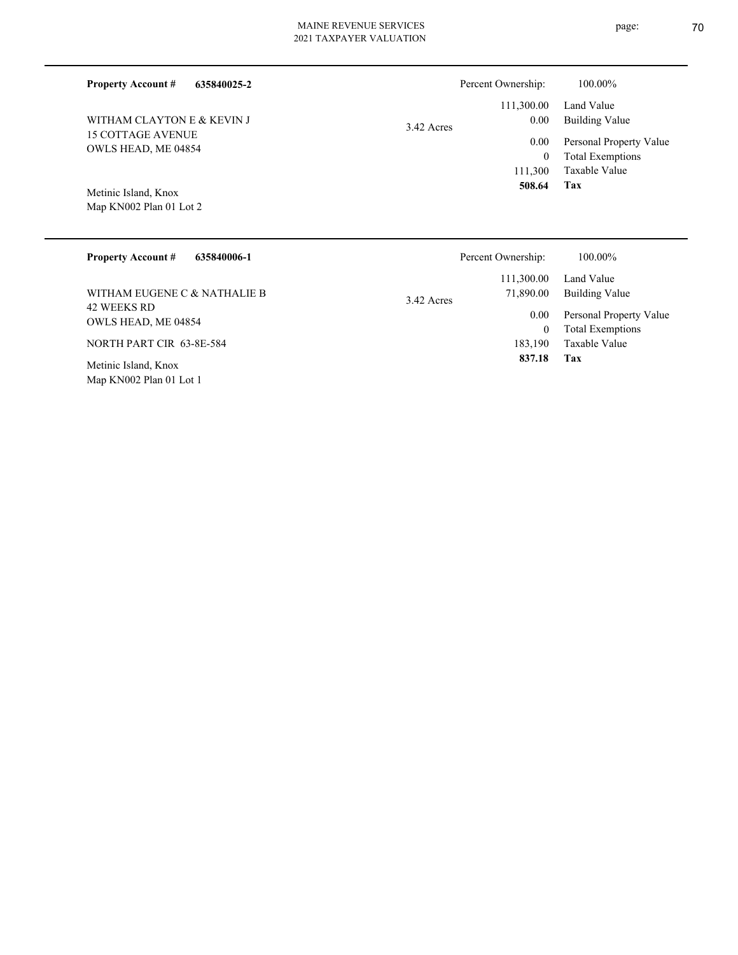| <b>Property Account #</b><br>635840025-2        | Percent Ownership:                     | 100.00%                                            |
|-------------------------------------------------|----------------------------------------|----------------------------------------------------|
| WITHAM CLAYTON E & KEVIN J                      | 111,300.00<br>$0.00\,$<br>$3.42$ Acres | Land Value<br><b>Building Value</b>                |
| <b>15 COTTAGE AVENUE</b><br>OWLS HEAD, ME 04854 | 0.00<br>$\theta$                       | Personal Property Value<br><b>Total Exemptions</b> |
|                                                 | 111,300<br>508.64                      | Taxable Value<br>Tax                               |
| Metinic Island, Knox<br>Map KN002 Plan 01 Lot 2 |                                        |                                                    |
| <b>Property Account #</b><br>635840006-1        | Percent Ownership:                     | 100.00%                                            |
|                                                 | 111,300.00                             | Land Value                                         |
| WITHAM EUGENE C & NATHALIE B                    | 71,890.00<br>3.42 Acres                | Building Value                                     |
| <b>42 WEEKS RD</b><br>OWLS HEAD, ME 04854       | $0.00\,$                               | Personal Property Value                            |
|                                                 | $\mathbf{0}$                           | <b>Total Exemptions</b>                            |

NORTH PART CIR 63-8E-584

Map KN002 Plan 01 Lot 1 Metinic Island, Knox

**Tax 837.18**

183,190 Taxable Value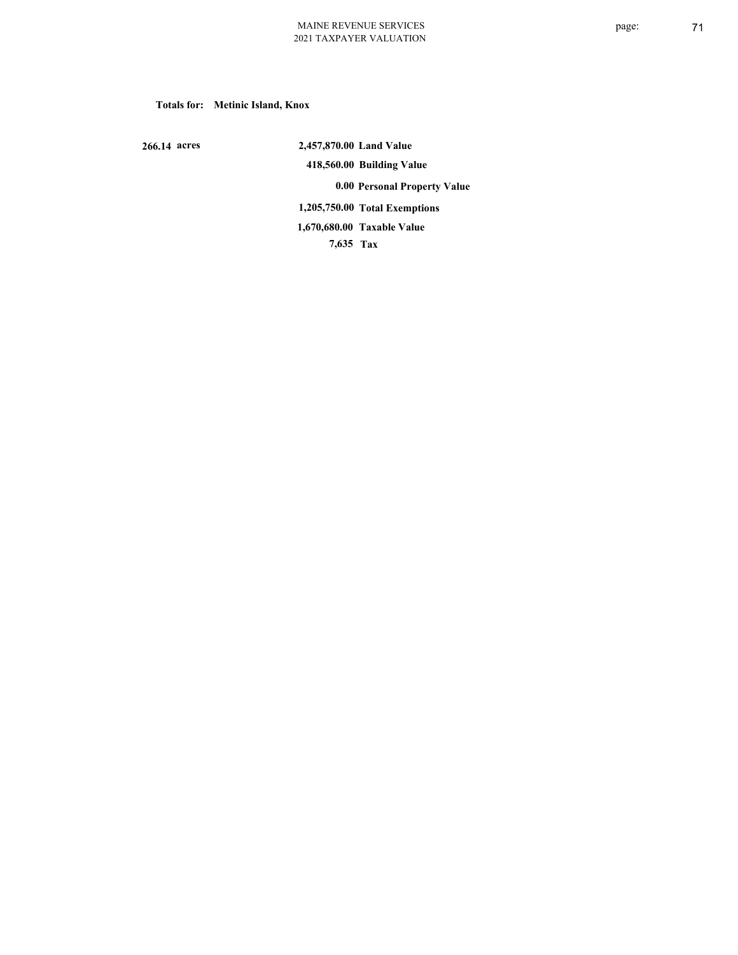#### **Totals for: Metinic Island, Knox**

 **266.14 acres**

 **2,457,870.00 Land Value 418,560.00 Building Value 0.00 Personal Property Value 1,205,750.00 Total Exemptions 7,635 Tax Taxable Value 1,670,680.00**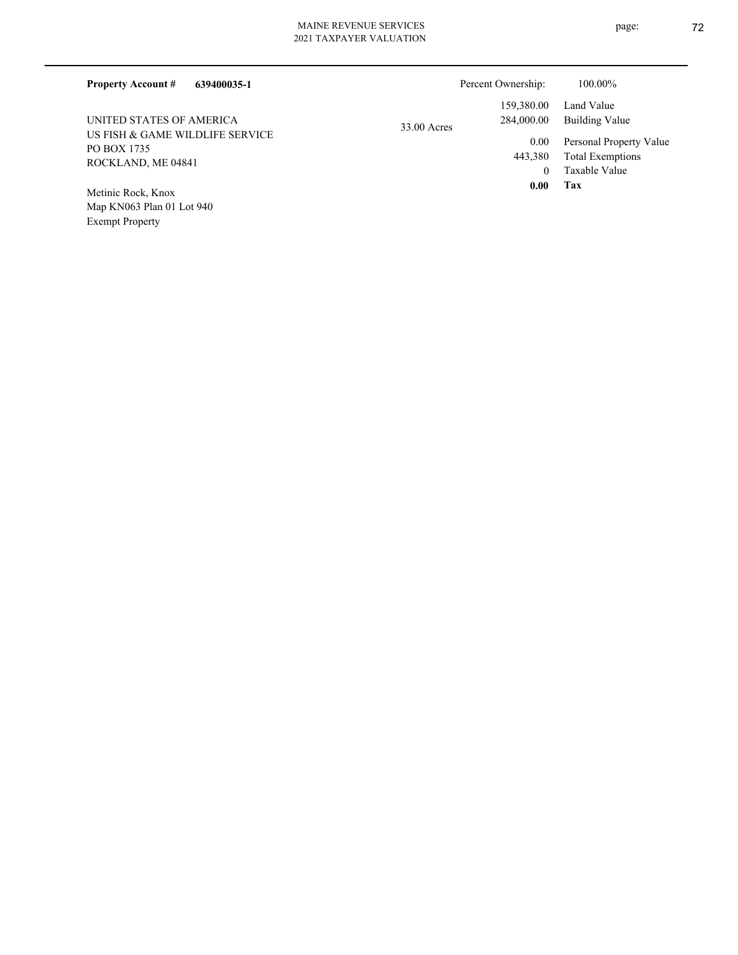| <b>Property Account #</b><br>639400035-1                    |             | Percent Ownership:       | 100.00%                                                             |
|-------------------------------------------------------------|-------------|--------------------------|---------------------------------------------------------------------|
| UNITED STATES OF AMERICA<br>US FISH & GAME WILDLIFE SERVICE | 33.00 Acres | 159,380.00<br>284,000.00 | Land Value<br>Building Value                                        |
| PO BOX 1735<br>ROCKLAND, ME 04841                           |             | 0.00<br>443,380<br>0     | Personal Property Value<br><b>Total Exemptions</b><br>Taxable Value |
| Metinic Rock, Knox<br>Map KN063 Plan 01 Lot 940             |             | 0.00                     | Tax                                                                 |

Exempt Property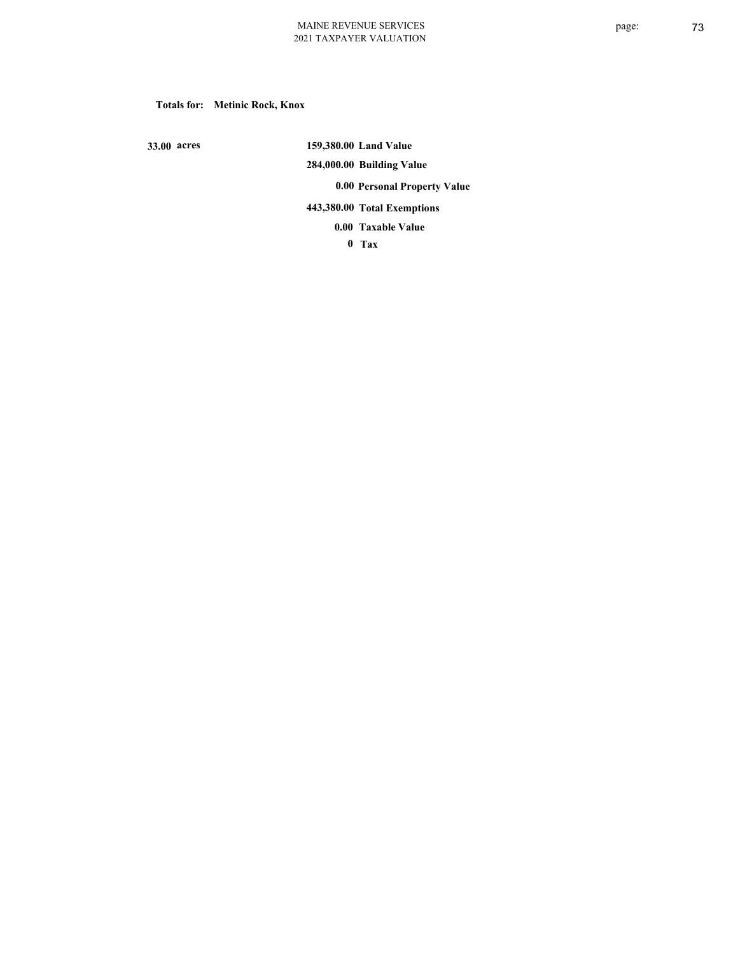**Totals for: Metinic Rock, Knox**

 **33.00 acres**

 **159,380.00 Land Value 284,000.00 Building Value 0.00 Personal Property Value 443,380.00 Total Exemptions**

**Taxable Value 0.00**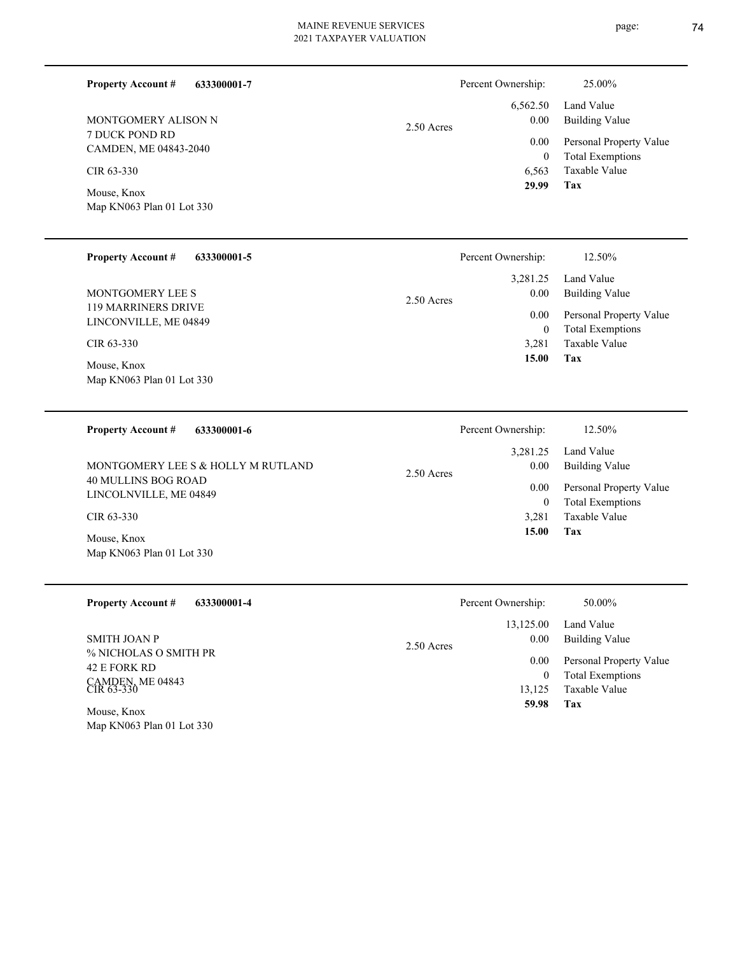| 633300001-7<br><b>Property Account #</b> | Percent Ownership: | 25.00%                  |
|------------------------------------------|--------------------|-------------------------|
|                                          | 6,562.50           | Land Value              |
| MONTGOMERY ALISON N                      | 0.00<br>2.50 Acres | Building Value          |
| 7 DUCK POND RD<br>CAMDEN, ME 04843-2040  | 0.00               | Personal Property Value |
|                                          | $\theta$           | <b>Total Exemptions</b> |
| CIR 63-330                               | 6.563              | Taxable Value           |
| Mouse, Knox                              | 29.99              | Tax                     |

| <b>Property Account #</b><br>633300001-5 | Percent Ownership:   | 12.50%                  |
|------------------------------------------|----------------------|-------------------------|
|                                          | 3,281.25             | Land Value              |
| MONTGOMERY LEE S                         | 0.00<br>$2.50$ Acres | <b>Building Value</b>   |
| 119 MARRINERS DRIVE                      | 0.00                 | Personal Property Value |
| LINCONVILLE, ME 04849                    | 0                    | <b>Total Exemptions</b> |
| CIR 63-330                               | 3.281                | Taxable Value           |
| Mouse, Knox                              | 15.00                | Tax                     |
| Map KN063 Plan 01 Lot 330                |                      |                         |

Map KN063 Plan 01 Lot 330

| 633300001-6<br><b>Property Account #</b>      | Percent Ownership:   | 12.50%                  |
|-----------------------------------------------|----------------------|-------------------------|
|                                               | 3.281.25             | Land Value              |
| MONTGOMERY LEE S & HOLLY M RUTLAND            | 0.00<br>$2.50$ Acres | Building Value          |
| 40 MULLINS BOG ROAD<br>LINCOLNVILLE, ME 04849 | 0.00                 | Personal Property Value |
|                                               | 0                    | <b>Total Exemptions</b> |
| $CIR$ 63-330                                  | 3.281                | Taxable Value           |
| Mouse, Knox                                   | 15.00                | Tax                     |
| Map KN063 Plan 01 Lot 330                     |                      |                         |

| <b>Property Account #</b><br>633300001-4 | Percent Ownership:   | 50.00%                  |
|------------------------------------------|----------------------|-------------------------|
|                                          | 13,125.00            | Land Value              |
| SMITH JOAN P<br>% NICHOLAS O SMITH PR    | 0.00<br>$2.50$ Acres | Building Value          |
| 42 E FORK RD                             | 0.00                 | Personal Property Value |
|                                          | $\bf{0}$             | <b>Total Exemptions</b> |
| CAMDEN, ME 04843<br>CIR 63-330           | 13,125               | Taxable Value           |
| Mouse, Knox<br>Map KN063 Plan 01 Lot 330 | 59.98                | Tax                     |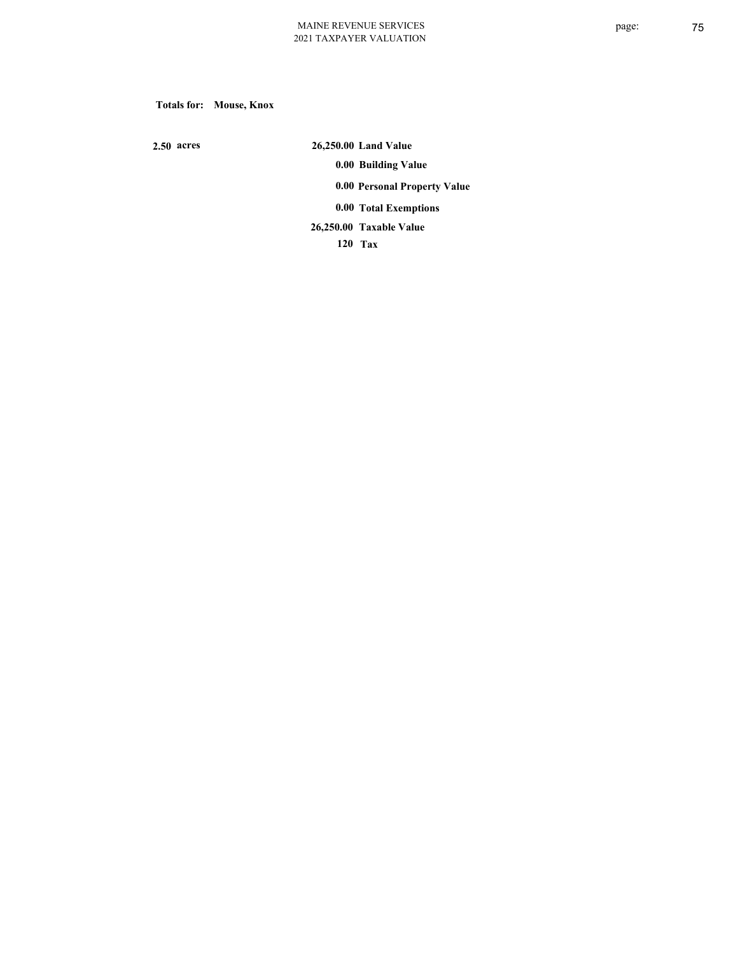**Totals for: Mouse, Knox**

 **2.50 acres**

 **26,250.00 Land Value 0.00 Building Value 0.00 Personal Property Value 0.00 Total Exemptions Taxable Value 26,250.00**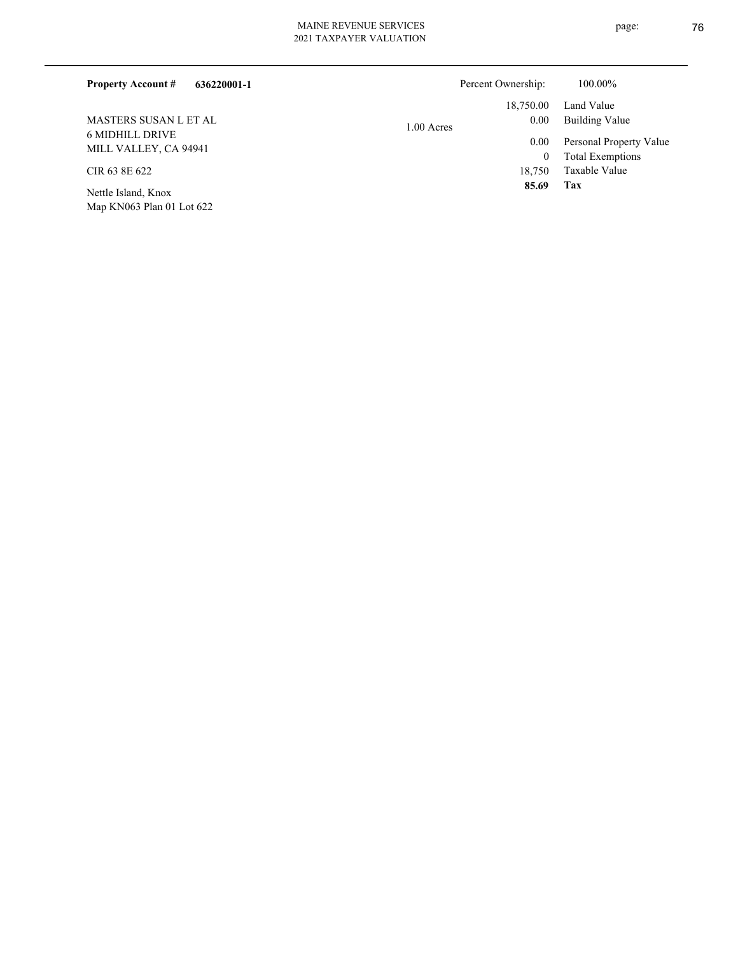| 636220001-1<br><b>Property Account #</b>        | Percent Ownership:       | 100.00%                 |
|-------------------------------------------------|--------------------------|-------------------------|
|                                                 | 18,750.00                | Land Value              |
| MASTERS SUSAN L ET AL                           | $0.00\,$<br>$1.00$ Acres | Building Value          |
| <b>6 MIDHILL DRIVE</b><br>MILL VALLEY, CA 94941 | $0.00\,$                 | Personal Property Value |
|                                                 | $\theta$                 | <b>Total Exemptions</b> |
| CIR 63 8E 622                                   | 18.750                   | Taxable Value           |
| Nettle Island, Knox                             | 85.69                    | Tax                     |

Map KN063 Plan 01 Lot 622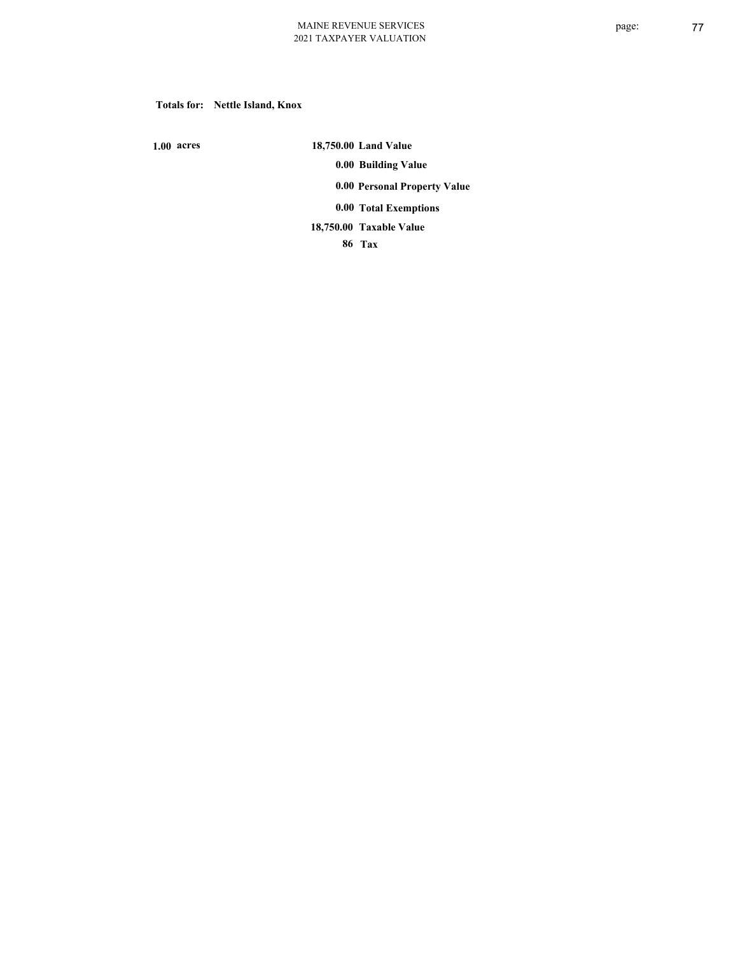## **Totals for: Nettle Island, Knox**

 **1.00 acres**

 **18,750.00 Land Value 0.00 Building Value 0.00 Personal Property Value 0.00 Total Exemptions Taxable Value 18,750.00**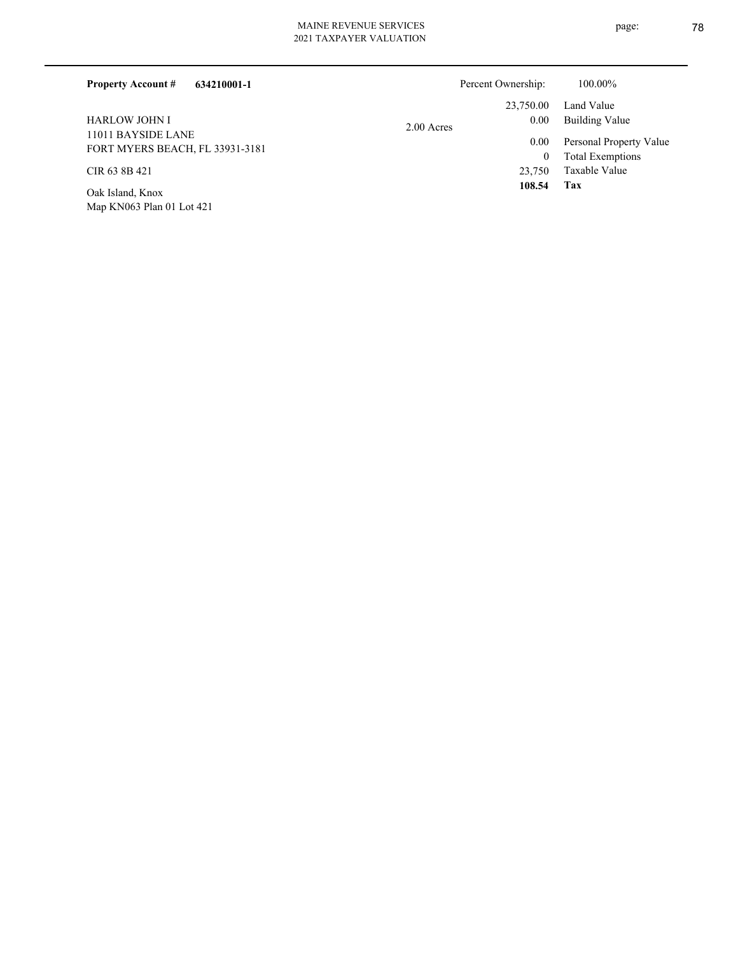| 634210001-1<br><b>Property Account #</b>              |            | Percent Ownership: | 100.00%                                  |
|-------------------------------------------------------|------------|--------------------|------------------------------------------|
|                                                       |            | 23,750.00          | Land Value                               |
| <b>HARLOW JOHN I</b>                                  | 2.00 Acres | 0.00               | Building Value                           |
| 11011 BAYSIDE LANE<br>FORT MYERS BEACH, FL 33931-3181 |            | $0.00\,$           | Personal Property Value                  |
| CIR 63 8B 421                                         |            | $\bf{0}$<br>23,750 | <b>Total Exemptions</b><br>Taxable Value |
| Oak Island, Knox                                      |            | 108.54             | Tax                                      |
| Map KN063 Plan 01 Lot 421                             |            |                    |                                          |

page: 78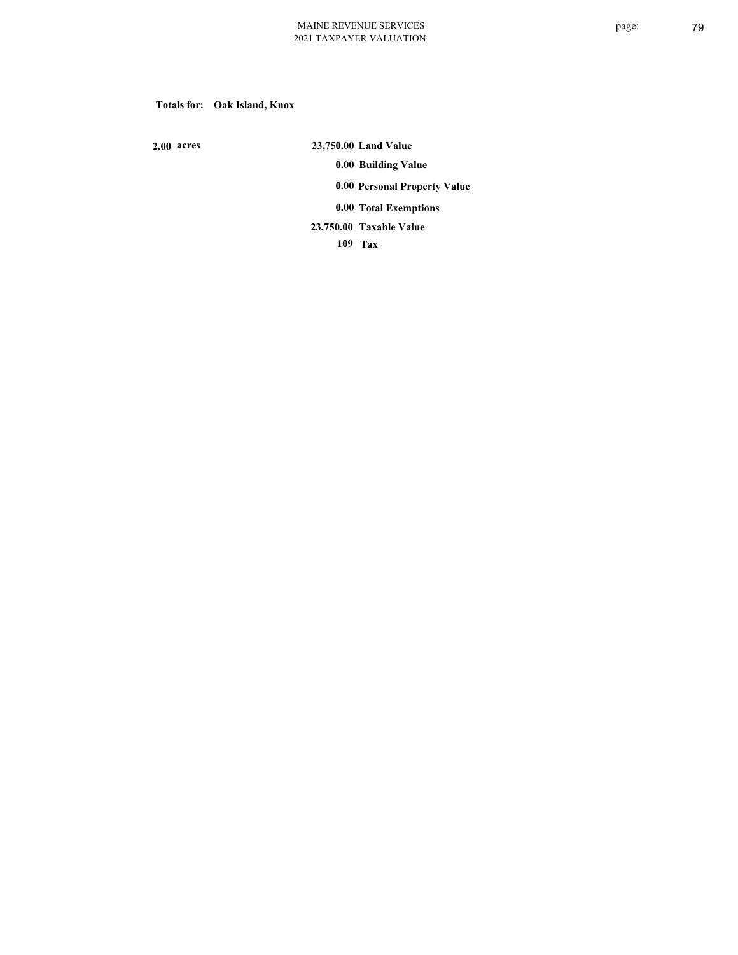## **Totals for: Oak Island, Knox**

 **2.00 acres**

 **23,750.00 Land Value 0.00 Building Value 0.00 Personal Property Value 0.00 Total Exemptions Taxable Value 23,750.00**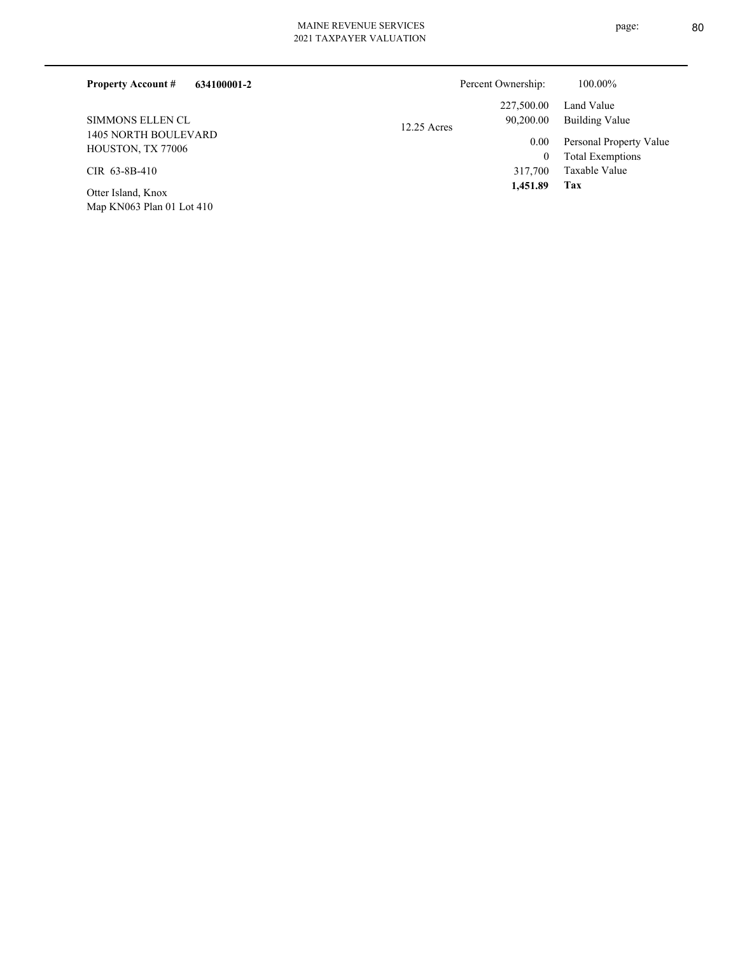|  | Percent Owner |
|--|---------------|

|               | Percent Ownership: | 100.00%                 |
|---------------|--------------------|-------------------------|
|               | 227,500.00         | Land Value              |
| $12.25$ Acres | 90,200.00          | Building Value          |
|               | 0.00               | Personal Property Value |
|               | $\overline{0}$     | <b>Total Exemptions</b> |
|               | 317,700            | Taxable Value           |
|               | 1,451.89           | Tax                     |

1405 NORTH BOULEVARD HOUSTON, TX 77006 SIMMONS ELLEN CL

**634100001-2**

CIR 63-8B-410

**Property Account #**

Map KN063 Plan 01 Lot 410 Otter Island, Knox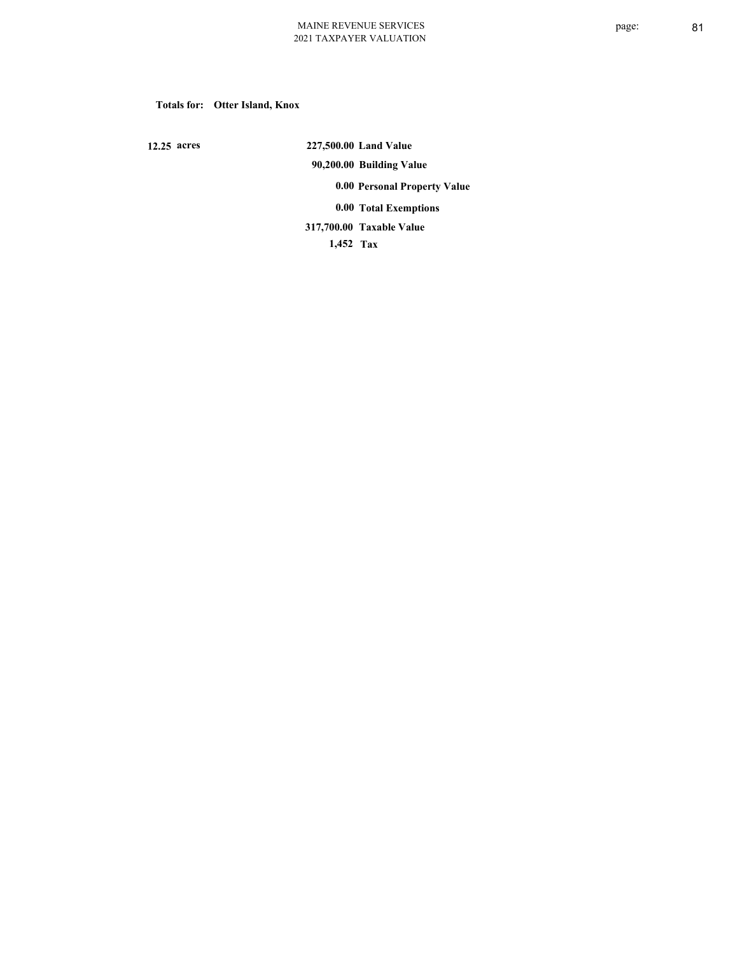## **Totals for: Otter Island, Knox**

 **12.25 acres**

 **227,500.00 Land Value 90,200.00 Building Value 0.00 Personal Property Value 0.00 Total Exemptions Taxable Value 317,700.00**

 **1,452 Tax**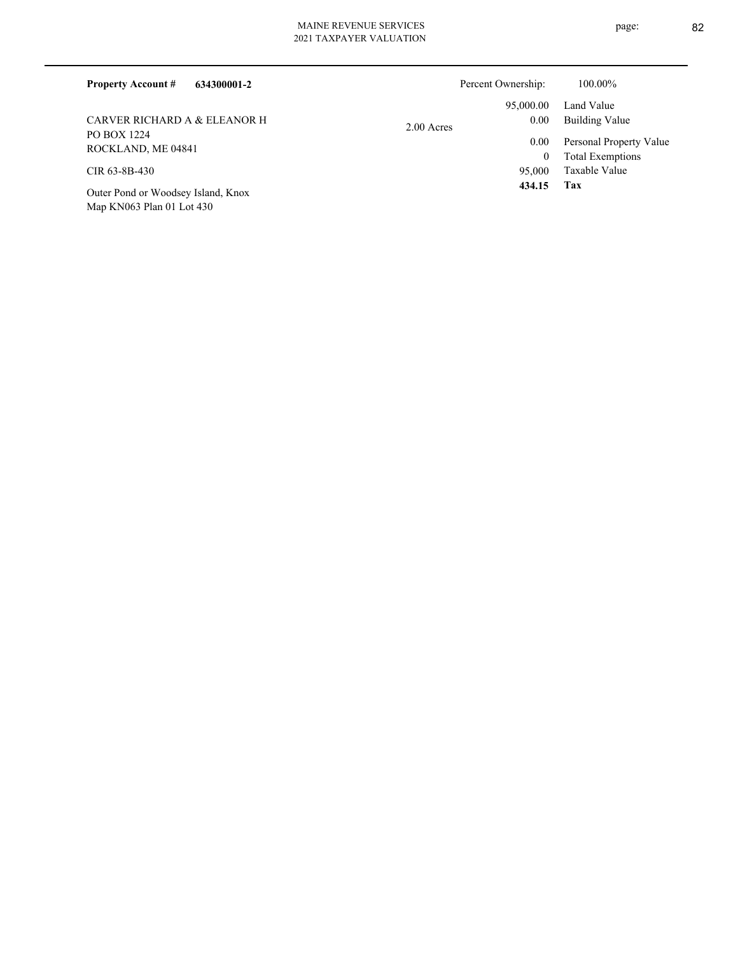| 634300001-2<br><b>Property Account #</b>           | Percent Ownership: | 100.00%                 |
|----------------------------------------------------|--------------------|-------------------------|
|                                                    | 95,000.00          | Land Value              |
| CARVER RICHARD A & ELEANOR H<br><b>PO BOX 1224</b> | 0.00<br>2.00 Acres | Building Value          |
| ROCKLAND, ME 04841                                 | 0.00               | Personal Property Value |
|                                                    | 0                  | <b>Total Exemptions</b> |
| CIR 63-8B-430                                      | 95,000             | Taxable Value           |
| Outer Pond or Woodsey Island, Knox                 | 434.15             | Tax                     |

Map KN063 Plan 01 Lot 430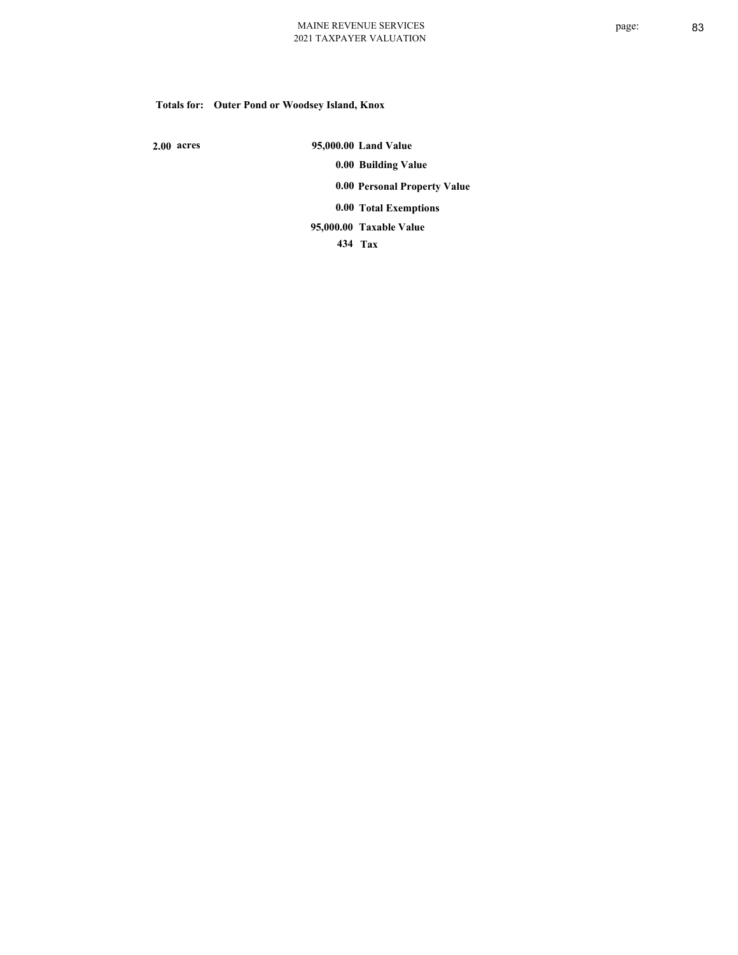# **Totals for: Outer Pond or Woodsey Island, Knox**

 **2.00 acres**

 **95,000.00 Land Value 0.00 Building Value 0.00 Personal Property Value 0.00 Total Exemptions Taxable Value 95,000.00**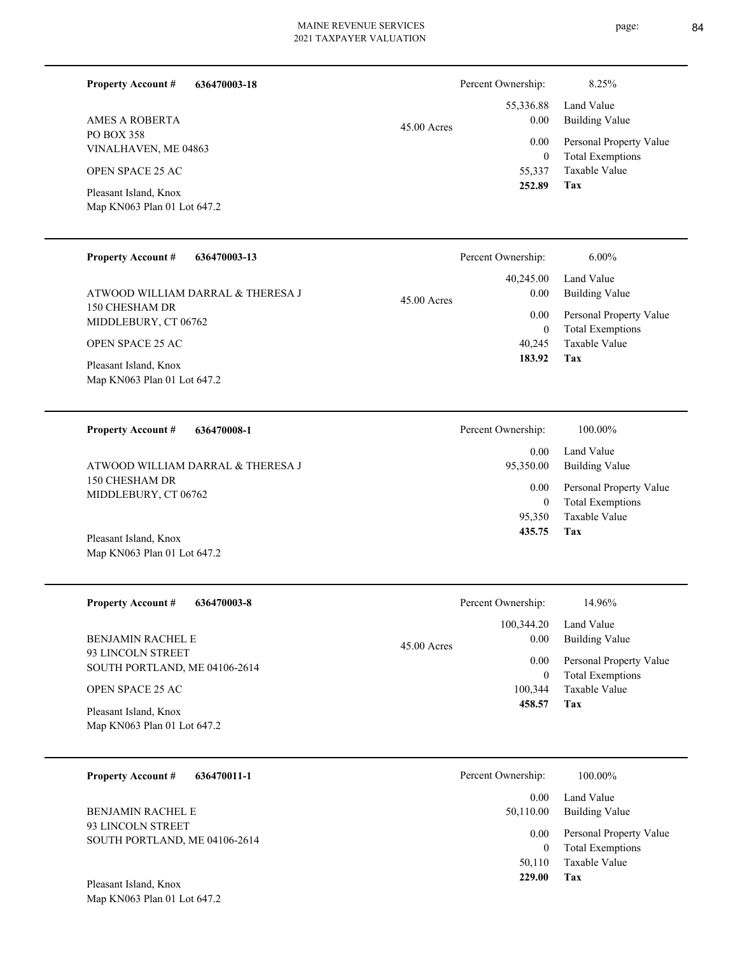Percent Ownership: 8.25%

|               | 252.89   | <b>Tax</b>                   |
|---------------|----------|------------------------------|
|               |          | 55,337 Taxable Value         |
|               | $\theta$ | <b>Total Exemptions</b>      |
|               |          | 0.00 Personal Property Value |
| $45.00$ Acres | 0.00     | Building Value               |
|               |          | 55,336.88 Land Value         |
|               |          |                              |

Map KN063 Plan 01 Lot 647.2 Pleasant Island, Knox

VINALHAVEN, ME 04863

OPEN SPACE 25 AC

PO BOX 358

**Property Account #**

AMES A ROBERTA

#### **636470003-13 Property Account #**

150 CHESHAM DR MIDDLEBURY, CT 06762 ATWOOD WILLIAM DARRAL & THERESA J

**636470003-18**

OPEN SPACE 25 AC

Map KN063 Plan 01 Lot 647.2 Pleasant Island, Knox

#### **636470008-1 Property Account #**

150 CHESHAM DR MIDDLEBURY, CT 06762 ATWOOD WILLIAM DARRAL & THERESA J

Map KN063 Plan 01 Lot 647.2 Pleasant Island, Knox

| <b>Property Account #</b><br>636470003-8             | Percent Ownership:    | 14.96%                                   |
|------------------------------------------------------|-----------------------|------------------------------------------|
|                                                      | 100.344.20            | Land Value                               |
| <b>BENJAMIN RACHEL E</b><br>93 LINCOLN STREET        | 0.00<br>$45.00$ Acres | Building Value                           |
| SOUTH PORTLAND, ME 04106-2614                        | 0.00                  | Personal Property Value                  |
| OPEN SPACE 25 AC                                     | 100,344               | <b>Total Exemptions</b><br>Taxable Value |
| Pleasant Island, Knox<br>Map KN063 Plan 01 Lot 647.2 | 458.57                | Tax                                      |

# **636470011-1 Property Account #** BENJAMIN RACHEL E

93 LINCOLN STREET SOUTH PORTLAND, ME 04106-2614

Map KN063 Plan 01 Lot 647.2 Pleasant Island, Knox

45.00 Acres

| Percent Ownership: | 100.00%                                            |
|--------------------|----------------------------------------------------|
| 0.00<br>95,350.00  | Land Value<br>Building Value                       |
| 0.00<br>$\theta$   | Personal Property Value<br><b>Total Exemptions</b> |
|                    | 95.350 Taxable Value                               |
| 435.75             | Tax                                                |

**Tax**

 40,245 0

 40,245.00 0.00 0.00

Percent Ownership: 6.00%

 **183.92**

Taxable Value Total Exemptions Personal Property Value

Building Value Land Value

| V.VV<br>0<br>100,344<br>458.57 | Personal Property value<br><b>Total Exemptions</b><br>Taxable Value<br>Tax |
|--------------------------------|----------------------------------------------------------------------------|
| Percent Ownership:             | 100.00%                                                                    |
| 0. UU                          | Land Value                                                                 |

| Land Value              |
|-------------------------|
| Building Value          |
| Personal Property Value |
| <b>Total Exemptions</b> |
| Taxable Value           |
| Tax                     |
|                         |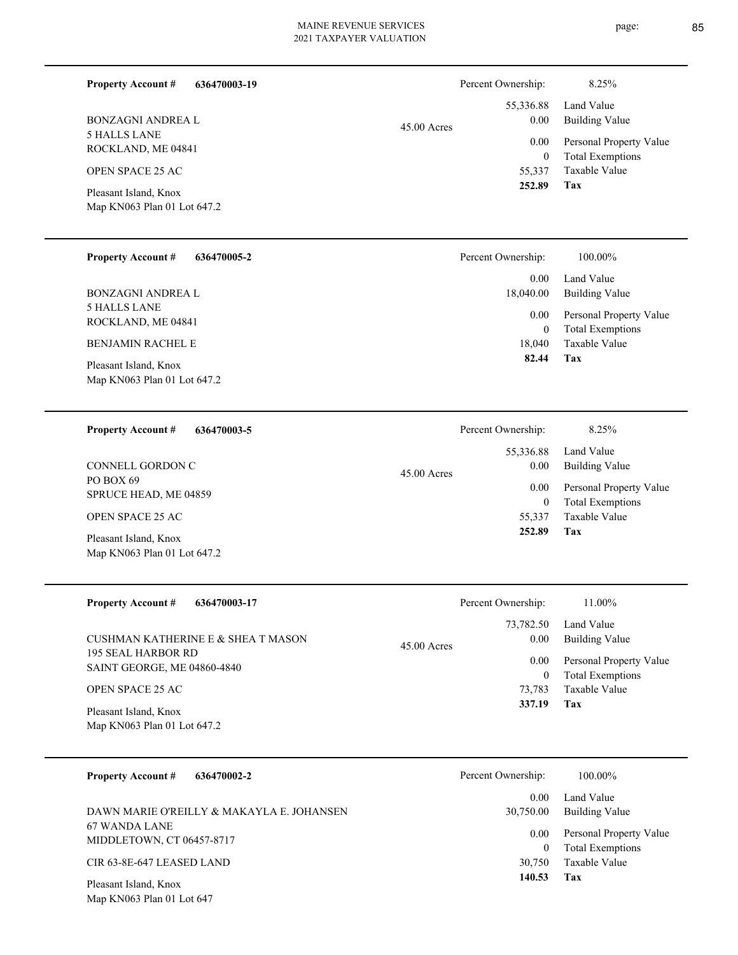|               | Percent Ownership: | 8.25%               |
|---------------|--------------------|---------------------|
|               | 55,336.88          | Land Value          |
| $45.00$ Acres | 0.00               | <b>Building Val</b> |
|               | 0.00               | Personal Pro        |
|               | 0                  | Total Exemp         |
|               | 55,337             | Taxable Valı        |
|               | 252.89             | Tax                 |
|               |                    |                     |

| Pleasant Island, Knox       |
|-----------------------------|
| Map KN063 Plan 01 Lot 647.2 |

5 HALLS LANE ROCKLAND, ME 04841

OPEN SPACE 25 AC

BONZAGNI ANDREA L

**Property Account #**

**636470003-19**

| <b>Property Account #</b><br>636470005-2                                                                                      | Percent Ownership:                      | 100.00%                                                                    |
|-------------------------------------------------------------------------------------------------------------------------------|-----------------------------------------|----------------------------------------------------------------------------|
| <b>BONZAGNI ANDREA L</b>                                                                                                      | 0.00<br>18,040.00                       | Land Value<br><b>Building Value</b>                                        |
| <b>5 HALLS LANE</b><br>ROCKLAND, ME 04841<br><b>BENJAMIN RACHEL E</b><br>Pleasant Island, Knox<br>Map KN063 Plan 01 Lot 647.2 | 0.00<br>$\mathbf{0}$<br>18,040<br>82.44 | Personal Property Value<br><b>Total Exemptions</b><br>Taxable Value<br>Tax |
| <b>Property Account #</b><br>636470003-5                                                                                      | Percent Ownership:                      | 8.25%                                                                      |
| CONNELL GORDON C<br><b>no nove</b> co                                                                                         | 55,336.88<br>0.00<br>$45.00$ Acres      | Land Value<br><b>Building Value</b>                                        |

| PO BOX 69<br>SPRUCE HEAD, ME 04859                   | $45.00$ Acre |
|------------------------------------------------------|--------------|
| <b>OPEN SPACE 25 AC</b>                              |              |
| Pleasant Island, Knox<br>Map KN063 Plan 01 Lot 647.2 |              |

| <b>Property Account #</b><br>636470003-17                | Percent Ownership:                 | 11.00%                                             |
|----------------------------------------------------------|------------------------------------|----------------------------------------------------|
| CUSHMAN KATHERINE E & SHEA T MASON                       | 73,782.50<br>0.00<br>$45.00$ Acres | Land Value<br>Building Value                       |
| <b>195 SEAL HARBOR RD</b><br>SAINT GEORGE, ME 04860-4840 | 0.00<br>$\theta$                   | Personal Property Value<br><b>Total Exemptions</b> |
| <b>OPEN SPACE 25 AC</b>                                  | 73,783                             | Taxable Value                                      |
| Pleasant Island, Knox<br>Map KN063 Plan 01 Lot 647.2     | 337.19                             | Tax                                                |

| 636470002-2<br><b>Property Account #</b>           | Percent Ownership: | 100.00%                                            |
|----------------------------------------------------|--------------------|----------------------------------------------------|
| DAWN MARIE O'REILLY & MAKAYLA E. JOHANSEN          | 0.00<br>30,750.00  | Land Value<br>Building Value                       |
| 67 WANDA LANE<br>MIDDLETOWN, CT 06457-8717         | 0.00               | Personal Property Value<br><b>Total Exemptions</b> |
| CIR 63-8E-647 LEASED LAND                          | 30,750             | Taxable Value                                      |
| Pleasant Island, Knox<br>Map KN063 Plan 01 Lot 647 | 140.53             | Tax                                                |

**Tax** Taxable Value Total Exemptions Personal Property Value 55,337 0  **252.89** 0.00

**Tax**

 55,337 0

0.00

 **252.89**

Taxable Value Total Exemptions Personal Property Value

Building Value Land Value

page: 85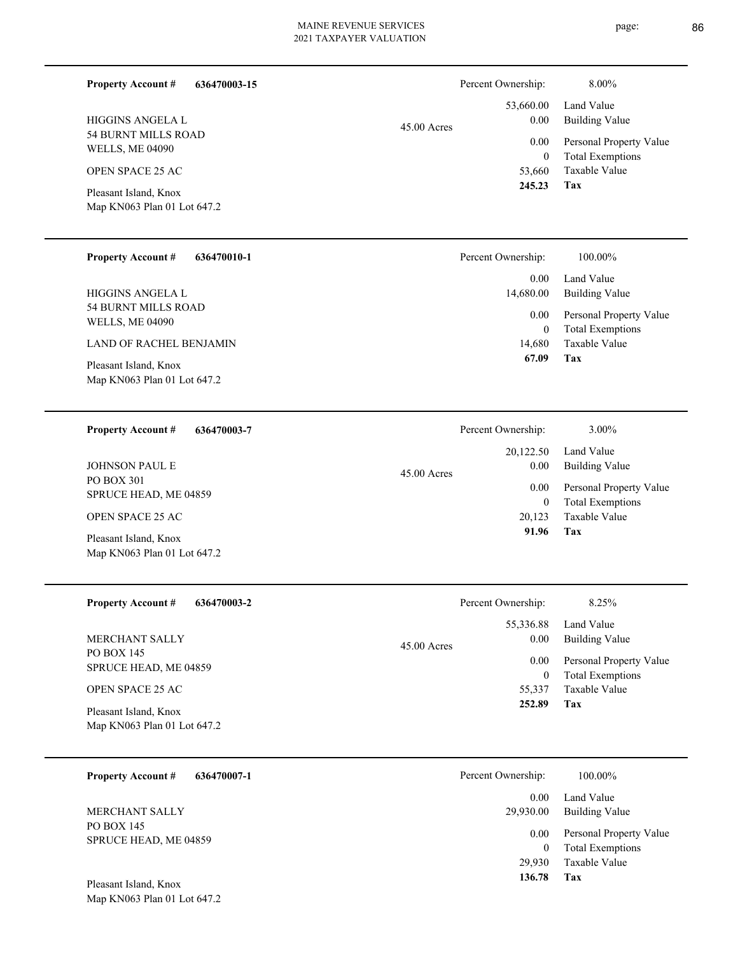page: 86

| <b>Property Account #</b><br>636470003-15            |               | Percent Ownership:                   | 8.00%                                                          |
|------------------------------------------------------|---------------|--------------------------------------|----------------------------------------------------------------|
| HIGGINS ANGELA L<br><b>54 BURNT MILLS ROAD</b>       | $45.00$ Acres | 53,660.00<br>0.00<br>0.00            | Land Value<br><b>Building Value</b><br>Personal Property Value |
| <b>WELLS, ME 04090</b><br><b>OPEN SPACE 25 AC</b>    |               | $\boldsymbol{0}$<br>53,660<br>245.23 | <b>Total Exemptions</b><br>Taxable Value<br>Tax                |
| Pleasant Island, Knox<br>Map KN063 Plan 01 Lot 647.2 |               |                                      |                                                                |
| <b>Property Account #</b><br>636470010-1             |               | Percent Ownership:                   | 100.00%                                                        |
| HIGGINS ANGELA L                                     |               | 0.00<br>14,680.00                    | Land Value<br><b>Building Value</b>                            |
| 54 BURNT MILLS ROAD<br><b>WELLS, ME 04090</b>        |               | 0.00<br>$\boldsymbol{0}$             | Personal Property Value<br><b>Total Exemptions</b>             |
| LAND OF RACHEL BENJAMIN                              |               | 14,680<br>67.09                      | Taxable Value<br>Tax                                           |
| Pleasant Island, Knox<br>Map KN063 Plan 01 Lot 647.2 |               |                                      |                                                                |
| <b>Property Account #</b><br>636470003-7             |               | Percent Ownership:                   | 3.00%                                                          |
| <b>JOHNSON PAUL E</b>                                | 45.00 Acres   | 20,122.50<br>0.00                    | Land Value<br><b>Building Value</b>                            |
| PO BOX 301<br>SPRUCE HEAD, ME 04859                  |               | 0.00<br>$\boldsymbol{0}$             | Personal Property Value<br><b>Total Exemptions</b>             |
| OPEN SPACE 25 AC                                     |               | 20,123<br>91.96                      | Taxable Value<br>Tax                                           |
| Pleasant Island, Knox<br>Map KN063 Plan 01 Lot 647.2 |               |                                      |                                                                |
| <b>Property Account #</b><br>636470003-2             |               | Percent Ownership:                   | 8.25%                                                          |
| <b>MERCHANT SALLY</b>                                | 45.00 Acres   | 55,336.88<br>0.00                    | Land Value<br><b>Building Value</b>                            |
| PO BOX 145<br>SPRUCE HEAD, ME 04859                  |               | 0.00<br>$\boldsymbol{0}$             | Personal Property Value<br><b>Total Exemptions</b>             |
| OPEN SPACE 25 AC                                     |               | 55,337<br>252.89                     | Taxable Value<br>Tax                                           |
| Pleasant Island, Knox<br>Map KN063 Plan 01 Lot 647.2 |               |                                      |                                                                |
| 636470007-1<br><b>Property Account #</b>             |               | Percent Ownership:                   | 100.00%                                                        |
| MERCHANT SALLY                                       |               | 0.00<br>29,930.00                    | Land Value<br><b>Building Value</b>                            |
| PO BOX 145<br>SPRUCE HEAD, ME 04859                  |               | 0.00<br>$\boldsymbol{0}$             | Personal Property Value<br><b>Total Exemptions</b>             |
|                                                      |               | 29,930<br>136.78                     | Taxable Value<br>Tax                                           |
| Pleasant Island, Knox<br>Map KN063 Plan 01 Lot 647.2 |               |                                      |                                                                |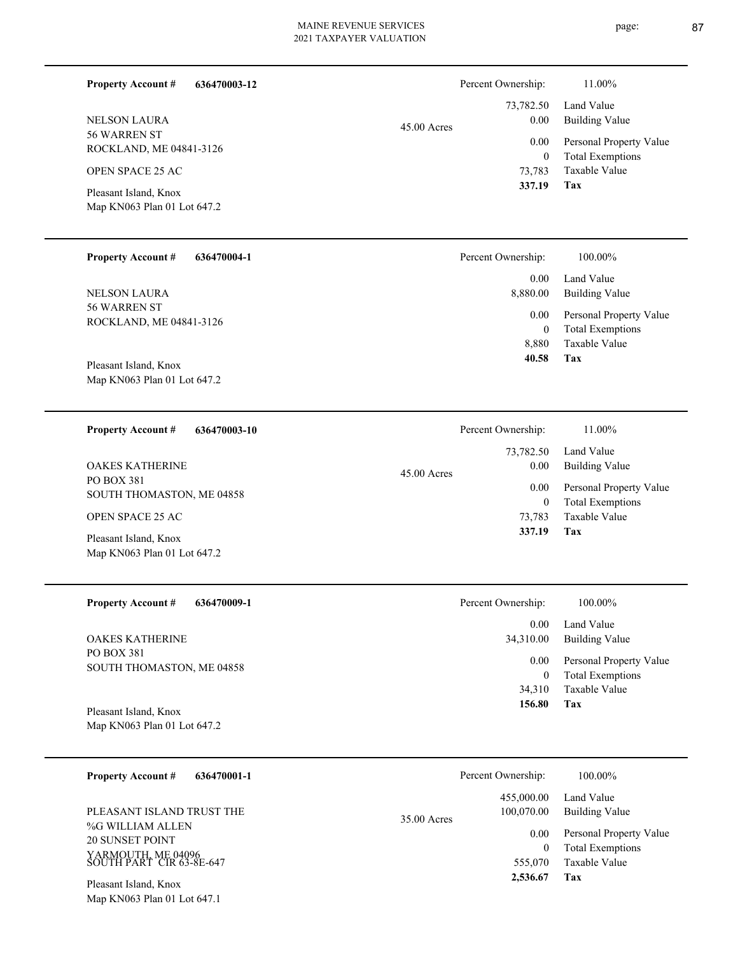| 636470004-1 | Percent Ownership: | 100.00%     |
|-------------|--------------------|-------------|
| t 647.2     |                    |             |
|             | 337.19             | Tax         |
|             | 73,783             | Taxable Val |
| $1 - 3120$  | $\bf{0}$           | Total Exemp |

56 WARREN ST ROCKLAND, ME 04841-3126 NELSON LAURA

56 WARREN ST

NELSON LAURA

Pleasant Island, Knox OPEN SPACE 25 AC

**Property Account #**

**Property Account #**

ROCKLAND, ME 04841-3126

Map KN063 Plan 01 Lot 647.2

**636470003-12**

Map KN063 Plan 01 Lot 647.2 Pleasant Island, Knox

| 636470003-10<br><b>Property Account #</b> | Percent Ownership:    | 11.00%                  |
|-------------------------------------------|-----------------------|-------------------------|
|                                           | 73,782.50             | Land Value              |
| <b>OAKES KATHERINE</b>                    | 0.00<br>$45.00$ Acres | Building Value          |
| PO BOX 381<br>SOUTH THOMASTON, ME 04858   | 0.00                  | Personal Property Value |
|                                           | 0                     | <b>Total Exemptions</b> |
| <b>OPEN SPACE 25 AC</b>                   | 73.783                | Taxable Value           |
| Pleasant Island, Knox                     | 337.19                | Tax                     |
| Map KN063 Plan 01 Lot 647.2               |                       |                         |

| <b>Property Account #</b><br>636470009-1 | Percent Ownership: | 100.00%                 |
|------------------------------------------|--------------------|-------------------------|
|                                          | 0.00               | Land Value              |
| <b>OAKES KATHERINE</b>                   | 34,310.00          | Building Value          |
| PO BOX 381<br>SOUTH THOMASTON, ME 04858  | 0.00               | Personal Property Value |
|                                          | 0                  | <b>Total Exemptions</b> |
|                                          | 34,310             | Taxable Value           |
| Pleasant Island, Knox                    | Tax<br>156.80      |                         |
| Map KN063 Plan 01 Lot 647.2              |                    |                         |

| 636470001-1<br><b>Property Account #</b>       | Percent Ownership:          | 100.00%                 |
|------------------------------------------------|-----------------------------|-------------------------|
|                                                | 455,000.00                  | Land Value              |
| PLEASANT ISLAND TRUST THE                      | 100,070.00<br>$35.00$ Acres | Building Value          |
| %G WILLIAM ALLEN                               | 0.00                        | Personal Property Value |
| <b>20 SUNSET POINT</b>                         | 0                           | <b>Total Exemptions</b> |
| YARMOUTH, ME 04096<br>SOUTH PART CIR 63-8E-647 | 555,070                     | Taxable Value           |
| Pleasant Island, Knox                          | 2,536.67                    | Tax                     |

Map KN063 Plan 01 Lot 647.1

## page: 87

|               | Percent Ownership: | 11.00%                  |
|---------------|--------------------|-------------------------|
|               |                    | 73,782.50 Land Value    |
| $45.00$ Acres | 0.00               | <b>Building Value</b>   |
|               | 0.00               | Personal Property Value |
|               | 0                  | <b>Total Exemptions</b> |
|               | 73,783             | Taxable Value           |
|               | 337.19             | Tax                     |

**Tax**

 8,880  $\mathbf{0}$ 

 0.00 8,880.00 0.00

 **40.58**

Taxable Value Total Exemptions Personal Property Value

Building Value Land Value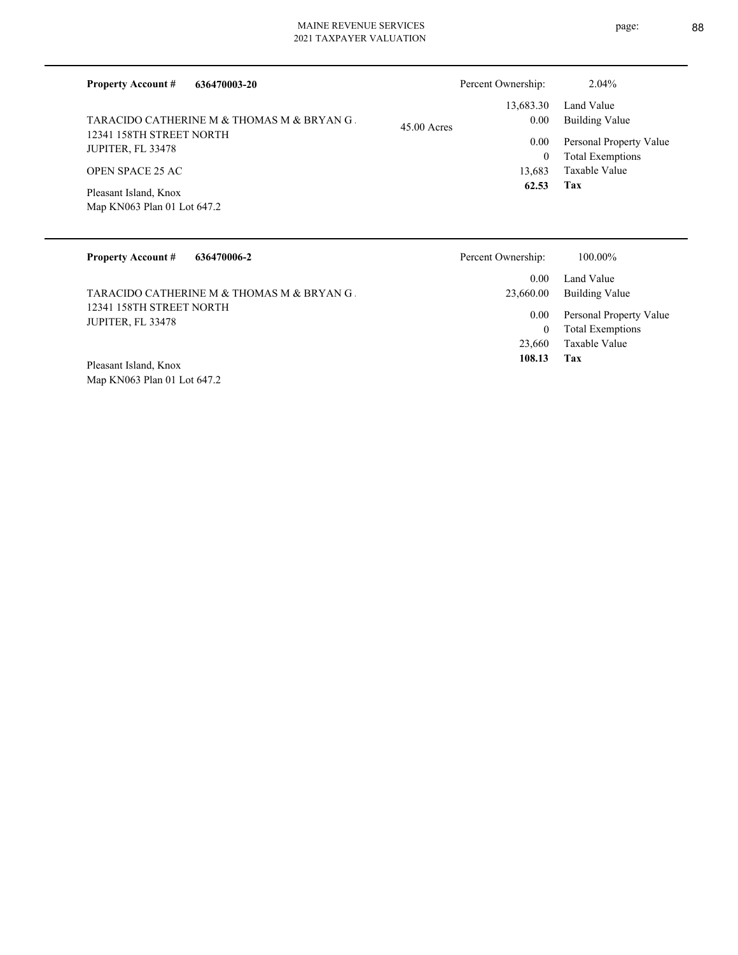| <b>Property Account #</b><br>636470003-20                                                                                                                                      | Percent Ownership:                                                            | 2.04%                                                                                                             |
|--------------------------------------------------------------------------------------------------------------------------------------------------------------------------------|-------------------------------------------------------------------------------|-------------------------------------------------------------------------------------------------------------------|
| TARACIDO CATHERINE M & THOMAS M & BRYAN G.<br>12341 158TH STREET NORTH<br>JUPITER, FL 33478<br><b>OPEN SPACE 25 AC</b><br>Pleasant Island, Knox<br>Map KN063 Plan 01 Lot 647.2 | 13,683.30<br>0.00<br>$45.00$ Acres<br>0.00<br>$\mathbf{0}$<br>13,683<br>62.53 | Land Value<br><b>Building Value</b><br>Personal Property Value<br><b>Total Exemptions</b><br>Taxable Value<br>Tax |
| <b>Property Account #</b><br>636470006-2                                                                                                                                       | Percent Ownership:<br>0.00                                                    | 100.00%<br>Land Value                                                                                             |
| TARACIDO CATHERINE M & THOMAS M & BRYAN G.<br>12341 158TH STREET NORTH<br>JUPITER, FL 33478                                                                                    | 23,660.00<br>0.00<br>$\Omega$                                                 | <b>Building Value</b><br>Personal Property Value<br>$T_{\alpha+1}$ $\Gamma_{\alpha\alpha\alpha\alpha}$            |

Map KN063 Plan 01 Lot 647.2 Pleasant Island, Knox

**Tax** 23,660 Taxable Value

0

 **108.13**

Total Exemptions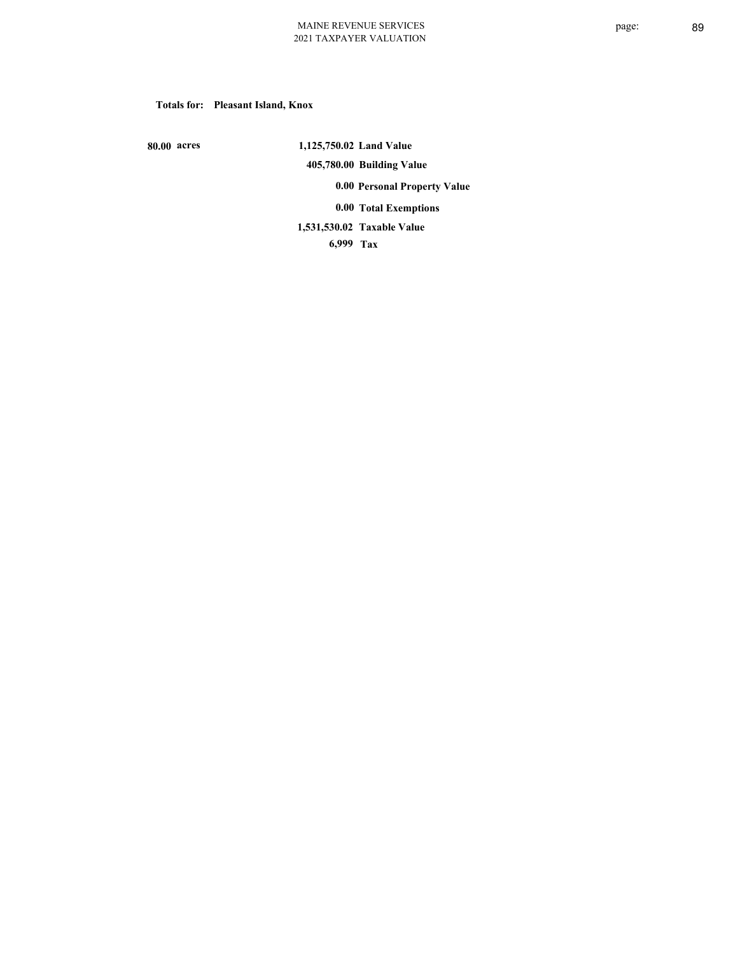## **Totals for: Pleasant Island, Knox**

 **80.00 acres**

 **1,125,750.02 Land Value 405,780.00 Building Value 0.00 Personal Property Value 0.00 Total Exemptions Taxable Value 1,531,530.02**

 **6,999 Tax**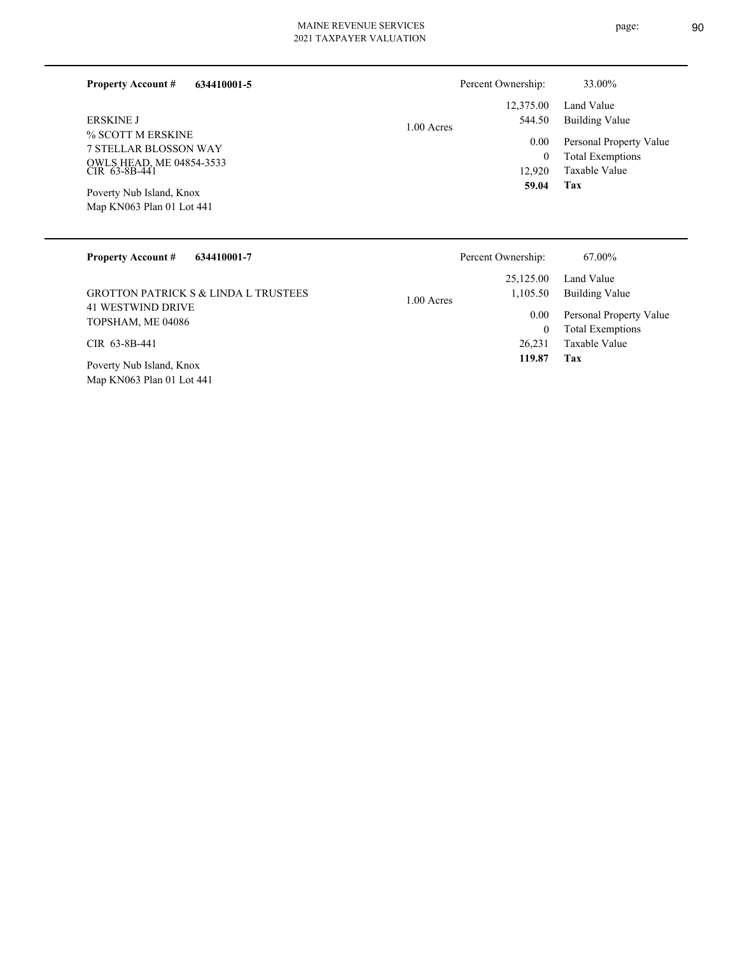| 634410001-5<br><b>Property Account #</b>              | Percent Ownership:               | 33.00%                                             |
|-------------------------------------------------------|----------------------------------|----------------------------------------------------|
|                                                       | 12,375.00                        | Land Value                                         |
| <b>ERSKINE J</b><br>% SCOTT M ERSKINE                 | 544.50<br>1.00 Acres<br>$0.00\,$ | Building Value                                     |
| 7 STELLAR BLOSSON WAY                                 | $\bf{0}$                         | Personal Property Value<br><b>Total Exemptions</b> |
| OWLS HEAD, ME 04854-3533<br>CIR 63-8B-441             | 12.920                           | Taxable Value                                      |
| Poverty Nub Island, Knox<br>Map KN063 Plan 01 Lot 441 | 59.04                            | Tax                                                |

| <b>Property Account #</b><br>634410001-7              | Percent Ownership:       | 67.00%                  |
|-------------------------------------------------------|--------------------------|-------------------------|
|                                                       | 25,125.00                | Land Value              |
| <b>GROTTON PATRICK S &amp; LINDA L TRUSTEES</b>       | 1,105.50<br>$1.00$ Acres | Building Value          |
| <b>41 WESTWIND DRIVE</b>                              | 0.00                     | Personal Property Value |
| TOPSHAM, ME 04086                                     | $\boldsymbol{0}$         | <b>Total Exemptions</b> |
| CIR 63-8B-441                                         | 26.231                   | Taxable Value           |
| Poverty Nub Island, Knox<br>Map KN063 Plan 01 Lot 441 | 119.87                   | Tax                     |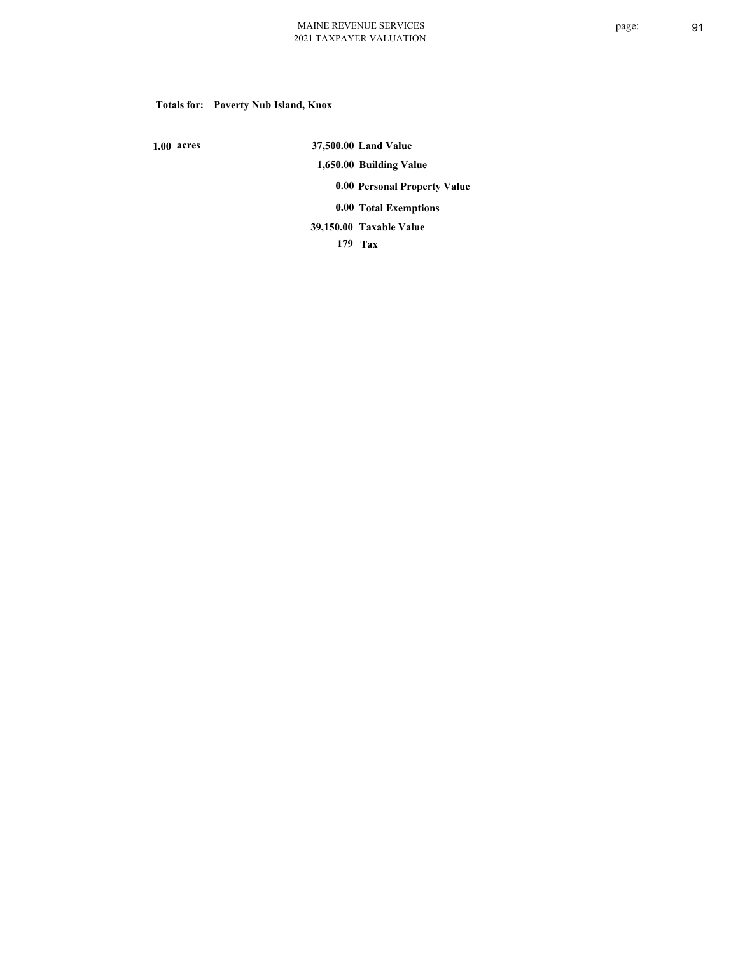# **Totals for: Poverty Nub Island, Knox**

 **1.00 acres**

 **37,500.00 Land Value 1,650.00 Building Value 0.00 Personal Property Value 0.00 Total Exemptions**

**Taxable Value 39,150.00**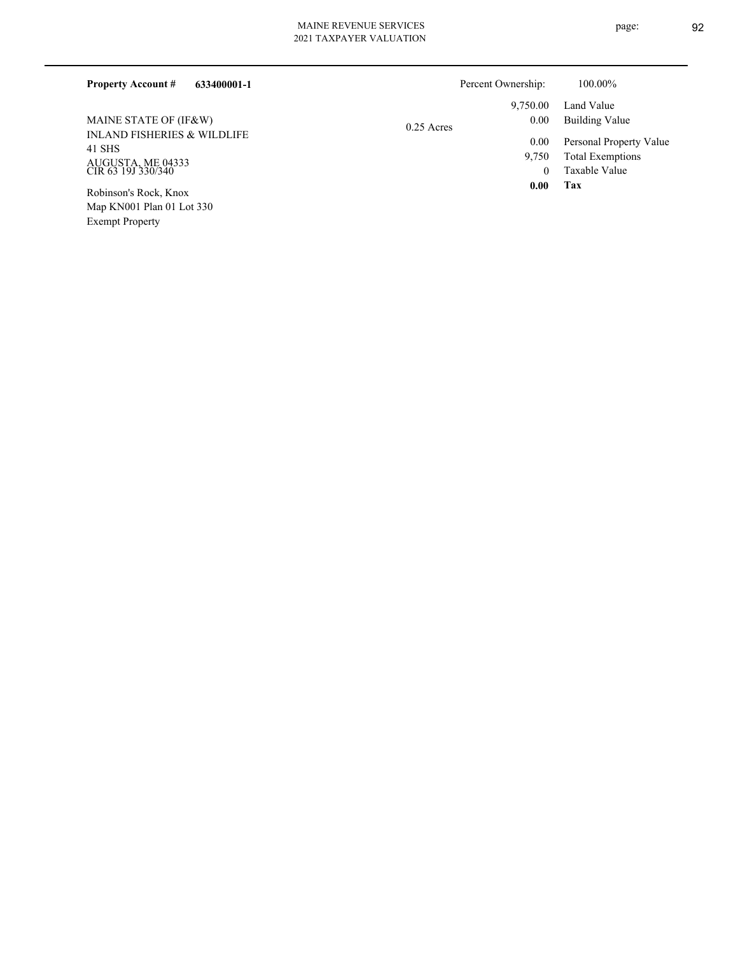| 633400001-1<br><b>Property Account #</b>         |              | Percent Ownership: | 100.00%                 |
|--------------------------------------------------|--------------|--------------------|-------------------------|
|                                                  |              | 9,750.00           | Land Value              |
| MAINE STATE OF (IF&W)                            | $0.25$ Acres | 0.00               | Building Value          |
| <b>INLAND FISHERIES &amp; WILDLIFE</b><br>41 SHS |              | 0.00               | Personal Property Value |
|                                                  |              | 9,750              | <b>Total Exemptions</b> |
| AUGUSTA, ME 04333<br>CIR 63 19J 330/340          |              | 0                  | Taxable Value           |
| Robinson's Rock, Knox                            |              | 0.00               | Tax                     |
| Map KN001 Plan 01 Lot 330                        |              |                    |                         |

Exempt Property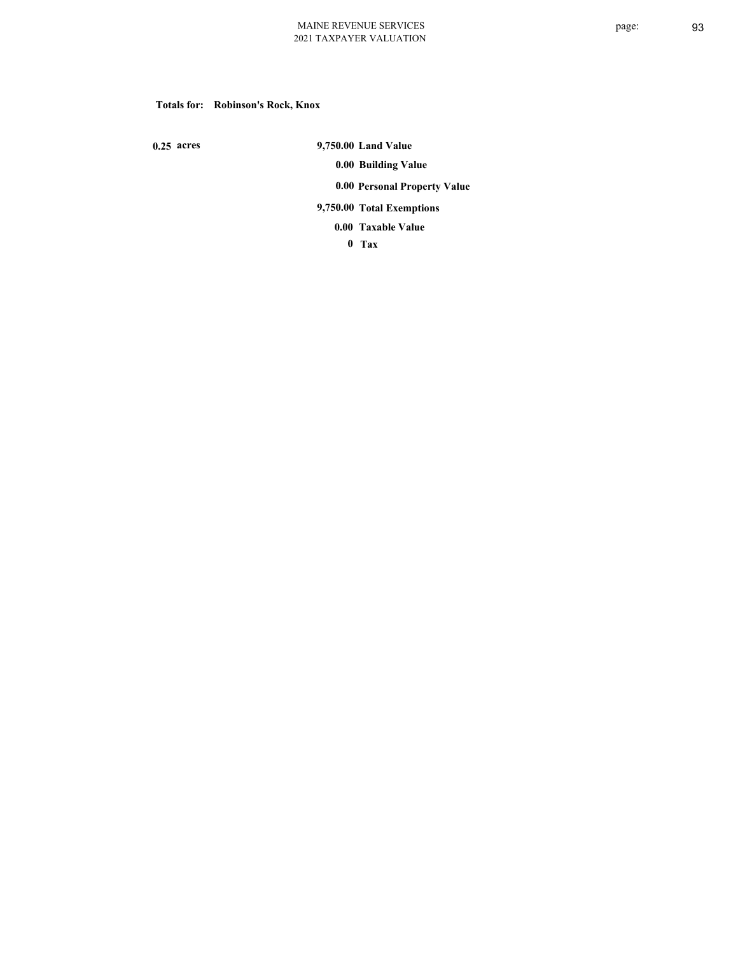## **Totals for: Robinson's Rock, Knox**

 **0.25 acres**

 **9,750.00 Land Value 0.00 Building Value 0.00 Personal Property Value 9,750.00 Total Exemptions**

**Taxable Value 0.00**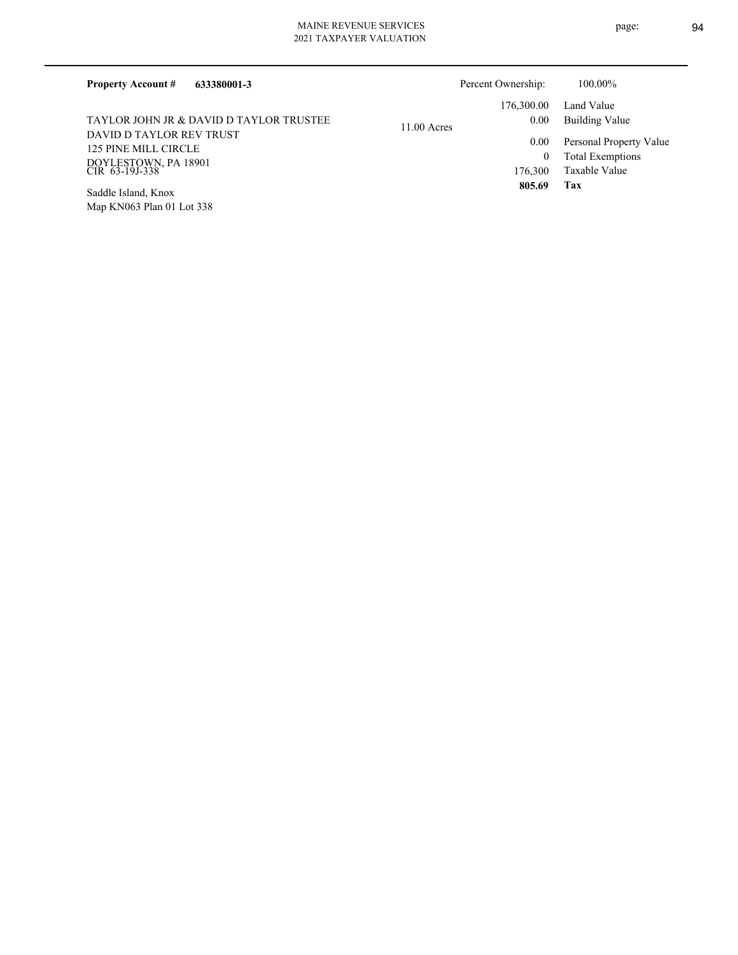| <b>Property Account #</b><br>633380001-3         | Percent Ownership:    | 100.00%                 |
|--------------------------------------------------|-----------------------|-------------------------|
|                                                  | 176,300.00            | Land Value              |
| TAYLOR JOHN JR & DAVID D TAYLOR TRUSTEE          | 0.00<br>$11.00$ Acres | Building Value          |
| DAVID D TAYLOR REV TRUST<br>125 PINE MILL CIRCLE | 0.00                  | Personal Property Value |
|                                                  |                       | <b>Total Exemptions</b> |
| DOYLESTOWN, PA 18901<br>CIR 63-19J-338           | 176.300               | Taxable Value           |
| Saddle Island, Knox                              | 805.69                | Tax                     |

Map KN063 Plan 01 Lot 338 Saddle Island, Knox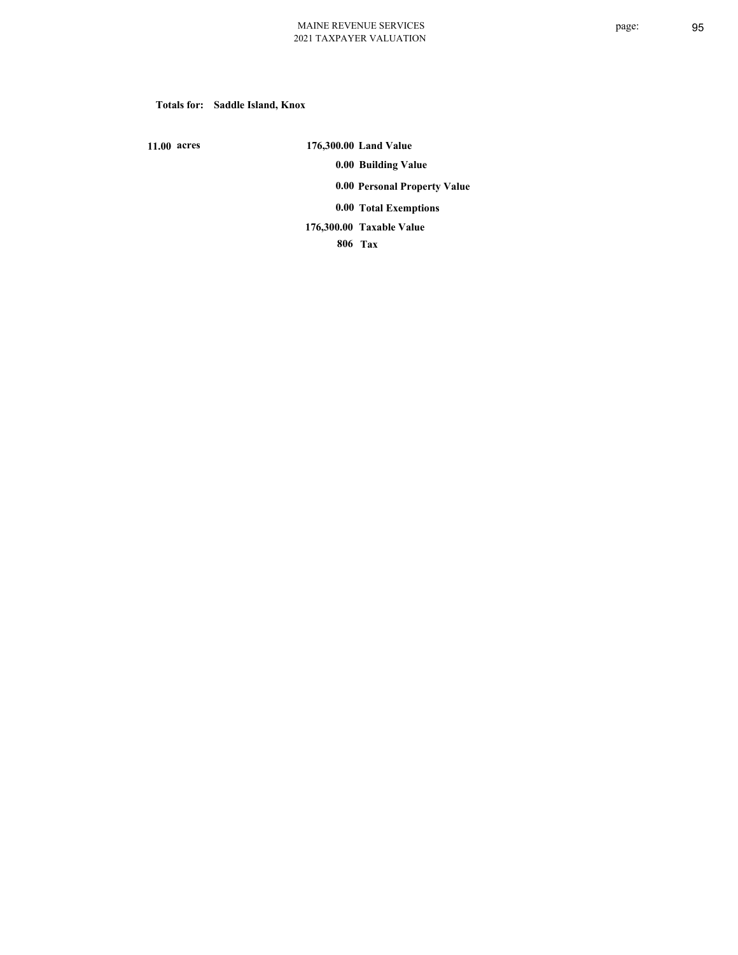**Totals for: Saddle Island, Knox**

 **11.00 acres**

 **176,300.00 Land Value 0.00 Building Value 0.00 Personal Property Value 0.00 Total Exemptions Taxable Value 176,300.00**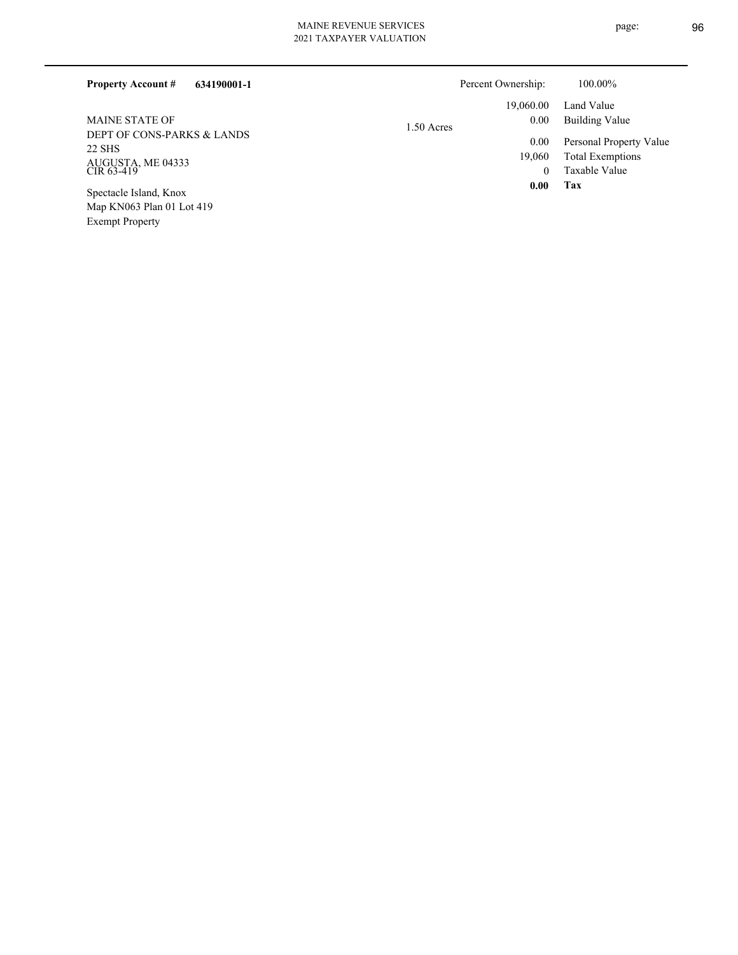Exempt Property

| 634190001-1<br><b>Property Account #</b>            |            | Percent Ownership: | 100.00%                                            |
|-----------------------------------------------------|------------|--------------------|----------------------------------------------------|
|                                                     |            | 19,060.00          | Land Value                                         |
| <b>MAINE STATE OF</b>                               | 1.50 Acres | 0.00               | <b>Building Value</b>                              |
| DEPT OF CONS-PARKS & LANDS<br>22 SHS                |            | 0.00<br>19.060     | Personal Property Value<br><b>Total Exemptions</b> |
| AUGUSTA, ME 04333<br>CIR 63-419                     |            | $\mathbf{0}$       | Taxable Value                                      |
| Spectacle Island, Knox<br>Map KN063 Plan 01 Lot 419 |            | 0.00               | Tax                                                |

page: 96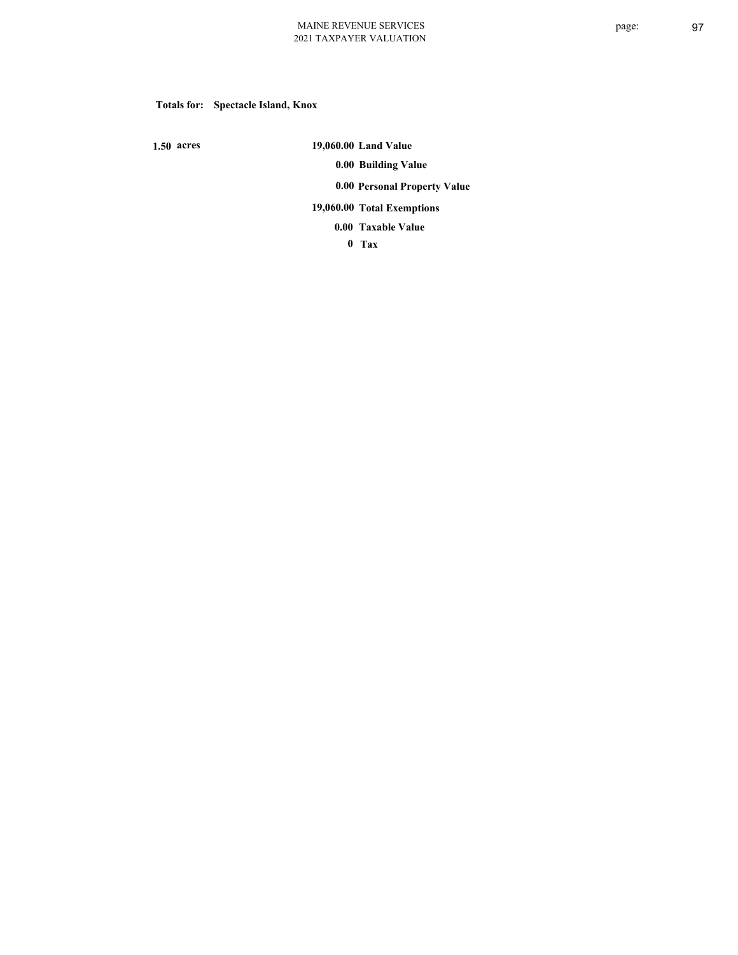# **Totals for: Spectacle Island, Knox**

 **1.50 acres**

 **19,060.00 Land Value 0.00 Building Value 0.00 Personal Property Value 19,060.00 Total Exemptions Taxable Value 0.00**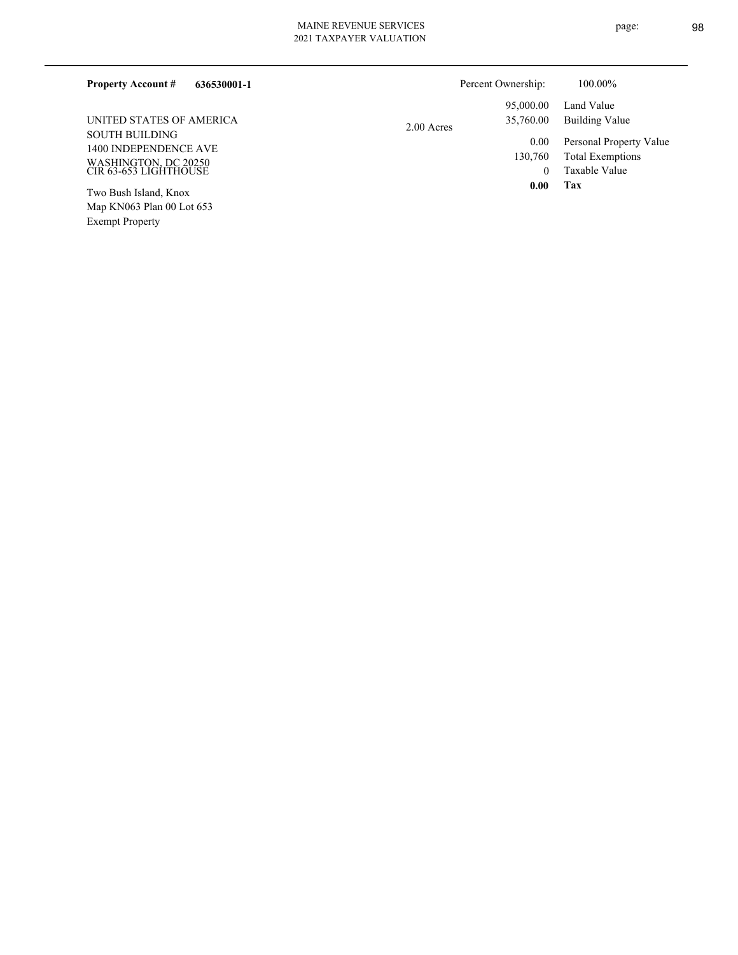# MAINE REVENUE SERVICES

| 636530001-1<br><b>Property Account #</b>                                                        |              | Percent Ownership:                  | 100.00%                                                             |
|-------------------------------------------------------------------------------------------------|--------------|-------------------------------------|---------------------------------------------------------------------|
|                                                                                                 |              | 95,000.00                           | Land Value                                                          |
| UNITED STATES OF AMERICA                                                                        | $2.00$ Acres | 35,760.00                           | Building Value                                                      |
| <b>SOUTH BUILDING</b><br>1400 INDEPENDENCE AVE<br>WASHINGTON, DC 20250<br>CIR 63-653 LIGHTHOUSE |              | 0.00<br>130,760<br>$\boldsymbol{0}$ | Personal Property Value<br><b>Total Exemptions</b><br>Taxable Value |
| Two Bush Island, Knox<br>Map KN063 Plan 00 Lot 653                                              |              | 0.00                                | Tax                                                                 |

Exempt Property